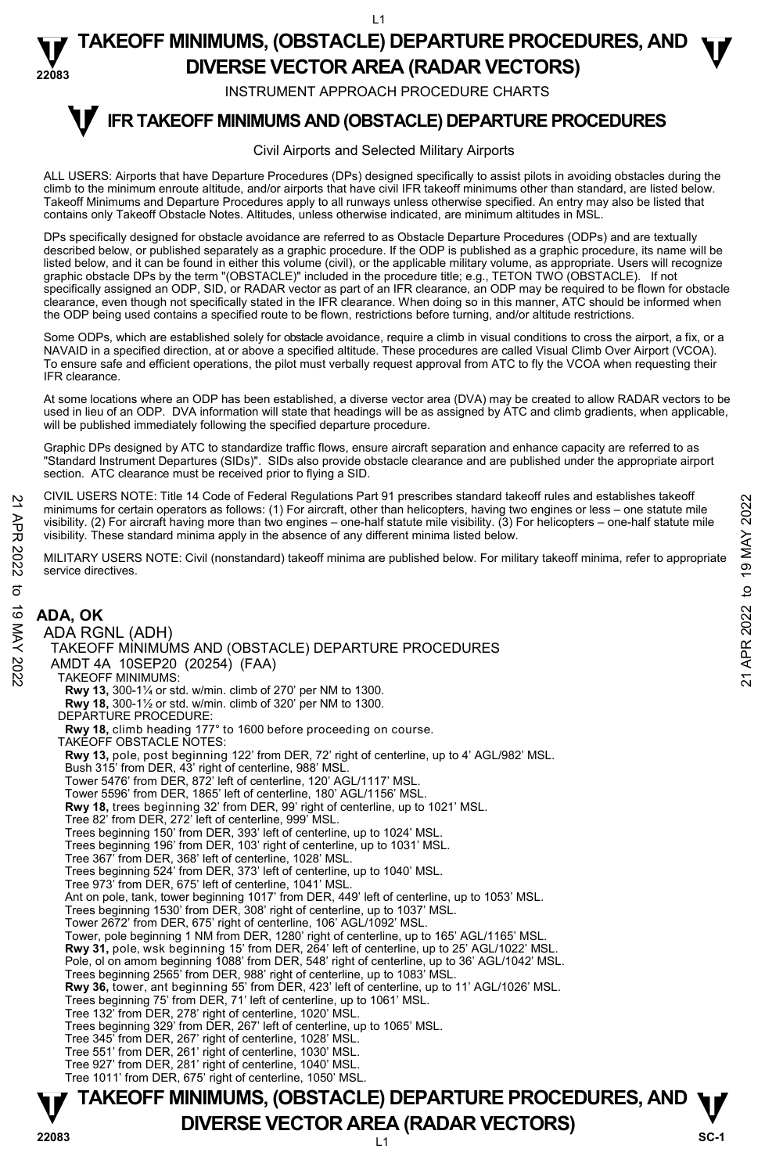$\overline{11}$ 

#### **22083 TAKEOFF MINIMUMS, (OBSTACLE) DEPARTURE PROCEDURES, AND**  $\Psi$ **DIVERSE VECTOR AREA (RADAR VECTORS)**

INSTRUMENT APPROACH PROCEDURE CHARTS

#### **IFR TAKEOFF MINIMUMS AND (OBSTACLE) DEPARTURE PROCEDURES T**

#### Civil Airports and Selected Military Airports

ALL USERS: Airports that have Departure Procedures (DPs) designed specifically to assist pilots in avoiding obstacles during the climb to the minimum enroute altitude, and/or airports that have civil IFR takeoff minimums other than standard, are listed below. Takeoff Minimums and Departure Procedures apply to all runways unless otherwise specified. An entry may also be listed that contains only Takeoff Obstacle Notes. Altitudes, unless otherwise indicated, are minimum altitudes in MSL.

DPs specifically designed for obstacle avoidance are referred to as Obstacle Departure Procedures (ODPs) and are textually described below, or published separately as a graphic procedure. If the ODP is published as a graphic procedure, its name will be<br>listed below, and it can be found in either this volume (civil), or the applicable military graphic obstacle DPs by the term "(OBSTACLE)" included in the procedure title; e.g., TETON TWO (OBSTACLE). If not specifically assigned an ODP, SID, or RADAR vector as part of an IFR clearance, an ODP may be required to be flown for obstacle clearance, even though not specifically stated in the IFR clearance. When doing so in this manner, ATC should be informed when<br>the ODP being used contains a specified route to be flown, restrictions before turning, and/or

Some ODPs, which are established solely for obstacle avoidance, require a climb in visual conditions to cross the airport, a fix, or a<br>NAVAID in a specified direction, at or above a specified altitude. These procedures are To ensure safe and efficient operations, the pilot must verbally request approval from ATC to fly the VCOA when requesting their IFR clearance.

At some locations where an ODP has been established, a diverse vector area (DVA) may be created to allow RADAR vectors to be used in lieu of an ODP. DVA information will state that headings will be as assigned by ATC and climb gradients, when applicable, will be published immediately following the specified departure procedure.

Graphic DPs designed by ATC to standardize traffic flows, ensure aircraft separation and enhance capacity are referred to as "Standard Instrument Departures (SIDs)". SIDs also provide obstacle clearance and are published under the appropriate airport<br>section. ATC clearance must be received prior to flying a SID.

CIVIL USERS NOTE: Title 14 Code of Federal Regulations Part 91 prescribes standard takeoff rules and establishes takeoff minimums for certain operators as follows: (1) For aircraft, other than helicopters, having two engines or less – one statute mile visibility. (2) For aircraft having more than two engines – one-half statute mile visibility. (3) For helicopters – one-half statute mile visibility. These standard minima apply in the absence of any different minima listed below. 21 CIVIL USERS NOTE: Thire 14 Code of Federal regulations Part 91 prescinces standard takeoff minima for certain operators as follows: (1) For aircraft, due than helicopters, having two engines or less – one-half statute

MILITARY USERS NOTE: Civil (nonstandard) takeoff minima are published below. For military takeoff minima, refer to appropriate service directives.

#### ADA RGNL (ADH) TAKEOFF MINIMUMS AND (OBSTACLE) DEPARTURE PROCEDURES

AMDT 4A 10SEP20 (20254) (FAA)

TAKEOFF MINIMUMS:

**ADA, OK** 

**Rwy 13,** 300-1¼ or std. w/min. climb of 270' per NM to 1300.

**Rwy 18,** 300-1½ or std. w/min. climb of 320' per NM to 1300.

DEPARTURE PROCEDURE:

**Rwy 18,** climb heading 177° to 1600 before proceeding on course. TAKEOFF OBSTACLE NOTES:

**Rwy 13,** pole, post beginning 122' from DER, 72' right of centerline, up to 4' AGL/982' MSL.

Bush 315' from DER, 43' right of centerline, 988' MSL.

Tower 5476' from DER, 872' left of centerline, 120' AGL/1117' MSI Tower 5596' from DER, 1865' left of centerline, 180' AGL/1156' MSL.

**Rwy 18,** trees beginning 32' from DER, 99' right of centerline, up to 1021' MSL.

Tree 82' from DER, 272' left of centerline, 999' MSL.

Trees beginning 150' from DER, 393' left of centerline, up to 1024' MSL.

Trees beginning 196' from DER, 103' right of centerline, up to 1031' MSL.

Tree 367' from DER, 368' left of centerline, 1028' MSL.

Trees beginning 524' from DER, 373' left of centerline, up to 1040' MSL.

Tree 973' from DER, 675' left of centerline, 1041' MSL.

Ant on pole, tank, tower beginning 1017' from DER, 449' left of centerline, up to 1053' MSL.

Trees beginning 1530' from DER, 308' right of centerline, up to 1037' MSL.

Tower 2672' from DER, 675' right of centerline, 106' AGL/1092' MSL.

Tower, pole beginning 1 NM from DER, 1280' right of centerline, up to 165' AGL/1165' MSL.

**Rwy 31,** pole, wsk beginning 15' from DER, 264' left of centerline, up to 25' AGL/1022' MSL.

Pole, ol on amom beginning 1088' from DER, 548' right of centerline, up to 36' AGL/1042' MSL.<br>Trees beginning 2565' from DER, 988' right of centerline, up to 1083' MSL.

**Rwy 36,** tower, ant beginning 55' from DER, 423' left of centerline, up to 11' AGL/1026' MSL.

Trees beginning 75' from DER, 71' left of centerline, up to 1061' MSL.

Tree 132' from DER, 278' right of centerline, 1020' MSL. Trees beginning 329' from DER, 267' left of centerline, up to 1065' MSL.

Tree 345' from DER, 267' right of centerline, 1028' MSL. Tree 551' from DER, 261' right of centerline, 1030' MSL.

Tree 927' from DER, 281' right of centerline, 1040' MSL.

Tree 1011' from DER, 675' right of centerline, 1050' MSL.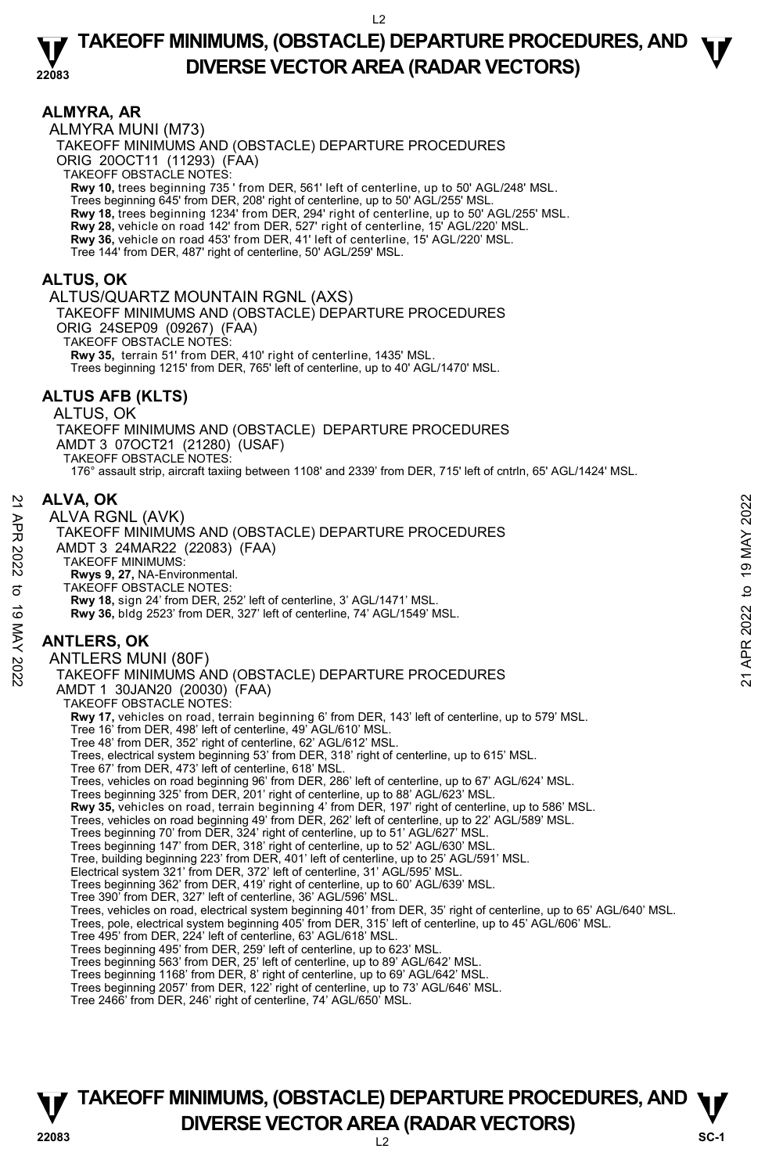### **ALMYRA, AR**

ALMYRA MUNI (M73) TAKEOFF MINIMUMS AND (OBSTACLE) DEPARTURE PROCEDURES ORIG 20OCT11 (11293) (FAA) TAKEOFF OBSTACLE NOTES: **Rwy 10,** trees beginning 735 ' from DER, 561' left of centerline, up to 50' AGL/248' MSL. Trees beginning 645' from DER, 208' right of centerline, up to 50' AGL/255' MSL. **Rwy 18,** trees beginning 1234' from DER, 294' right of centerline, up to 50' AGL/255' MSL. **Rwy 28,** vehicle on road 142' from DER, 527' right of centerline, 15' AGL/220' MSL.<br>**Rwy 36,** vehicle on road 453' from DER, 41' left of centerline, 15' AGL/220' MSL. Tree 144' from DER, 487' right of centerline, 50' AGL/259' MSL.

### **ALTUS, OK**

#### ALTUS/QUARTZ MOUNTAIN RGNL (AXS)

TAKEOFF MINIMUMS AND (OBSTACLE) DEPARTURE PROCEDURES

ORIG 24SEP09 (09267) (FAA) TAKEOFF OBSTACLE NOTES:

**Rwy 35,** terrain 51' from DER, 410' right of centerline, 1435' MSL.

Trees beginning 1215' from DER, 765' left of centerline, up to 40' AGL/1470' MSL.

### **ALTUS AFB (KLTS)**

#### ALTUS, OK TAKEOFF MINIMUMS AND (OBSTACLE) DEPARTURE PROCEDURES AMDT 3 07OCT21 (21280) (USAF) TAKEOFF OBSTACLE NOTES: 176° assault strip, aircraft taxiing between 1108' and 2339' from DER, 715' left of cntrln, 65' AGL/1424' MSL.

### **ALVA, OK**

ALVA RGNL (AVK) TAKEOFF MINIMUMS AND (OBSTACLE) DEPARTURE PROCEDURES AMDT 3 24MAR22 (22083) (FAA) TAKEOFF MINIMUMS:  **Rwys 9, 27,** NA-Environmental. TAKEOFF OBSTACLE NOTES: **Rwy 18,** sign 24' from DER, 252' left of centerline, 3' AGL/1471' MSL. **Rwy 36,** bldg 2523' from DER, 327' left of centerline, 74' AGL/1549' MSL. **ANTLERS, OK**  ANTLERS MUNI (80F) TAKEOFF MINIMUMS AND (OBSTACLE) DEPARTURE PROCEDURES AMDT 1 30JAN20 (20030) (FAA) TAKEOFF OBSTACLE NOTES: **Rwy 17,** vehicles on road, terrain beginning 6' from DER, 143' left of centerline, up to 579' MSL. Tree 16' from DER, 498' left of centerline, 49' AGL/610' MSL. Tree 48' from DER, 352' right of centerline, 62' AGL/612' MSL. Trees, electrical system beginning 53' from DER, 318' right of centerline, up to 615' MSL. Tree 67' from DER, 473' left of centerline, 618' MSL. Trees, vehicles on road beginning 96' from DER, 286' left of centerline, up to 67' AGL/624' MSL. Trees beginning 325' from DER, 201' right of centerline, up to 88' AGL/623' MSL. **Rwy 35,** vehicles on road, terrain beginning 4' from DER, 197' right of centerline, up to 586' MSL. Trees, vehicles on road beginning 49' from DER, 262' left of centerline, up to 22' AGL/589' MSL. Trees beginning 70' from DER, 324' right of centerline, up to 51' AGL/627' MSL. Trees beginning 147' from DER, 318' right of centerline, up to 52' AGL/630' MSL. Tree, building beginning 223' from DER, 401' left of centerline, up to 25' AGL/591' MSL. Electrical system 321' from DER, 372' left of centerline, 31' AGL/595' MSL. Trees beginning 362' from DER, 419' right of centerline, up to 60' AGL/639' MSL. Tree 390' from DER, 327' left of centerline, 36' AGL/596' MSL. Trees, vehicles on road, electrical system beginning 401' from DER, 35' right of centerline, up to 65' AGL/640' MSL. Trees, pole, electrical system beginning 405' from DER, 315' left of centerline, up to 45' AGL/606' MSL. Tree 495' from DER, 224' left of centerline, 63' AGL/618' MSL. Trees beginning 495' from DER, 259' left of centerline, up to 623' MSL. Trees beginning 563' from DER, 25' left of centerline, up to 89' AGL/642' MSL. Trees beginning 1168' from DER, 8' right of centerline, up to 69' AGL/642' MSL. Trees beginning 2057' from DER, 122' right of centerline, up to 73' AGL/646' MSL. 22 ALVA, OK<br>
ALVA, OK RIGNL (AVK)<br>
TAKEOFF MINIMUMS AND (OBSTACLE) DEPARTURE PROCEDURES<br>
AMDT 3 24MAR22 (22083) (FAA)<br>
TAKEOFF MINIMUMS:<br>
RWY 98, 27, NA-Environmental.<br>
TAKEOFF OBSTACLE NOTES:<br>
RWY 18, sign 24' from DER,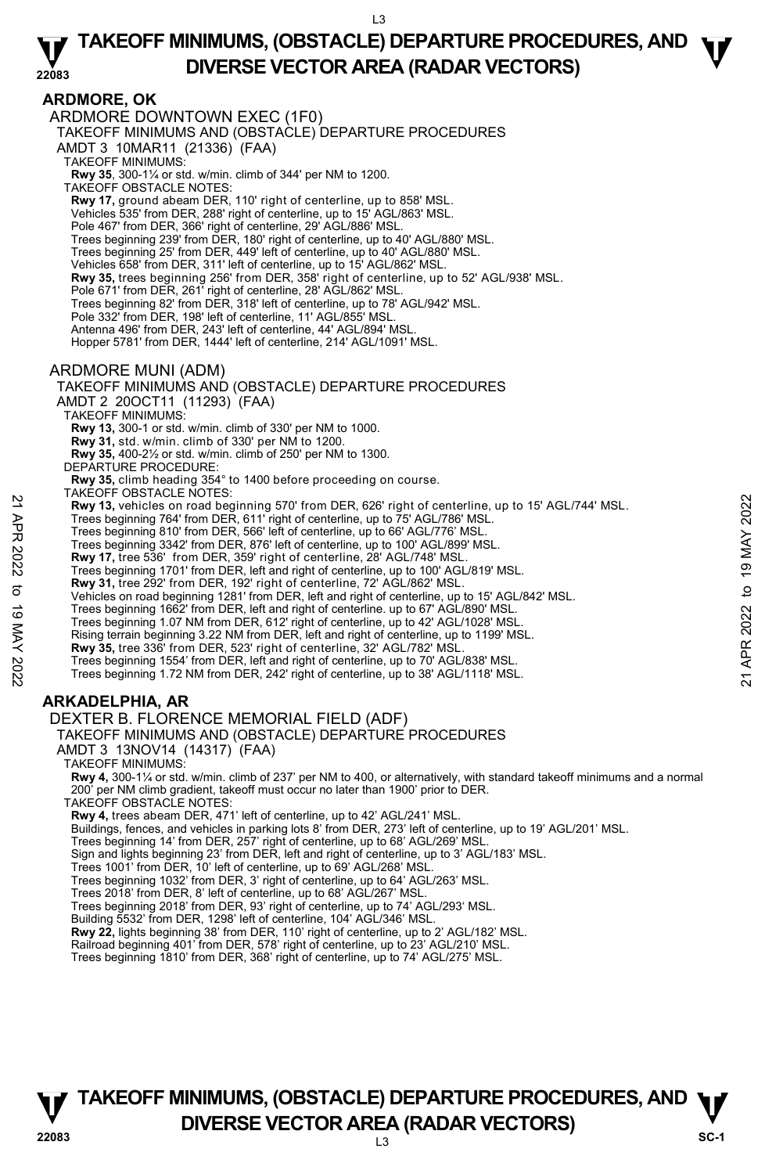# **ARDMORE, OK**

ARDMORE DOWNTOWN EXEC (1F0) TAKEOFF MINIMUMS AND (OBSTACLE) DEPARTURE PROCEDURES AMDT 3 10MAR11 (21336) (FAA) TAKEOFF MINIMUMS: **Rwy 35**, 300-1¼ or std. w/min. climb of 344' per NM to 1200. TAKEOFF OBSTACLE NOTES: **Rwy 17,** ground abeam DER, 110' right of centerline, up to 858' MSL. Vehicles 535' from DER, 288' right of centerline, up to 15' AGL/863' MSL. Pole 467' from DER, 366' right of centerline, 29' AGL/886' MSL. Trees beginning 239' from DER, 180' right of centerline, up to 40' AGL/880' MSL. Trees beginning 25' from DER, 449' left of centerline, up to 40' AGL/880' MSL. Vehicles 658' from DER, 311' left of centerline, up to 15' AGL/862' MSL. **Rwy 35,** trees beginning 256' from DER, 358' right of centerline, up to 52' AGL/938' MSL. Pole 671' from DER, 261' right of centerline, 28' AGL/862' MSL. Trees beginning 82' from DER, 318' left of centerline, up to 78' AGL/942' MSL. Pole 332' from DER, 198' left of centerline, 11' AGL/855' MSL. Antenna 496' from DER, 243' left of centerline, 44' AGL/894' MSL. Hopper 5781' from DER, 1444' left of centerline, 214' AGL/1091' MSL. ARDMORE MUNI (ADM) TAKEOFF MINIMUMS AND (OBSTACLE) DEPARTURE PROCEDURES AMDT 2 20OCT11 (11293) (FAA) TAKEOFF MINIMUMS: **Rwy 13,** 300-1 or std. w/min. climb of 330' per NM to 1000. **Rwy 31,** std. w/min. climb of 330' per NM to 1200. **Rwy 35,** 400-2½ or std. w/min. climb of 250' per NM to 1300. DEPARTURE PROCEDURE: **Rwy 35,** climb heading 354° to 1400 before proceeding on course. TAKEOFF OBSTACLE NOTES: **Rwy 13,** vehicles on road beginning 570' from DER, 626' right of centerline, up to 15' AGL/744' MSL.

- **EVALUATION CONTROLL CONSUMBER 19 TO THE SET AND THE SET AND THE SUBDAMINED THE SUBDAMINED THE SUBDAMINED THE SUBDAMINED THE SUBDAMINED THE SUBDAMINED THE SUBDAMINED THE SUBDAMINED THE SUBDAMINED THE SUBDAMINED THE SUBDAM** 
	- Trees beginning 764' from DER, 611' right of centerline, up to 75' AGL/786' MSL.
	- Trees beginning 810' from DER, 566' left of centerline, up to 66' AGL/776' MSL. Trees beginning 3342' from DER, 876' left of centerline, up to 100' AGL/899' MSL.
	- **Rwy 17,** tree 536' from DER, 359' right of centerline, 28' AGL/748' MSL.
	-
	- Trees beginning 1701' from DER, left and right of centerline, up to 100' AGL/819' MSL.<br>**Rwy 31,** tree 292' from DER, 192' right of centerline, 72' AGL/862' MSL.
	- Vehicles on road beginning 1281' from DER, left and right of centerline, up to 15' AGL/842' MSL.
	- Trees beginning 1662' from DER, left and right of centerline. up to 67' AGL/890' MSL.
	- Trees beginning 1.07 NM from DER, 612' right of centerline, up to 42' AGL/1028' MSL.
	- Rising terrain beginning 3.22 NM from DER, left and right of centerline, up to 1199' MSL.
	- **Rwy 35,** tree 336' from DER, 523' right of centerline, 32' AGL/782' MSL.
	- Trees beginning 1554' from DER, left and right of centerline, up to 70' AGL/838' MSL. Trees beginning 1.72 NM from DER, 242' right of centerline, up to 38' AGL/1118' MSL.

# **ARKADELPHIA, AR**

### DEXTER B. FLORENCE MEMORIAL FIELD (ADF)

TAKEOFF MINIMUMS AND (OBSTACLE) DEPARTURE PROCEDURES

AMDT 3 13NOV14 (14317) (FAA)

TAKEOFF MINIMUMS:

**Rwy 4,** 300-1¼ or std. w/min. climb of 237' per NM to 400, or alternatively, with standard takeoff minimums and a normal 200' per NM climb gradient, takeoff must occur no later than 1900' prior to DER. TAKEOFF OBSTACLE NOTES:

**Rwy 4,** trees abeam DER, 471' left of centerline, up to 42' AGL/241' MSL.

Buildings, fences, and vehicles in parking lots 8' from DER, 273' left of centerline, up to 19' AGL/201' MSL.

Trees beginning 14' from DER, 257' right of centerline, up to 68' AGL/269' MSL.

Sign and lights beginning 23' from DER, left and right of centerline, up to 3' AGL/183' MSL.

Trees 1001' from DER, 10' left of centerline, up to 69' AGL/268' MSL.

Trees beginning 1032' from DER, 3' right of centerline, up to 64' AGL/263' MSL.

Trees 2018' from DER, 8' left of centerline, up to 68' AGL/267' MSL. Trees beginning 2018' from DER, 93' right of centerline, up to 74' AGL/293' MSL.

Building 5532' from DER, 1298' left of centerline, 104' AGL/346' MSL.

**Rwy 22,** lights beginning 38' from DER, 110' right of centerline, up to 2' AGL/182' MSL.<br>Railroad beginning 401' from DER, 578' right of centerline, up to 23' AGL/210' MSL.

Trees beginning 1810' from DER, 368' right of centerline, up to 74' AGL/275' MSL.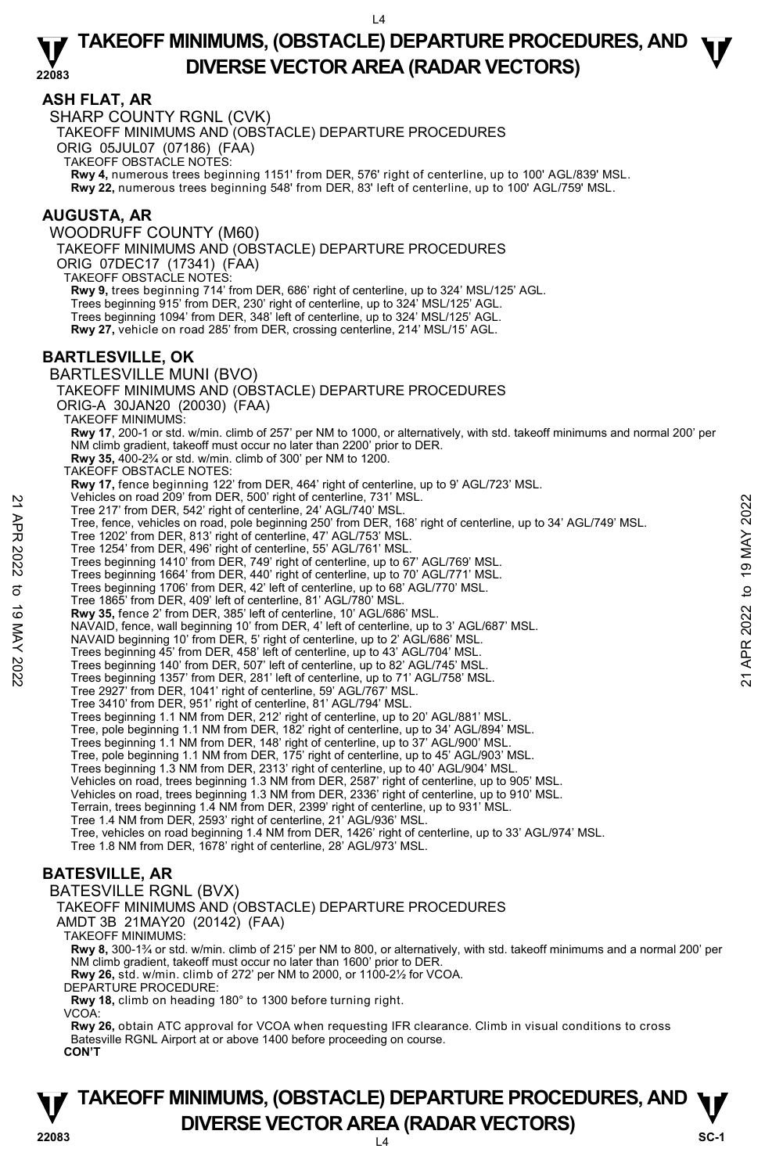### **ASH FLAT, AR**

SHARP COUNTY RGNL (CVK) TAKEOFF MINIMUMS AND (OBSTACLE) DEPARTURE PROCEDURES ORIG 05JUL07 (07186) (FAA) TAKEOFF OBSTACLE NOTES: **Rwy 4,** numerous trees beginning 1151' from DER, 576' right of centerline, up to 100' AGL/839' MSL. **Rwy 22,** numerous trees beginning 548' from DER, 83' left of centerline, up to 100' AGL/759' MSL. **AUGUSTA, AR** 

### WOODRUFF COUNTY (M60)

TAKEOFF MINIMUMS AND (OBSTACLE) DEPARTURE PROCEDURES

ORIG 07DEC17 (17341) (FAA)

TAKEOFF OBSTACLE NOTES:

**Rwy 9,** trees beginning 714' from DER, 686' right of centerline, up to 324' MSL/125' AGL. Trees beginning 915' from DER, 230' right of centerline, up to 324' MSL/125' AGL. Trees beginning 1094' from DER, 348' left of centerline, up to 324' MSL/125' AGL. **Rwy 27,** vehicle on road 285' from DER, crossing centerline, 214' MSL/15' AGL.

### **BARTLESVILLE, OK**

BARTLESVILLE MUNI (BVO) TAKEOFF MINIMUMS AND (OBSTACLE) DEPARTURE PROCEDURES ORIG-A 30JAN20 (20030) (FAA) TAKEOFF MINIMUMS: **Rwy 17**, 200-1 or std. w/min. climb of 257' per NM to 1000, or alternatively, with std. takeoff minimums and normal 200' per NM climb gradient, takeoff must occur no later than 2200' prior to DER. **Rwy 35,** 400-2¾ or std. w/min. climb of 300' per NM to 1200. TAKEOFF OBSTACLE NOTES: **Rwy 17,** fence beginning 122' from DER, 464' right of centerline, up to 9' AGL/723' MSL.<br>Vehicles on road 209' from DER, 500' right of centerline, 731' MSL. Tree 217' from DER, 542' right of centerline, 24' AGL/740' MSL. Tree, fence, vehicles on road, pole beginning 250' from DER, 168' right of centerline, up to 34' AGL/749' MSL. Tree 1202' from DER, 813' right of centerline, 47' AGL/753' MSL. Tree 1254' from DER, 496' right of centerline, 55' AGL/761' MSL. Trees beginning 1410' from DER, 749' right of centerline, up to 67' AGL/769' MSL. Trees beginning 1664' from DER, 440' right of centerline, up to 70' AGL/771' MSL. Trees beginning 1706' from DER, 42' left of centerline, up to 68' AGL/770' MSL. Tree 1865' from DER, 409' left of centerline, 81' AGL/780' MSL. **Rwy 35,** fence 2' from DER, 385' left of centerline, 10' AGL/686' MSL. NAVAID, fence, wall beginning 10' from DER, 4' left of centerline, up to 3' AGL/687' MSL. NAVAID beginning 10' from DER, 5' right of centerline, up to 2' AGL/686' MSL. Trees beginning 45' from DER, 458' left of centerline, up to 43' AGL/704' MSL. Trees beginning 140' from DER, 507' left of centerline, up to 82' AGL/745' MSL. Trees beginning 1357' from DER, 281' left of centerline, up to 71' AGL/758' MSL. Tree 2927' from DER, 1041' right of centerline, 59' AGL/767' MSL. Tree 3410' from DER, 951' right of centerline, 81' AGL/794' MSL. Trees beginning 1.1 NM from DER, 212' right of centerline, up to 20' AGL/881' MSL. Tree, pole beginning 1.1 NM from DER, 182' right of centerline, up to 34' AGL/894' MSL. Trees beginning 1.1 NM from DER, 148' right of centerline, up to 37' AGL/900' MSL. Tree, pole beginning 1.1 NM from DER, 175' right of centerline, up to 45' AGL/903' MSL. Trees beginning 1.3 NM from DER, 2313' right of centerline, up to 40' AGL/904' MSL. Vehicles on road, trees beginning 1.3 NM from DER, 2587' right of centerline, up to 905' MSL. Vehicles on road, trees beginning 1.3 NM from DER, 2336' right of centerline, up to 910' MSL. Terrain, trees beginning 1.4 NM from DER, 2399' right of centerline, up to 931' MSL. Tree 1.4 NM from DER, 2593' right of centerline, 21' AGL/936' MSL. Tree, vehicles on road beginning 1.4 NM from DER, 1426' right of centerline, up to 33' AGL/974' MSL. Tree 1.8 NM from DER, 1678' right of centerline, 28' AGL/973' MSL. 22 Tree 2022 for mond 200 From DER, 542 right of centerline, 241 AGL/740 MSL.<br>
Tree 217' from DER, 542' right of centerline, 241 AGL/740 MSL.<br>
Tree 12022 from DER, 813 right of centerline, 471 AGL/753' MSL.<br>
Tree 1254' fr

# **BATESVILLE, AR**

BATESVILLE RGNL (BVX)

TAKEOFF MINIMUMS AND (OBSTACLE) DEPARTURE PROCEDURES

AMDT 3B 21MAY20 (20142) (FAA)

TAKEOFF MINIMUMS:

**Rwy 8,** 300-1¾ or std. w/min. climb of 215' per NM to 800, or alternatively, with std. takeoff minimums and a normal 200' per NM climb gradient, takeoff must occur no later than 1600' prior to DER. **Rwy 26,** std. w/min. climb of 272' per NM to 2000, or 1100-2½ for VCOA.

DEPARTURE PROCEDURE:

**Rwy 18,** climb on heading 180° to 1300 before turning right.

VCOA:

**Rwy 26,** obtain ATC approval for VCOA when requesting IFR clearance. Climb in visual conditions to cross Batesville RGNL Airport at or above 1400 before proceeding on course. **CON'T** 

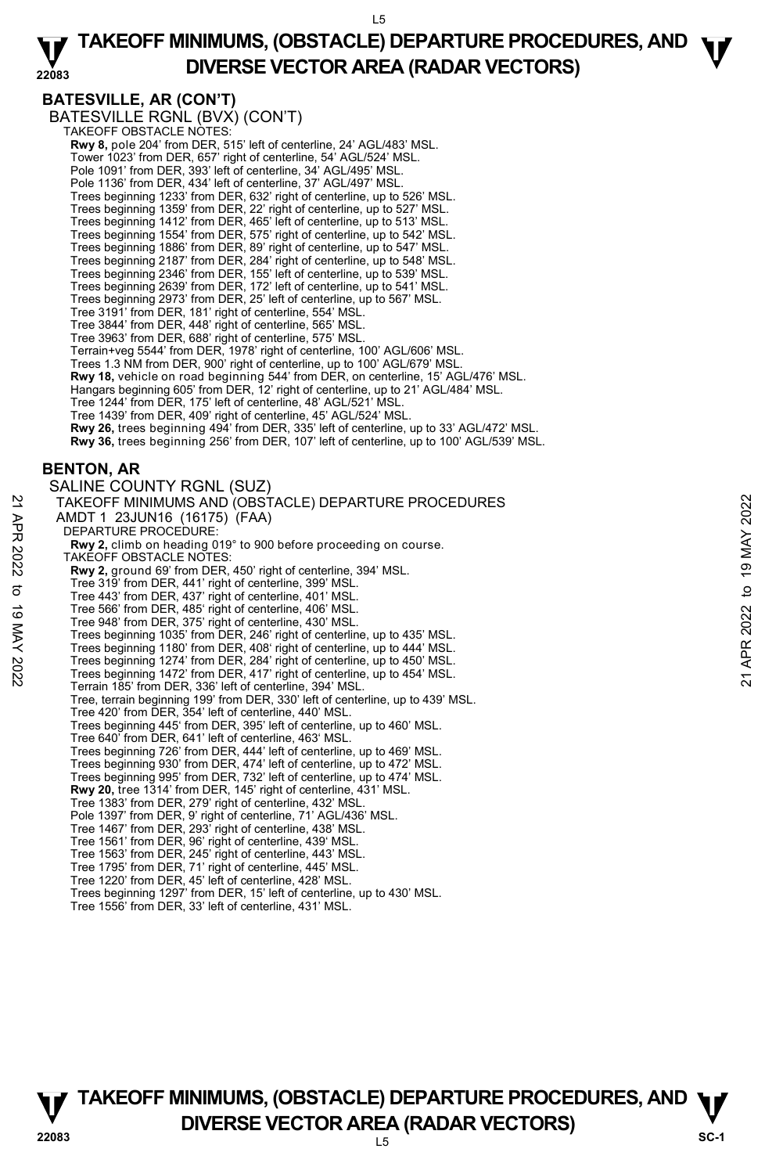#### **22083 TAKEOFF MINIMUMS, (OBSTACLE) DEPARTURE PROCEDURES, AND**  $\Psi$ **DIVERSE VECTOR AREA (RADAR VECTORS)**

# **BATESVILLE, AR (CON'T)**

BATESVILLE RGNL (BVX) (CON'T)<br>TAKEOFF OBSTACLE NOTES: **Rwy 8,** pole 204' from DER, 515' left of centerline, 24' AGL/483' MSL. Tower 1023' from DER, 657' right of centerline, 54' AGL/524' MSL. Pole 1091' from DER, 393' left of centerline, 34' AGL/495' MSL. Pole 1136' from DER, 434' left of centerline, 37' AGL/497' MSL. Trees beginning 1233' from DER, 632' right of centerline, up to 526' MSL. Trees beginning 1359' from DER, 22' right of centerline, up to 527' MSL. Trees beginning 1412' from DER, 465' left of centerline, up to 513' MSL. Trees beginning 1554' from DER, 575' right of centerline, up to 542' MSL. Trees beginning 1886' from DER, 89' right of centerline, up to 547' MSL. Trees beginning 2187' from DER, 284' right of centerline, up to 548' MSL. Trees beginning 2346' from DER, 155' left of centerline, up to 539' MSL. Trees beginning 2639' from DER, 172' left of centerline, up to 541' MSL. Trees beginning 2973' from DER, 25' left of centerline, up to 567' MSL. Tree 3191' from DER, 181' right of centerline, 554' MSL. Tree 3844' from DER, 448' right of centerline, 565' MSL. Tree 3963' from DER, 688' right of centerline, 575' MSL. Terrain+veg 5544' from DER, 1978' right of centerline, 100' AGL/606' MSL. Trees 1.3 NM from DER, 900' right of centerline, up to 100' AGL/679' MSL. **Rwy 18,** vehicle on road beginning 544' from DER, on centerline, 15' AGL/476' MSL. Hangars beginning 605' from DER, 12' right of centerline, up to 21' AGL/484' MSL. Tree 1244' from DER, 175' left of centerline, 48' AGL/521' MSL. Tree 1439' from DER, 409' right of centerline, 45' AGL/524' MSL. **Rwy 26,** trees beginning 494' from DER, 335' left of centerline, up to 33' AGL/472' MSL. **Rwy 36,** trees beginning 256' from DER, 107' left of centerline, up to 100' AGL/539' MSL. **BENTON, AR**  SALINE COUNTY RGNL (SUZ) TAKEOFF MINIMUMS AND (OBSTACLE) DEPARTURE PROCEDURES AMDT 1 23JUN16 (16175) (FAA) DEPARTURE PROCEDURE: **Rwy 2,** climb on heading 019° to 900 before proceeding on course. TAKEOFF OBSTACLE NOTES: **Rwy 2,** ground 69' from DER, 450' right of centerline, 394' MSL.<br>Tree 319' from DER, 441' right of centerline, 399' MSL. Tree 443' from DER, 437' right of centerline, 401' MSL. Tree 566' from DER, 485' right of centerline, 406' MSL. Tree 948' from DER, 375' right of centerline, 430' MSL. Trees beginning 1035' from DER, 246' right of centerline, up to 435' MSL. Trees beginning 1180' from DER, 408' right of centerline, up to 444' MSL. Trees beginning 1274' from DER, 284' right of centerline, up to 450' MSL. Trees beginning 1472' from DER, 417' right of centerline, up to 454' MSL. Terrain 185' from DER, 336' left of centerline, 394' MSL. Tree, terrain beginning 199' from DER, 330' left of centerline, up to 439' MSL. Tree 420' from DER, 354' left of centerline, 440' MSL. Trees beginning 445' from DER, 395' left of centerline, up to 460' MSL. Tree 640' from DER, 641' left of centerline, 463' MSL. Trees beginning 726' from DER, 444' left of centerline, up to 469' MSL. Trees beginning 930' from DER, 474' left of centerline, up to 472' MSL. Trees beginning 995' from DER, 732' left of centerline, up to 474' MSL. **Rwy 20,** tree 1314' from DER, 145' right of centerline, 431' MSL. Tree 1383' from DER, 279' right of centerline, 432' MSL. Pole 1397' from DER, 9' right of centerline, 71' AGL/436' MSL. Tree 1467' from DER, 293' right of centerline, 438' MSL. Tree 1561' from DER, 96' right of centerline, 439' MSL. Tree 1563' from DER, 245' right of centerline, 443' MSL. Tree 1795' from DER, 71' right of centerline, 445' MSL. Tree 1220' from DER, 45' left of centerline, 428' MSL. Trees beginning 1297' from DER, 15' left of centerline, up to 430' MSL. 21 TAKEOFF MINIMUMS AND (OBSTACLE) DEPARTURE PROCEDURES<br>
22 AMDT 1 23JUNA16 (16175) (FAA)<br>
22 DEPARTURE PROCEDURE:<br>
23 DEPARTURE PROCEDURE:<br>
23 Rwy 2, climb on heading 019° to 900 before proceeding on course.<br>
7 TAKEOFF OB



**TAKEOFF MINIMUMS, (OBSTACLE) DEPARTURE PROCEDURES, AND**  $\Psi$ **P** DIVERSE VECTOR AREA (RADAR VECTORS) SC-1

 $\overline{5}$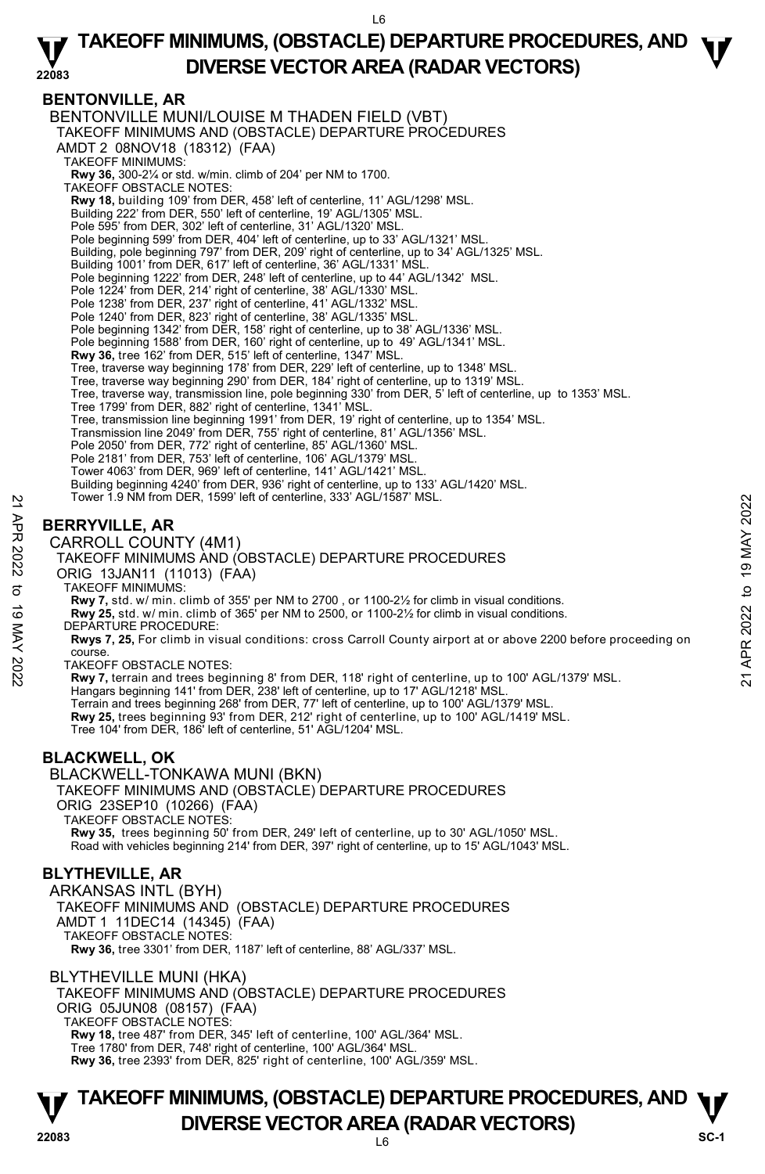#### **22083 TAKEOFF MINIMUMS, (OBSTACLE) DEPARTURE PROCEDURES, AND**  $\Psi$ **DIVERSE VECTOR AREA (RADAR VECTORS)**

# **BENTONVILLE, AR**

BENTONVILLE MUNI/LOUISE M THADEN FIELD (VBT) TAKEOFF MINIMUMS AND (OBSTACLE) DEPARTURE PROCEDURES AMDT 2 08NOV18 (18312) (FAA) TAKEOFF MINIMUMS: **Rwy 36,** 300-2¼ or std. w/min. climb of 204' per NM to 1700. TAKEOFF OBSTACLE NOTES: **Rwy 18,** building 109' from DER, 458' left of centerline, 11' AGL/1298' MSL. Building 222' from DER, 550' left of centerline, 19' AGL/1305' MSL. Pole 595' from DER, 302' left of centerline, 31' AGL/1320' MSL Pole beginning 599' from DER, 404' left of centerline, up to 33' AGL/1321' MSL. Building, pole beginning 797' from DER, 209' right of centerline, up to 34' AGL/1325' MSL. Building 1001' from DER, 617' left of centerline, 36' AGL/1331' MSL Pole beginning 1222' from DER, 248' left of centerline, up to 44' AGL/1342' MSL. Pole 1224' from DER, 214' right of centerline, 38' AGL/1330' MSL. Pole 1238' from DER, 237' right of centerline, 41' AGL/1332' MSL. Pole 1240' from DER, 823' right of centerline, 38' AGL/1335' MSL. Pole beginning 1342' from DER, 158' right of centerline, up to 38' AGL/1336' MSL. Pole beginning 1588' from DER, 160' right of centerline, up to 49' AGL/1341' MSL. **Rwy 36,** tree 162' from DER, 515' left of centerline, 1347' MSL. Tree, traverse way beginning 178' from DER, 229' left of centerline, up to 1348' MSL.<br>Tree, traverse way beginning 290' from DER, 184' right of centerline, up to 1319' MSL. Tree, traverse way, transmission line, pole beginning 330' from DER, 5' left of centerline, up to 1353' MSL. Tree 1799' from DER, 882' right of centerline, 1341' MSL. Tree, transmission line beginning 1991' from DER, 19' right of centerline, up to 1354' MSL. Transmission line 2049' from DER, 755' right of centerline, 81' AGL/1356' MSL. Pole 2050' from DER, 772' right of centerline, 85' AGL/1360' MSL. Pole 2181' from DER, 753' left of centerline, 106' AGL/1379' MSL. Tower 4063' from DER, 969' left of centerline, 141' AGL/1421' MSL. Building beginning 4240' from DER, 936' right of centerline, up to 133' AGL/1420' MSL. Tower 1.9 NM from DER, 1599' left of centerline, 333' AGL/1587' MSL. **BERRYVILLE, AR**  CARROLL COUNTY (4M1) TAKEOFF MINIMUMS AND (OBSTACLE) DEPARTURE PROCEDURES From Der, 1599 let of centerine, 333 AGL/1587 MSL.<br>
22 **BERRYVILLE, AR**<br>
22 **CARROLL COUNTY (4M1)**<br>
TAKEOFF MINIMUMS AND (OBSTACLE) DEPARTURE PROCEDURES<br>
23 ORIG 13 JAM11 (11013) (FAA)<br>
23 TAKEOFF MINIMUMS:<br>
23 ORIG 13 MA

### ORIG 13JAN11 (11013) (FAA)

TAKEOFF MINIMUMS:

**Rwy 7,** std. w/ min. climb of 355' per NM to 2700 , or 1100-2½ for climb in visual conditions.

**Rwy 25,** std. w/ min. climb of 365' per NM to 2500, or 1100-2½ for climb in visual conditions. DEPARTURE PROCEDURE:

**Rwys 7, 25,** For climb in visual conditions: cross Carroll County airport at or above 2200 before proceeding on course.

TAKEOFF OBSTACLE NOTES:

**Rwy 7,** terrain and trees beginning 8' from DER, 118' right of centerline, up to 100' AGL/1379' MSL. Hangars beginning 141' from DER, 238' left of centerline, up to 17' AGL/1218' MSL. Terrain and trees beginning 268' from DER, 77' left of centerline, up to 100' AGL/1379' MSL.<br>**Rwy 25,** trees beginning 93' from DER, 212' right of centerline, up to 100' AGL/1419' MSL. Tree 104' from DER, 186' left of centerline, 51' AGL/1204' MSL.

# **BLACKWELL, OK**

BLACKWELL-TONKAWA MUNI (BKN) TAKEOFF MINIMUMS AND (OBSTACLE) DEPARTURE PROCEDURES ORIG 23SEP10 (10266) (FAA) TAKEOFF OBSTACLE NOTES: **Rwy 35,** trees beginning 50' from DER, 249' left of centerline, up to 30' AGL/1050' MSL. Road with vehicles beginning 214' from DER, 397' right of centerline, up to 15' AGL/1043' MSL.

# **BLYTHEVILLE, AR**

ARKANSAS INTL (BYH) TAKEOFF MINIMUMS AND (OBSTACLE) DEPARTURE PROCEDURES AMDT 1 11DEC14 (14345) (FAA) TAKEOFF OBSTACLE NOTES: **Rwy 36,** tree 3301' from DER, 1187' left of centerline, 88' AGL/337' MSL.

BLYTHEVILLE MUNI (HKA) TAKEOFF MINIMUMS AND (OBSTACLE) DEPARTURE PROCEDURES ORIG 05JUN08 (08157) (FAA) TAKEOFF OBSTACLE NOTES: **Rwy 18,** tree 487' from DER, 345' left of centerline, 100' AGL/364' MSL. Tree 1780' from DER, 748' right of centerline, 100' AGL/364' MSL. **Rwy 36,** tree 2393' from DER, 825' right of centerline, 100' AGL/359' MSL.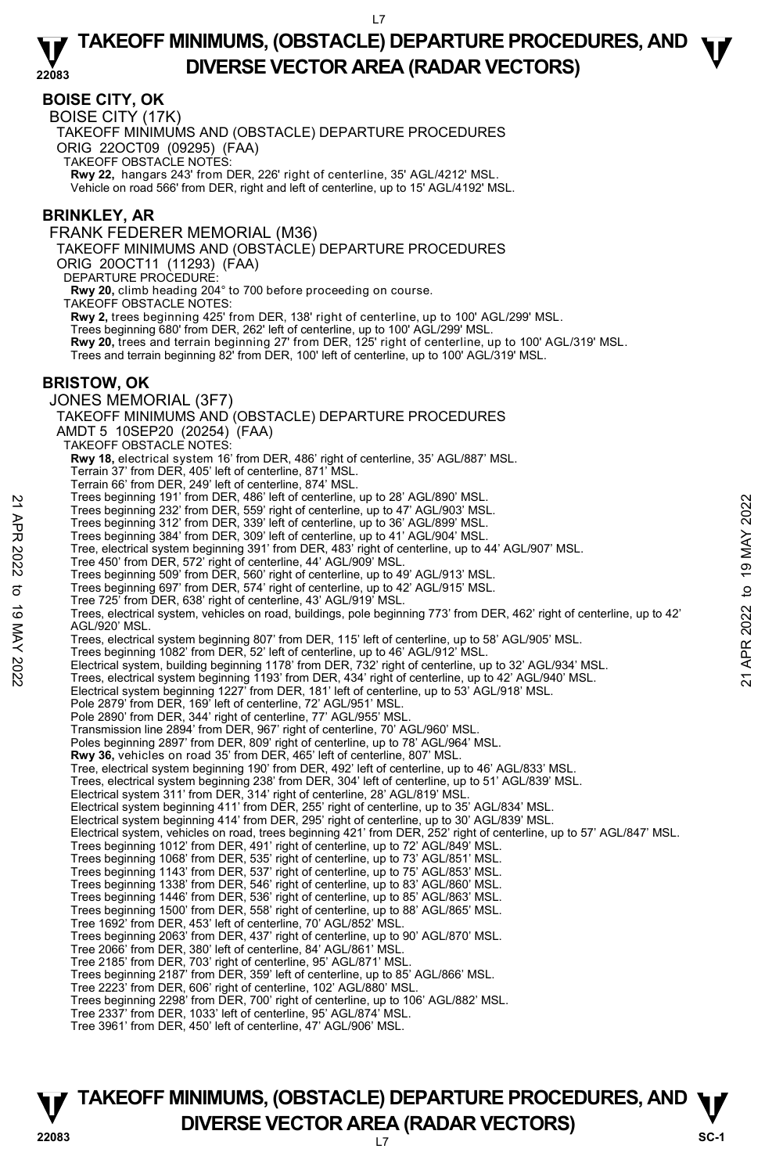### **BOISE CITY, OK**

BOISE CITY (17K)

TAKEOFF MINIMUMS AND (OBSTACLE) DEPARTURE PROCEDURES

ORIG 22OCT09 (09295) (FAA)

TAKEOFF OBSTACLE NOTES:

**Rwy 22,** hangars 243' from DER, 226' right of centerline, 35' AGL/4212' MSL. Vehicle on road 566' from DER, right and left of centerline, up to 15' AGL/4192' MSL.

### **BRINKLEY, AR**

FRANK FEDERER MEMORIAL (M36)

TAKEOFF MINIMUMS AND (OBSTACLE) DEPARTURE PROCEDURES

ORIG 20OCT11 (11293) (FAA)

DEPARTURE PROCEDURE

**Rwy 20,** climb heading 204° to 700 before proceeding on course.

TAKEOFF OBSTACLE NOTES:

**Rwy 2,** trees beginning 425' from DER, 138' right of centerline, up to 100' AGL/299' MSL.

Trees beginning 680' from DER, 262' left of centerline, up to 100' AGL/299' MSL.

**Rwy 20,** trees and terrain beginning 27' from DER, 125' right of centerline, up to 100' AGL/319' MSL.

Trees and terrain beginning 82' from DER, 100' left of centerline, up to 100' AGL/319' MSL.

### **BRISTOW, OK**

JONES MEMORIAL (3F7) TAKEOFF MINIMUMS AND (OBSTACLE) DEPARTURE PROCEDURES AMDT 5 10SEP20 (20254) (FAA) TAKEOFF OBSTACLE NOTES: **Rwy 18,** electrical system 16' from DER, 486' right of centerline, 35' AGL/887' MSL. Terrain 37' from DER, 405' left of centerline, 871' MSL. Terrain 66' from DER, 249' left of centerline, 874' MSL. Trees beginning 191' from DER, 486' left of centerline, up to 28' AGL/890' MSL. Trees beginning 232' from DER, 559' right of centerline, up to 47' AGL/903' MSL. Trees beginning 312' from DER, 339' left of centerline, up to 36' AGL/899' MSL. Trees beginning 384' from DER, 309' left of centerline, up to 41' AGL/904' MSL. Tree, electrical system beginning 391' from DER, 483' right of centerline, up to 44' AGL/907' MSL. Tree 450' from DER, 572' right of centerline, 44' AGL/909' MSL. Trees beginning 509' from DER, 560' right of centerline, up to 49' AGL/913' MSL. Trees beginning 697' from DER, 574' right of centerline, up to 42' AGL/915' MSL. Tree 725' from DER, 638' right of centerline, 43' AGL/919' MSL. Trees, electrical system, vehicles on road, buildings, pole beginning 773' from DER, 462' right of centerline, up to 42' AGL/920' MSL. Trees, electrical system beginning 807' from DER, 115' left of centerline, up to 58' AGL/905' MSL. Trees beginning 1082' from DER, 52' left of centerline, up to 46' AGL/912' MSL. Trees beginning 1917 in mo DER, 459' let of centerline, up to 47' AGL/903' MSL.<br>Trees beginning 312' from DER, 559' right of centerline, up to 47' AGL/903' MSL.<br>Trees beginning 312' from DER, 309' let of centerline, up to Electrical system beginning 1227' from DER, 181' left of centerline, up to 53' AGL/918' MSL. Pole 2879' from DER, 169' left of centerline, 72' AGL/951' MSL. Pole 2890' from DER, 344' right of centerline, 77' AGL/955' MSL. Transmission line 2894' from DER, 967' right of centerline, 70' AGL/960' MSL. Poles beginning 2897' from DER, 809' right of centerline, up to 78' AGL/964' MSL. **Rwy 36,** vehicles on road 35' from DER, 465' left of centerline, 807' MSL. Tree, electrical system beginning 190' from DER, 492' left of centerline, up to 46' AGL/833' MSL. Trees, electrical system beginning 238' from DER, 304' left of centerline, up to 51' AGL/839' MSL. Electrical system 311' from DER, 314' right of centerline, 28' AGL/819' MSL.<br>Electrical system beginning 411' from DER, 255' right of centerline, up to 35' AGL/834' MSL. Electrical system beginning 414' from DER, 295' right of centerline, up to 30' AGL/839' MSL. Electrical system, vehicles on road, trees beginning 421' from DER, 252' right of centerline, up to 57' AGL/847' MSL. Trees beginning 1012' from DER, 491' right of centerline, up to 72' AGL/849' MSL. Trees beginning 1068' from DER, 535' right of centerline, up to 73' AGL/851' MSL. Trees beginning 1143' from DER, 537' right of centerline, up to 75' AGL/853' MSL. Trees beginning 1338' from DER, 546' right of centerline, up to 83' AGL/860' MSL. Trees beginning 1446' from DER, 536' right of centerline, up to 85' AGL/863' MSL. Trees beginning 1500' from DER, 558' right of centerline, up to 88' AGL/865' MSL. Tree 1692' from DER, 453' left of centerline, 70' AGL/852' MSL. Trees beginning 2063' from DER, 437' right of centerline, up to 90' AGL/870' MSL. Tree 2066' from DER, 380' left of centerline, 84' AGL/861' MSL. Tree 2185' from DER, 703' right of centerline, 95' AGL/871' MSL. Trees beginning 2187' from DER, 359' left of centerline, up to 85' AGL/866' MSL. Tree 2223' from DER, 606' right of centerline, 102' AGL/880' MSL. Trees beginning 2298' from DER, 700' right of centerline, up to 106' AGL/882' MSL. Tree 2337' from DER, 1033' left of centerline, 95' AGL/874' MSL. Tree 3961' from DER, 450' left of centerline, 47' AGL/906' MSL.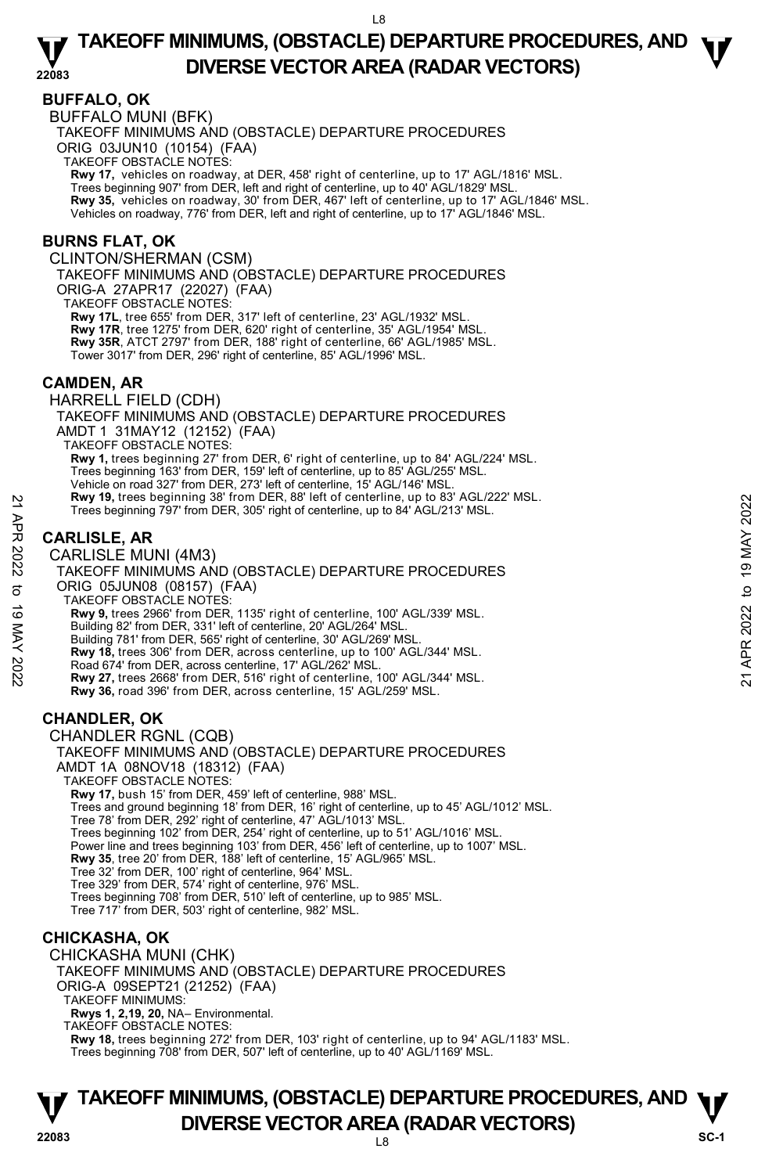### **BUFFALO, OK**

BUFFALO MUNI (BFK)

TAKEOFF MINIMUMS AND (OBSTACLE) DEPARTURE PROCEDURES

ORIG 03JUN10 (10154) (FAA)

TAKEOFF OBSTACLE NOTES:

**Rwy 17,** vehicles on roadway, at DER, 458' right of centerline, up to 17' AGL/1816' MSL.<br>Trees beginning 907' from DER, left and right of centerline, up to 40' AGL/1829' MSL. **Rwy 35,** vehicles on roadway, 30' from DER, 467' left of centerline, up to 17' AGL/1846' MSL. Vehicles on roadway, 776' from DER, left and right of centerline, up to 17' AGL/1846' MSL.

### **BURNS FLAT, OK**

CLINTON/SHERMAN (CSM)

TAKEOFF MINIMUMS AND (OBSTACLE) DEPARTURE PROCEDURES ORIG-A 27APR17 (22027) (FAA)

TAKEOFF OBSTACLE NOTES: **Rwy 17L**, tree 655' from DER, 317' left of centerline, 23' AGL/1932' MSL. **Rwy 17R**, tree 1275' from DER, 620' right of centerline, 35' AGL/1954' MSL.

**Rwy 35R**, ATCT 2797' from DER, 188' right of centerline, 66' AGL/1985' MSL. Tower 3017' from DER, 296' right of centerline, 85' AGL/1996' MSL.

### **CAMDEN, AR**

HARRELL FIELD (CDH) TAKEOFF MINIMUMS AND (OBSTACLE) DEPARTURE PROCEDURES AMDT 1 31MAY12 (12152) (FAA) TAKEOFF OBSTACLE NOTES: **Rwy 1,** trees beginning 27' from DER, 6' right of centerline, up to 84' AGL/224' MSL. Trees beginning 163' from DER, 159' left of centerline, up to 85' AGL/255' MSL. Vehicle on road 327' from DER, 273' left of centerline, 15' AGL/146' MSL. **Rwy 19,** trees beginning 38' from DER, 88' left of centerline, up to 83' AGL/222' MSL. Trees beginning 797' from DER, 305' right of centerline, up to 84' AGL/213' MSL.

# **CARLISLE, AR**

CARLISLE MUNI (4M3) TAKEOFF MINIMUMS AND (OBSTACLE) DEPARTURE PROCEDURES ORIG 05JUN08 (08157) (FAA) TAKEOFF OBSTACLE NOTES: **Rwy 9,** trees 2966' from DER, 1135' right of centerline, 100' AGL/339' MSL. Building 82' from DER, 331' left of centerline, 20' AGL/264' MSL. Building 781' from DER, 565' right of centerline, 30' AGL/269' MSL. **Rwy 18,** trees 306' from DER, across centerline, up to 100' AGL/344' MSL. Road 674' from DER, across centerline, 17' AGL/262' MSL. **Rwy 27,** trees 2668' from DER, 516' right of centerline, 100' AGL/344' MSL. **Rwy 36,** road 396' from DER, across centerline, 15' AGL/259' MSL. **CHANDLER, OK**  CHANDLER RGNL (CQB) TAKEOFF MINIMUMS AND (OBSTACLE) DEPARTURE PROCEDURES AMDT 1A 08NOV18 (18312) (FAA) TAKEOFF OBSTACLE NOTES: **Rwy 17,** bush 15' from DER, 459' left of centerline, 988' MSL. **EXAMPLE 121 APR 2022**<br>
Trees beginning 797' from DER, 305' right of centerline, up to 84' AGL/213' MSL.<br> **CARLISLE, AR**<br> **CARLISLE MUNI (4M3)**<br>
TAKEOFF MINIMUMS AND (OBSTACLE) DEPARTURE PROCEDURES<br>
ORIG 05JJN08 (08157) (

Trees and ground beginning 18' from DER, 16' right of centerline, up to 45' AGL/1012' MSL. Tree 78' from DER, 292' right of centerline, 47' AGL/1013' MSL. Trees beginning 102' from DER, 254' right of centerline, up to 51' AGL/1016' MSL. Power line and trees beginning 103' from DER, 456' left of centerline, up to 1007' MSL. **Rwy 35**, tree 20' from DER, 188' left of centerline, 15' AGL/965' MSL. Tree 32' from DER, 100' right of centerline, 964' MSL. Tree 329' from DER, 574' right of centerline, 976' MSL. Trees beginning 708' from DER, 510' left of centerline, up to 985' MSL.

Tree 717' from DER, 503' right of centerline, 982' MSL.

### **CHICKASHA, OK**

CHICKASHA MUNI (CHK)

TAKEOFF MINIMUMS AND (OBSTACLE) DEPARTURE PROCEDURES ORIG-A 09SEPT21 (21252) (FAA)

TAKEOFF MINIMUMS:

**Rwys 1, 2,19, 20,** NA– Environmental.

TAKEOFF OBSTACLE NOTES:

**Rwy 18,** trees beginning 272' from DER, 103' right of centerline, up to 94' AGL/1183' MSL. Trees beginning 708' from DER, 507' left of centerline, up to 40' AGL/1169' MSL.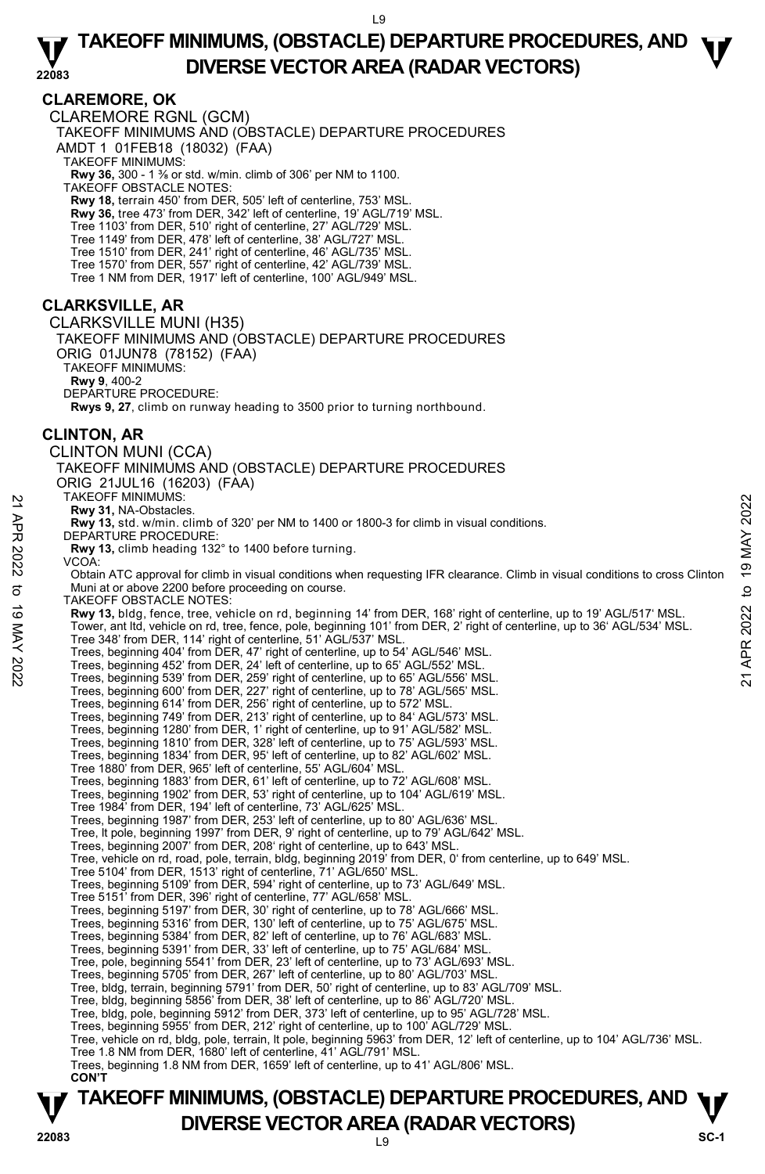# **CLAREMORE, OK**

CLAREMORE RGNL (GCM) TAKEOFF MINIMUMS AND (OBSTACLE) DEPARTURE PROCEDURES AMDT 1 01FEB18 (18032) (FAA) TAKEOFF MINIMUMS: **Rwy 36,** 300 - 1 ⅜ or std. w/min. climb of 306' per NM to 1100. TAKEOFF OBSTACLE NOTES: **Rwy 18,** terrain 450' from DER, 505' left of centerline, 753' MSL. **Rwy 36,** tree 473' from DER, 342' left of centerline, 19' AGL/719' MSL. Tree 1103' from DER, 510' right of centerline, 27' AGL/729' MSL. Tree 1149' from DER, 478' left of centerline, 38' AGL/727' MSL. Tree 1510' from DER, 241' right of centerline, 46' AGL/735' MSL. Tree 1570' from DER, 557' right of centerline, 42' AGL/739' MSL. Tree 1 NM from DER, 1917' left of centerline, 100' AGL/949' MSL. **CLARKSVILLE, AR**  CLARKSVILLE MUNI (H35) TAKEOFF MINIMUMS AND (OBSTACLE) DEPARTURE PROCEDURES ORIG 01JUN78 (78152) (FAA) TAKEOFF MINIMUMS: **Rwy 9**, 400-2 DEPARTURE PROCEDURE: **Rwys 9, 27**, climb on runway heading to 3500 prior to turning northbound. **CLINTON, AR**  CLINTON MUNI (CCA) TAKEOFF MINIMUMS AND (OBSTACLE) DEPARTURE PROCEDURES ORIG 21JUL16 (16203) (FAA) TAKEOFF MINIMUMS: **Rwy 31,** NA-Obstacles. **Rwy 13,** std. w/min. climb of 320' per NM to 1400 or 1800-3 for climb in visual conditions. DEPARTURE PROCEDURE: **Rwy 13,** climb heading 132° to 1400 before turning. VCOA: Obtain ATC approval for climb in visual conditions when requesting IFR clearance. Climb in visual conditions to cross Clinton Muni at or above 2200 before proceeding on course. TAKEOFF OBSTACLE NOTES: **Rwy 13,** bldg, fence, tree, vehicle on rd, beginning 14' from DER, 168' right of centerline, up to 19' AGL/517' MSL.<br>Tower, ant ltd, vehicle on rd, tree, fence, pole, beginning 101' from DER, 2' right of centerline, up to Tree 348' from DER, 114' right of centerline, 51' AGL/537' MSL. Trees, beginning 404' from DER, 47' right of centerline, up to 54' AGL/546' MSL. Trees, beginning 452' from DER, 24' left of centerline, up to 65' AGL/552' MSL. Trees, beginning 539' from DER, 259' right of centerline, up to 65' AGL/556' MSL. Trees, beginning 600' from DER, 227' right of centerline, up to 78' AGL/565' MSL. Trees, beginning 614' from DER, 256' right of centerline, up to 572' MSL. Trees, beginning 749' from DER, 213' right of centerline, up to 84' AGL/573' MSL. Trees, beginning 1280' from DER, 1' right of centerline, up to 91' AGL/582' MSL. Trees, beginning 1810' from DER, 328' left of centerline, up to 75' AGL/593' MSL. Trees, beginning 1834' from DER, 95' left of centerline, up to 82' AGL/602' MSL. Tree 1880' from DER, 965' left of centerline, 55' AGL/604' MSL. Trees, beginning 1883' from DER, 61' left of centerline, up to 72' AGL/608' MSL. Trees, beginning 1902' from DER, 53' right of centerline, up to 104' AGL/619' MSL. Tree 1984' from DER, 194' left of centerline, 73' AGL/625' MSL. Trees, beginning 1987' from DER, 253' left of centerline, up to 80' AGL/636' MSL. Tree, lt pole, beginning 1997' from DER, 9' right of centerline, up to 79' AGL/642' MSL. Trees, beginning 2007' from DER, 208' right of centerline, up to 643' MSL. Tree, vehicle on rd, road, pole, terrain, bldg, beginning 2019' from DER, 0' from centerline, up to 649' MSL. Tree 5104' from DER, 1513' right of centerline, 71' AGL/650' MSL. Trees, beginning 5109' from DER, 594' right of centerline, up to 73' AGL/649' MSL. Tree 5151' from DER, 396' right of centerline, 77' AGL/658' MSL. Trees, beginning 5197' from DER, 30' right of centerline, up to 78' AGL/666' MSL. Trees, beginning 5316' from DER, 130' left of centerline, up to 75' AGL/675' MSL. Trees, beginning 5384' from DER, 82' left of centerline, up to 76' AGL/683' MSL. Trees, beginning 5391' from DER, 33' left of centerline, up to 75' AGL/684' MSL. Tree, pole, beginning 5541' from DER, 23' left of centerline, up to 73' AGL/693' MSL. Trees, beginning 5705' from DER, 267' left of centerline, up to 80' AGL/703' MSL. Tree, bldg, terrain, beginning 5791' from DER, 50' right of centerline, up to 83' AGL/709' MSL. Tree, bldg, beginning 5856' from DER, 38' left of centerline, up to 86' AGL/720' MSL. Tree, bldg, pole, beginning 5912' from DER, 373' left of centerline, up to 95' AGL/728' MSL. Trees, beginning 5955' from DER, 212' right of centerline, up to 100' AGL/729' MSL. Tree, vehicle on rd, bldg, pole, terrain, lt pole, beginning 5963' from DER, 12' left of centerline, up to 104' AGL/736' MSL. Tree 1.8 NM from DER, 1680' left of centerline, 41' AGL/791' MSL. Trees, beginning 1.8 NM from DER, 1659' left of centerline, up to 41' AGL/806' MSL.  **CON'T** 21 AKEOFF MINIMUMIS:<br> **21 APR 2022** The States.<br> **22** Energy 13, std. w/min. climb of 320' per NM to 1400 or 1800-3 for climb in visual conditions.<br>
22 DEPARTURE PROCEDURE:<br>
22 VCOA:<br>
22 VCOA:<br>
22 VCOA:<br>
23 May 13, blind

L9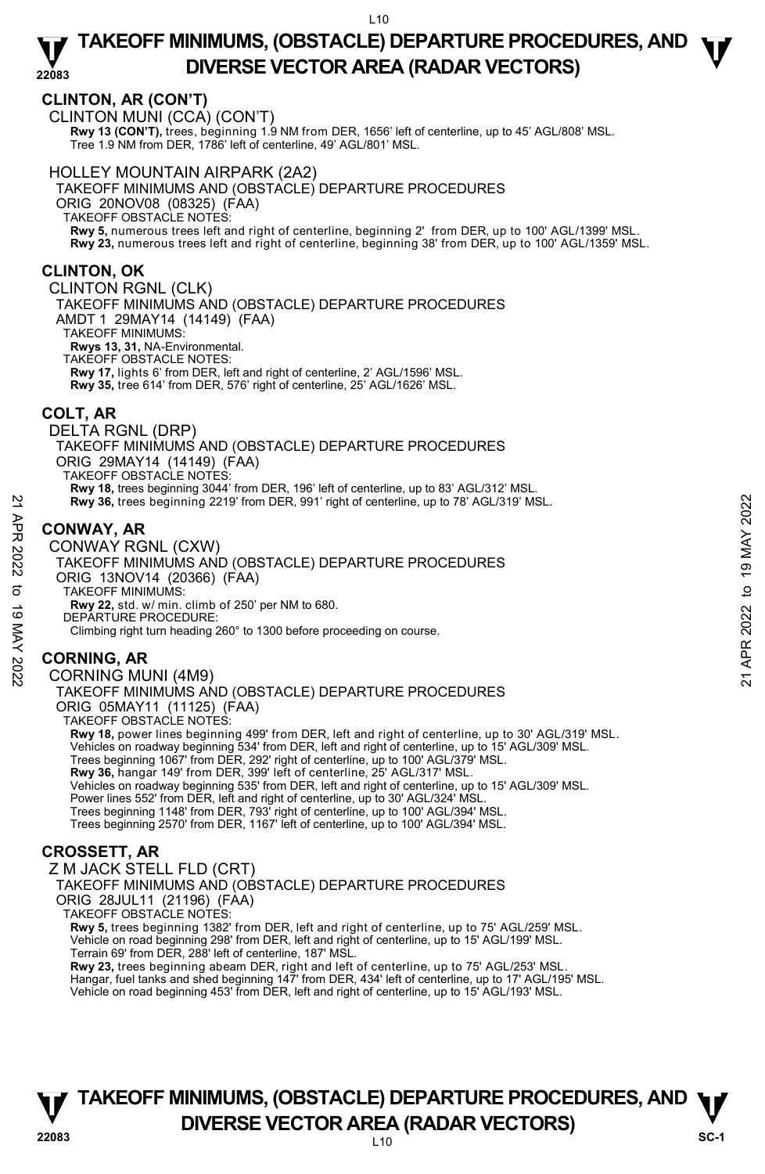# **CLINTON, AR (CON'T)**

CLINTON MUNI (CCA) (CON'T) **Rwy 13 (CON'T),** trees, beginning 1.9 NM from DER, 1656' left of centerline, up to 45' AGL/808' MSL. Tree 1.9 NM from DER, 1786' left of centerline, 49' AGL/801' MSL.

### HOLLEY MOUNTAIN AIRPARK (2A2)

TAKEOFF MINIMUMS AND (OBSTACLE) DEPARTURE PROCEDURES ORIG 20NOV08 (08325) (FAA) TAKEOFF OBSTACLE NOTES: **Rwy 5,** numerous trees left and right of centerline, beginning 2' from DER, up to 100' AGL/1399' MSL. **Rwy 23,** numerous trees left and right of centerline, beginning 38' from DER, up to 100' AGL/1359' MSL.

# **CLINTON, OK**

CLINTON RGNL (CLK) TAKEOFF MINIMUMS AND (OBSTACLE) DEPARTURE PROCEDURES AMDT 1 29MAY14 (14149) (FAA) TAKEOFF MINIMUMS: **Rwys 13, 31,** NA-Environmental. TAKEOFF OBSTACLE NOTES:

**Rwy 17,** lights 6' from DER, left and right of centerline, 2' AGL/1596' MSL. **Rwy 35,** tree 614' from DER, 576' right of centerline, 25' AGL/1626' MSL.

### **COLT, AR**

DELTA RGNL (DRP) TAKEOFF MINIMUMS AND (OBSTACLE) DEPARTURE PROCEDURES ORIG 29MAY14 (14149) (FAA) TAKEOFF OBSTACLE NOTES: **Rwy 18,** trees beginning 3044' from DER, 196' left of centerline, up to 83' AGL/312' MSL.

**Rwy 36,** trees beginning 2219' from DER, 991' right of centerline, up to 78' AGL/319' MSL.

# **CONWAY, AR**

CONWAY RGNL (CXW) TAKEOFF MINIMUMS AND (OBSTACLE) DEPARTURE PROCEDURES ORIG 13NOV14 (20366) (FAA) TAKEOFF MINIMUMS: **Rwy 22,** std. w/ min. climb of 250' per NM to 680. DEPARTURE PROCEDURE: Climbing right turn heading 260° to 1300 before proceeding on course. Rwy 36, trees beginning 2219' from DER, 991' right of centerline, up to 78' AGL/319' MSL.<br>
22<br> **CONWAY, AR**<br>
CONWAY RGNL (CXW)<br>
TAKEOFF MINIMUMS AND (OBSTACLE) DEPARTURE PROCEDURES<br>
ORIG 13NOV14 (20366) (FAA)<br>
TAKEOFF MIN

# **CORNING, AR**

CORNING MUNI (4M9) TAKEOFF MINIMUMS AND (OBSTACLE) DEPARTURE PROCEDURES ORIG 05MAY11 (11125) (FAA) TAKEOFF OBSTACLE NOTES:

**Rwy 18,** power lines beginning 499' from DER, left and right of centerline, up to 30' AGL/319' MSL. Vehicles on roadway beginning 534' from DER, left and right of centerline, up to 15' AGL/309' MSL.<br>Trees beginning 1067' from DER, 292' right of centerline, up to 100' AGL/379' MSL.<br>**Rwy 36,** hangar 149' from DER, 399' lef Vehicles on roadway beginning 535' from DER, left and right of centerline, up to 15' AGL/309' MSL. Power lines 552' from DER, left and right of centerline, up to 30' AGL/324' MSL. Trees beginning 1148' from DER, 793' right of centerline, up to 100' AGL/394' MSL. Trees beginning 2570' from DER, 1167' left of centerline, up to 100' AGL/394' MSL.

# **CROSSETT, AR**

Z M JACK STELL FLD (CRT) TAKEOFF MINIMUMS AND (OBSTACLE) DEPARTURE PROCEDURES ORIG 28JUL11 (21196) (FAA) TAKEOFF OBSTACLE NOTES:

**Rwy 5,** trees beginning 1382' from DER, left and right of centerline, up to 75' AGL/259' MSL. Vehicle on road beginning 298' from DER, left and right of centerline, up to 15' AGL/199' MSL. Terrain 69' from DER, 288' left of centerline, 187' MSL.

**Rwy 23,** trees beginning abeam DER, right and left of centerline, up to 75' AGL/253' MSL.<br>Hangar, fuel tanks and shed beginning 147' from DER, 434' left of centerline, up to 17' AGL/195' MSL. Vehicle on road beginning 453' from DER, left and right of centerline, up to 15' AGL/193' MSL.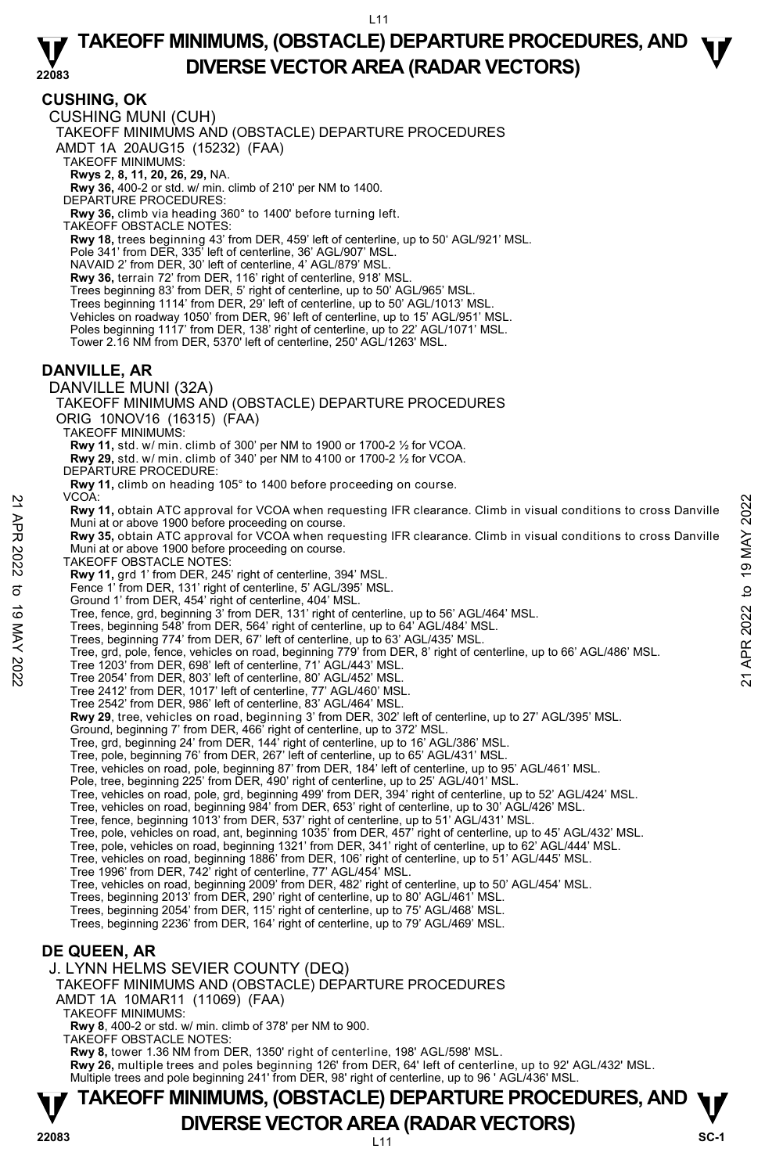**CUSHING, OK**  CUSHING MUNI (CUH) TAKEOFF MINIMUMS AND (OBSTACLE) DEPARTURE PROCEDURES AMDT 1A 20AUG15 (15232) (FAA) TAKEOFF MINIMUMS: **Rwys 2, 8, 11, 20, 26, 29,** NA. **Rwy 36,** 400-2 or std. w/ min. climb of 210' per NM to 1400. DEPARTURE PROCEDURES: **Rwy 36,** climb via heading 360° to 1400' before turning left. TAKEOFF OBSTACLE NOTES: **Rwy 18,** trees beginning 43' from DER, 459' left of centerline, up to 50' AGL/921' MSL. Pole 341' from DER, 335' left of centerline, 36' AGL/907' MSL. NAVAID 2' from DER, 30' left of centerline, 4' AGL/879' MSL. **Rwy 36,** terrain 72' from DER, 116' right of centerline, 918' MSL. Trees beginning 83' from DER, 5' right of centerline, up to 50' AGL/965' MSL. Trees beginning 1114' from DER, 29' left of centerline, up to 50' AGL/1013' MSL. Vehicles on roadway 1050' from DER, 96' left of centerline, up to 15' AGL/951' MSL. Poles beginning 1117' from DER, 138' right of centerline, up to 22' AGL/1071' MSL. Tower 2.16 NM from DER, 5370' left of centerline, 250' AGL/1263' MSL. **DANVILLE, AR**  DANVILLE MUNI (32A) TAKEOFF MINIMUMS AND (OBSTACLE) DEPARTURE PROCEDURES ORIG 10NOV16 (16315) (FAA) TAKEOFF MINIMUMS: **Rwy 11,** std. w/ min. climb of 300' per NM to 1900 or 1700-2 ½ for VCOA. **Rwy 29,** std. w/ min. climb of 340' per NM to 4100 or 1700-2 ½ for VCOA. DEPARTURE PROCEDURE: **Rwy 11,** climb on heading 105° to 1400 before proceeding on course. VCOA: **Rwy 11,** obtain ATC approval for VCOA when requesting IFR clearance. Climb in visual conditions to cross Danville Muni at or above 1900 before proceeding on course.<br>**Rwy 35,** obtain ATC approval for VCOA when requesting IFR clearance. Climb in visual conditions to cross Danville Muni at or above 1900 before proceeding on course. TAKEOFF OBSTACLE NOTES: **Rwy 11,** grd 1' from DER, 245' right of centerline, 394' MSL. Fence 1' from DER, 131' right of centerline, 5' AGL/395' MSL. Ground 1' from DER, 454' right of centerline, 404' MSL. Tree, fence, grd, beginning 3' from DER, 131' right of centerline, up to 56' AGL/464' MSL. Trees, beginning 548' from DER, 564' right of centerline, up to 64' AGL/484' MSL. Trees, beginning 774' from DER, 67' left of centerline, up to 63' AGL/435' MSL. Tree, grd, pole, fence, vehicles on road, beginning 779' from DER, 8' right of centerline, up to 66' AGL/486' MSL. Tree 1203' from DER, 698' left of centerline, 71' AGL/443' MSL. Tree 2054' from DER, 803' left of centerline, 80' AGL/452' MSL. Tree 2412' from DER, 1017' left of centerline, 77' AGL/460' MSL. Tree 2542' from DER, 986' left of centerline, 83' AGL/464' MSL. **Rwy 29**, tree, vehicles on road, beginning 3' from DER, 302' left of centerline, up to 27' AGL/395' MSL. Ground, beginning 7' from DER, 466' right of centerline, up to 372' MSL. Tree, grd, beginning 24' from DER, 144' right of centerline, up to 16' AGL/386' MSL. Tree, pole, beginning 76' from DER, 267' left of centerline, up to 65' AGL/431' MSL. Tree, vehicles on road, pole, beginning 87' from DER, 184' left of centerline, up to 95' AGL/461' MSL. Pole, tree, beginning 225' from DER, 490' right of centerline, up to 25' AGL/401' MSL. Tree, vehicles on road, pole, grd, beginning 499' from DER, 394' right of centerline, up to 52' AGL/424' MSL.<br>Tree, vehicles on road, beginning 984' from DER, 653' right of centerline, up to 30' AGL/426' MSL.<br>Tree, fence, Tree, pole, vehicles on road, ant, beginning 1035' from DER, 457' right of centerline, up to 45' AGL/432' MSL.<br>Tree, pole, vehicles on road, beginning 1321' from DER, 341' right of centerline, up to 62' AGL/444' MSL.<br>Tree, Tree 1996' from DER, 742' right of centerline, 77' AGL/454' MSL. Tree, vehicles on road, beginning 2009' from DER, 482' right of centerline, up to 50' AGL/454' MSL.<br>Trees, beginning 2013' from DER, 290' right of centerline, up to 80' AGL/461' MSL. Trees, beginning 2054' from DER, 115' right of centerline, up to 75' AGL/468' MSL. Trees, beginning 2236' from DER, 164' right of centerline, up to 79' AGL/469' MSL. **DE QUEEN, AR**  J. LYNN HELMS SEVIER COUNTY (DEQ) TAKEOFF MINIMUMS AND (OBSTACLE) DEPARTURE PROCEDURES AMDT 1A 10MAR11 (11069) (FAA) TAKEOFF MINIMUMS: **Rwy 8**, 400-2 or std. w/ min. climb of 378' per NM to 900. 22 VCOA:<br>
22 KWY 11, obtain ATC approval for VCOA when requesting IFR clearance. Climb in visual conditions to cross Danville<br>
22 Muni at or above 1900 before proceeding on course.<br>
22 Muni at or above 1900 before proceed

TAKEOFF OBSTACLE NOTES:

**Rwy 8,** tower 1.36 NM from DER, 1350' right of centerline, 198' AGL/598' MSL. **Rwy 26,** multiple trees and poles beginning 126' from DER, 64' left of centerline, up to 92' AGL/432' MSL.

Multiple trees and pole beginning 241' from DER, 98' right of centerline, up to 96 ' AGL/436' MSL.

# **TAKEOFF MINIMUMS, (OBSTACLE) DEPARTURE PROCEDURES, AND**  $\Psi$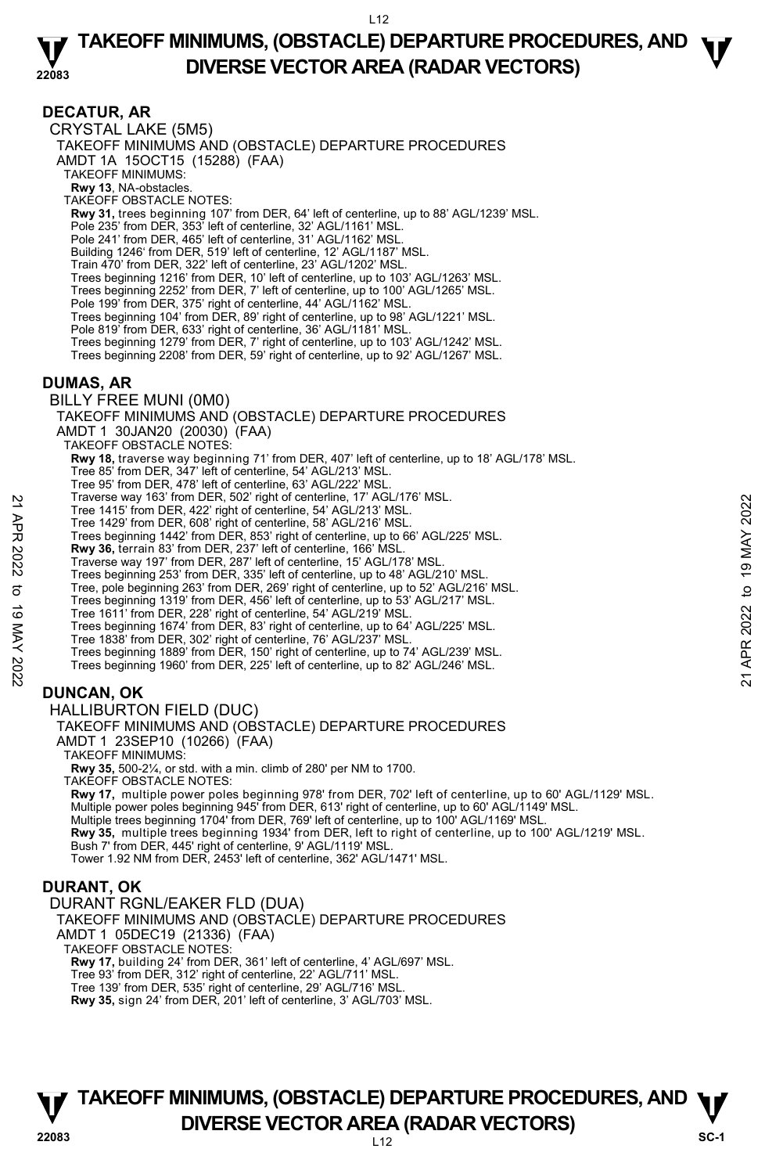### **DECATUR, AR**

CRYSTAL LAKE (5M5) TAKEOFF MINIMUMS AND (OBSTACLE) DEPARTURE PROCEDURES AMDT 1A 15OCT15 (15288) (FAA) TAKEOFF MINIMUMS: **Rwy 13**, NA-obstacles. TAKEOFF OBSTACLE NOTES: **Rwy 31,** trees beginning 107' from DER, 64' left of centerline, up to 88' AGL/1239' MSL. Pole 235' from DER, 353' left of centerline, 32' AGL/1161' MSL. Pole 241' from DER, 465' left of centerline, 31' AGL/1162' MSL. Building 1246' from DER, 519' left of centerline, 12' AGL/1187' MSL. Train 470' from DER, 322' left of centerline, 23' AGL/1202' MSL. Trees beginning 1216' from DER, 10' left of centerline, up to 103' AGL/1263' MSL. Trees beginning 2252' from DER, 7' left of centerline, up to 100' AGL/1265' MSL. Pole 199' from DER, 375' right of centerline, 44' AGL/1162' MSL. Trees beginning 104' from DER, 89' right of centerline, up to 98' AGL/1221' MSL. Pole 819' from DER, 633' right of centerline, 36' AGL/1181' MSL. Trees beginning 1279' from DER, 7' right of centerline, up to 103' AGL/1242' MSL. Trees beginning 2208' from DER, 59' right of centerline, up to 92' AGL/1267' MSL. **DUMAS, AR**  BILLY FREE MUNI (0M0) TAKEOFF MINIMUMS AND (OBSTACLE) DEPARTURE PROCEDURES AMDT 1 30JAN20 (20030) (FAA) TAKEOFF OBSTACLE NOTES: **Rwy 18,** traverse way beginning 71' from DER, 407' left of centerline, up to 18' AGL/178' MSL. Tree 85' from DER, 347' left of centerline, 54' AGL/213' MSL. Tree 95' from DER, 478' left of centerline, 63' AGL/222' MSL. Traverse way 163' from DER, 502' right of centerline, 17' AGL/176' MSL. Tree 1415' from DER, 422' right of centerline, 54' AGL/213' MSL. Tree 1429' from DER, 608' right of centerline, 58' AGL/216' MSL. Trees beginning 1442' from DER, 853' right of centerline, up to 66' AGL/225' MSL. **Rwy 36,** terrain 83' from DER, 237' left of centerline, 166' MSL. Traverse way 197' from DER, 287' left of centerline, 15' AGL/178' MSL. Trees beginning 253' from DER, 335' left of centerline, up to 48' AGL/210' MSL. Tree, pole beginning 263' from DER, 269' right of centerline, up to 52' AGL/216' MSL. Trees beginning 1319' from DER, 456' left of centerline, up to 53' AGL/217' MSL. Tree 1611' from DER, 228' right of centerline, 54' AGL/219' MSL. Trees beginning 1674' from DER, 83' right of centerline, up to 64' AGL/225' MSL. Tree 1838' from DER, 302' right of centerline, 76' AGL/237' MSL. Trees beginning 1889' from DER, 150' right of centerline, up to 74' AGL/239' MSL. Trees beginning 1960' from DER, 225' left of centerline, up to 82' AGL/246' MSL. **DUNCAN, OK**  HALLIBURTON FIELD (DUC) TAKEOFF MINIMUMS AND (OBSTACLE) DEPARTURE PROCEDURES AMDT 1 23SEP10 (10266) (FAA) TAKEOFF MINIMUMS: **Rwy 35,** 500-2¼, or std. with a min. climb of 280' per NM to 1700. Tree 1415' from DER, 422' right of centerline, 8<sup>1</sup> AGL/213' MSL.<br>
Tree 1415' from DER, 608' right of centerline, 58' AGL/213' MSL.<br>
Tree 1429' from DER, 608' right of centerline, 58' AGL/216' MSL.<br> **EVAR 2022** Trees begin

TAKEOFF OBSTACLE NOTES: **Rwy 17,** multiple power poles beginning 978' from DER, 702' left of centerline, up to 60' AGL/1129' MSL.<br>Multiple power poles beginning 945' from DER, 613' right of centerline, up to 60' AGL/1149' MSL. Multiple trees beginning 1704' from DER, 769' left of centerline, up to 100' AGL/1169' MSL. **Rwy 35,** multiple trees beginning 1934' from DER, left to right of centerline, up to 100' AGL/1219' MSL. Bush 7' from DER, 445' right of centerline, 9' AGL/1119' MSL. Tower 1.92 NM from DER, 2453' left of centerline, 362' AGL/1471' MSL.

### **DURANT, OK**

DURANT RGNL/EAKER FLD (DUA) TAKEOFF MINIMUMS AND (OBSTACLE) DEPARTURE PROCEDURES AMDT 1 05DEC19 (21336) (FAA) TAKEOFF OBSTACLE NOTES: **Rwy 17,** building 24' from DER, 361' left of centerline, 4' AGL/697' MSL. Tree 93' from DER, 312' right of centerline, 22' AGL/711' MSL. Tree 139' from DER, 535' right of centerline, 29' AGL/716' MSL.

**Rwy 35,** sign 24' from DER, 201' left of centerline, 3' AGL/703' MSL.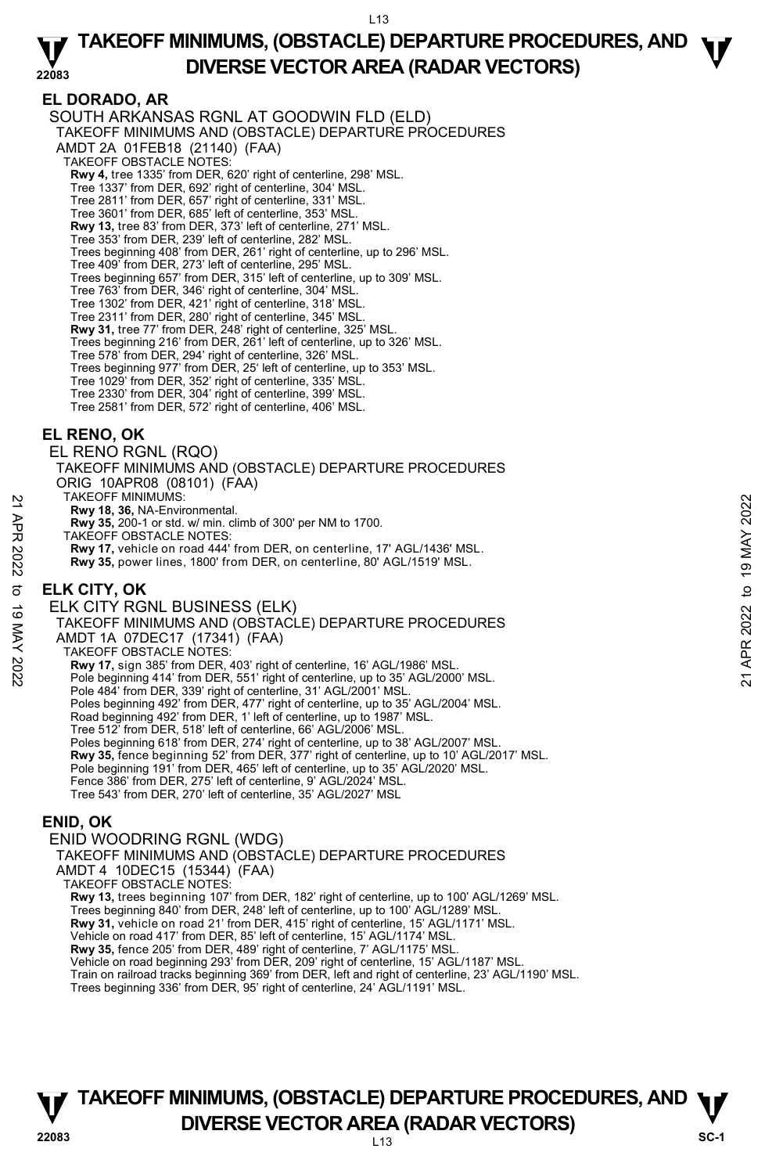### **22083 TAKEOFF MINIMUMS, (OBSTACLE) DEPARTURE PROCEDURES, AND**  $\Psi$ **DIVERSE VECTOR AREA (RADAR VECTORS)**

# **EL DORADO, AR**

SOUTH ARKANSAS RGNL AT GOODWIN FLD (ELD) TAKEOFF MINIMUMS AND (OBSTACLE) DEPARTURE PROCEDURES AMDT 2A 01FEB18 (21140) (FAA) TAKEOFF OBSTACLE NOTES: **Rwy 4,** tree 1335' from DER, 620' right of centerline, 298' MSL. Tree 1337' from DER, 692' right of centerline, 304' MSL. Tree 2811' from DER, 657' right of centerline, 331' MSL. Tree 3601' from DER, 685' left of centerline, 353' MSL. **Rwy 13,** tree 83' from DER, 373' left of centerline, 271' MSL. Tree 353' from DER, 239' left of centerline, 282' MSL. Trees beginning 408' from DER, 261' right of centerline, up to 296' MSL. Tree 409' from DER, 273' left of centerline, 295' MSL. Trees beginning 657' from DER, 315' left of centerline, up to 309' MSL. Tree 763' from DER, 346' right of centerline, 304' MSL. Tree 1302' from DER, 421' right of centerline, 318' MSL. Tree 2311' from DER, 280' right of centerline, 345' MSL. **Rwy 31,** tree 77' from DER, 248' right of centerline, 325' MSL. Trees beginning 216' from DER, 261' left of centerline, up to 326' MSL. Tree 578' from DER, 294' right of centerline, 326' MSL. Trees beginning 977' from DER, 25' left of centerline, up to 353' MSL. Tree 1029' from DER, 352' right of centerline, 335' MSL. Tree 2330' from DER, 304' right of centerline, 399' MSL. Tree 2581' from DER, 572' right of centerline, 406' MSL.

### **EL RENO, OK**

EL RENO RGNL (RQO) TAKEOFF MINIMUMS AND (OBSTACLE) DEPARTURE PROCEDURES ORIG 10APR08 (08101) (FAA) TAKEOFF MINIMUMS: **Rwy 18, 36,** NA-Environmental. **Rwy 35,** 200-1 or std. w/ min. climb of 300' per NM to 1700. TAKEOFF OBSTACLE NOTES: **Rwy 17,** vehicle on road 444' from DER, on centerline, 17' AGL/1436' MSL. **Rwy 35,** power lines, 1800' from DER, on centerline, 80' AGL/1519' MSL. **ELK CITY, OK**  ELK CITY RGNL BUSINESS (ELK) TAKEOFF MINIMUMS AND (OBSTACLE) DEPARTURE PROCEDURES AMDT 1A 07DEC17 (17341) (FAA) TAKEOFF OBSTACLE NOTES: **Rwy 17,** sign 385' from DER, 403' right of centerline, 16' AGL/1986' MSL. Pole beginning 414' from DER, 551' right of centerline, up to 35' AGL/2000' MSL. Pole 484' from DER, 339' right of centerline, 31' AGL/2001' MSL. Poles beginning 492' from DER, 477' right of centerline, up to 35' AGL/2004' MSL. Road beginning 492' from DER, 1' left of centerline, up to 1987' MSL. Tree 512' from DER, 518' left of centerline, 66' AGL/2006' MSL. Poles beginning 618' from DER, 274' right of centerline, up to 38' AGL/2007' MSL **Rwy 35,** fence beginning 52' from DER, 377' right of centerline, up to 10' AGL/2017' MSL. Pole beginning 191' from DER, 465' left of centerline, up to 35' AGL/2020' MSL. Fence 386' from DER, 275' left of centerline, 9' AGL/2024' MSL. Tree 543' from DER, 270' left of centerline, 35' AGL/2027' MSL 1 AKEOFF MINIMUMS:<br>
22 TAKEOFF OBSTACLE NOTES:<br>
TAKEOFF OBSTACLE NOTES:<br>
TAKEOFF OBSTACLE NOTES:<br>
22 TAKEOFF MINIMUMS and 0 from DER, on centerline, 17' AGL/1436' MSL.<br>
22 Rwy 35, power lines, 1800' from DER, on centerline

# **ENID, OK**

ENID WOODRING RGNL (WDG) TAKEOFF MINIMUMS AND (OBSTACLE) DEPARTURE PROCEDURES AMDT 4 10DEC15 (15344) (FAA) TAKEOFF OBSTACLE NOTES: **Rwy 13,** trees beginning 107' from DER, 182' right of centerline, up to 100' AGL/1269' MSL. Trees beginning 840' from DER, 248' left of centerline, up to 100' AGL/1289' MSL. **Rwy 31,** vehicle on road 21' from DER, 415' right of centerline, 15' AGL/1171' MSL.<br>Vehicle on road 417' from DER, 85' left of centerline, 15' AGL/1174' MSL. **Rwy 35,** fence 205' from DER, 489' right of centerline, 7' AGL/1175' MSL. Vehicle on road beginning 293' from DER, 209' right of centerline, 15' AGL/1187' MSL. Train on railroad tracks beginning 369' from DER, left and right of centerline, 23' AGL/1190' MSL. Trees beginning 336' from DER, 95' right of centerline, 24' AGL/1191' MSL.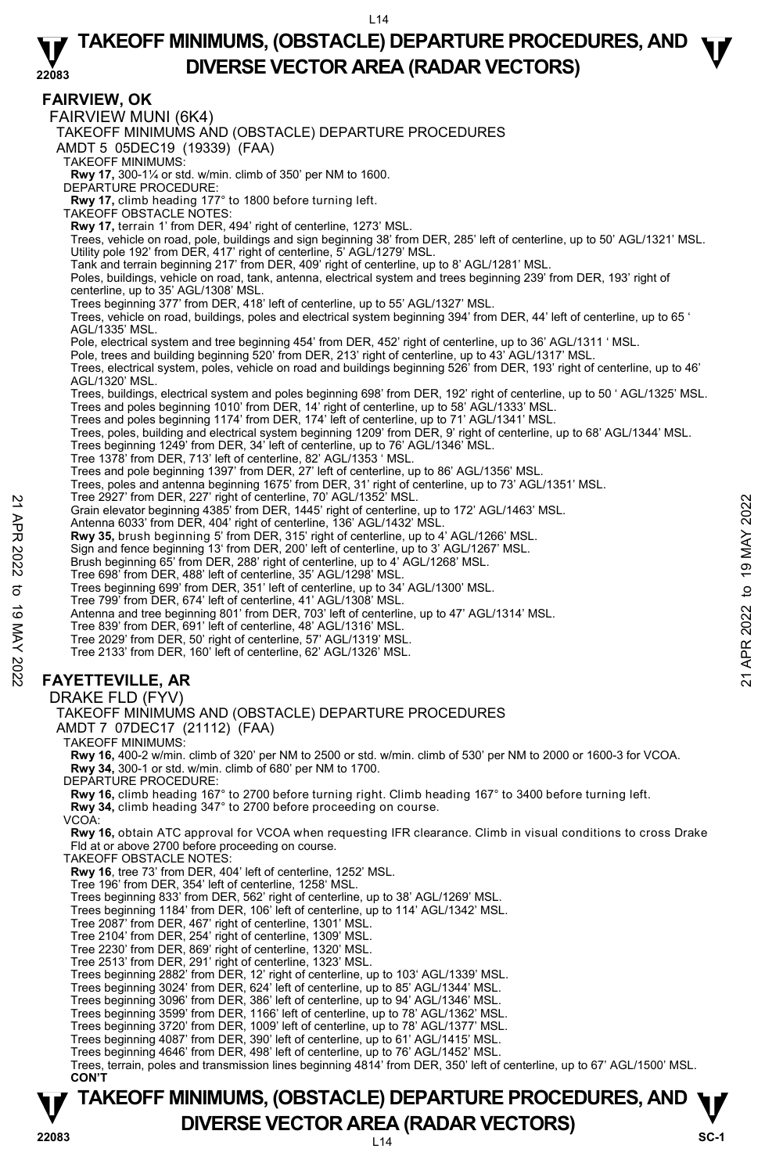### **22083 TAKEOFF MINIMUMS, (OBSTACLE) DEPARTURE PROCEDURES, AND**  $\Psi$ **DIVERSE VECTOR AREA (RADAR VECTORS)**

**TAKEOFF MINIMUMS, (OBSTACLE) DEPARTURE PROCEDURES, AND**  $\Psi$ **FAIRVIEW, OK**  FAIRVIEW MUNI (6K4) TAKEOFF MINIMUMS AND (OBSTACLE) DEPARTURE PROCEDURES AMDT 5 05DEC19 (19339) (FAA) TAKEOFF MINIMUMS: **Rwy 17,** 300-1¼ or std. w/min. climb of 350' per NM to 1600. DEPARTURE PROCEDURE: **Rwy 17,** climb heading 177° to 1800 before turning left. TAKEOFF OBSTACLE NOTES: **Rwy 17,** terrain 1' from DER, 494' right of centerline, 1273' MSL. Trees, vehicle on road, pole, buildings and sign beginning 38' from DER, 285' left of centerline, up to 50' AGL/1321' MSL. Utility pole 192' from DER, 417' right of centerline, 5' AGL/1279' MSL. Tank and terrain beginning 217' from DER, 409' right of centerline, up to 8' AGL/1281' MSL. Poles, buildings, vehicle on road, tank, antenna, electrical system and trees beginning 239' from DER, 193' right of centerline, up to 35' AGL/1308' MSL. Trees beginning 377' from DER, 418' left of centerline, up to 55' AGL/1327' MSL. Trees, vehicle on road, buildings, poles and electrical system beginning 394' from DER, 44' left of centerline, up to 65 ' AGL/1335' MSL. Pole, electrical system and tree beginning 454' from DER, 452' right of centerline, up to 36' AGL/1311 ' MSL. Pole, trees and building beginning 520' from DER, 213' right of centerline, up to 43' AGL/1317' MSL.<br>Trees, electrical system, poles, vehicle on road and buildings beginning 526' from DER, 193' right of centerline, up to 4 AGL/1320' MSL. Trees, buildings, electrical system and poles beginning 698' from DER, 192' right of centerline, up to 50 ' AGL/1325' MSL.<br>Trees and poles beginning 1010' from DER, 14' right of centerline, up to 58' AGL/1333' MSL. Trees and poles beginning 1174' from DER, 174' left of centerline, up to 71' AGL/1341' MSL. Trees, poles, building and electrical system beginning 1209' from DER, 9' right of centerline, up to 68' AGL/1344' MSL. Trees beginning 1249' from DER, 34' left of centerline, up to 76' AGL/1346' MSL. Tree 1378' from DER, 713' left of centerline, 82' AGL/1353 ' MSL. Trees and pole beginning 1397' from DER, 27' left of centerline, up to 86' AGL/1356' MSL. Trees, poles and antenna beginning 1675' from DER, 31' right of centerline, up to 73' AGL/1351' MSL.<br>Tree 2927' from DER, 227' right of centerline, 70' AGL/1352' MSL. Grain elevator beginning 4385' from DER, 1445' right of centerline, up to 172' AGL/1463' MSL. Antenna 6033' from DER, 404' right of centerline, 136' AGL/1432' MSL. **Rwy 35,** brush beginning 5' from DER, 315' right of centerline, up to 4' AGL/1266' MSL. Sign and fence beginning 13' from DER, 200' left of centerline, up to 3' AGL/1267' MSL. Brush beginning 65' from DER, 288' right of centerline, up to 4' AGL/1268' MSL. Tree 698' from DER, 488' left of centerline, 35' AGL/1298' MSL. Trees beginning 699' from DER, 351' left of centerline, up to 34' AGL/1300' MSL. Tree 799' from DER, 674' left of centerline, 41' AGL/1308' MSL. Antenna and tree beginning 801' from DER, 703' left of centerline, up to 47' AGL/1314' MSL. Tree 839' from DER, 691' left of centerline, 48' AGL/1316' MSL. Tree 2029' from DER, 50' right of centerline, 57' AGL/1319' MSL. Tree 2133' from DER, 160' left of centerline, 62' AGL/1326' MSL. **FAYETTEVILLE, AR**  DRAKE FLD (FYV) TAKEOFF MINIMUMS AND (OBSTACLE) DEPARTURE PROCEDURES AMDT 7 07DEC17 (21112) (FAA) TAKEOFF MINIMUMS: **Rwy 16,** 400-2 w/min. climb of 320' per NM to 2500 or std. w/min. climb of 530' per NM to 2000 or 1600-3 for VCOA. **Rwy 34,** 300-1 or std. w/min. climb of 680' per NM to 1700. DEPARTURE PROCEDURE: **Rwy 16,** climb heading 167° to 2700 before turning right. Climb heading 167° to 3400 before turning left. **Rwy 34,** climb heading 347° to 2700 before proceeding on course. VCOA: **Rwy 16,** obtain ATC approval for VCOA when requesting IFR clearance. Climb in visual conditions to cross Drake<br>Fld at or above 2700 before proceeding on course. TAKEOFF OBSTACLE NOTES: **Rwy 16**, tree 73' from DER, 404' left of centerline, 1252' MSL. Tree 196' from DER, 354' left of centerline, 1258' MSL. Trees beginning 833' from DER, 562' right of centerline, up to 38' AGL/1269' MSL. Trees beginning 1184' from DER, 106' left of centerline, up to 114' AGL/1342' MSL. Tree 2087' from DER, 467' right of centerline, 1301' MSL. Tree 2104' from DER, 254' right of centerline, 1309' MSL. Tree 2230' from DER, 869' right of centerline, 1320' MSL. Tree 2513' from DER, 291' right of centerline, 1323' MSL. Trees beginning 2882' from DER, 12' right of centerline, up to 103' AGL/1339' MSL. Trees beginning 3024' from DER, 624' left of centerline, up to 85' AGL/1344' MSL. Trees beginning 3096' from DER, 386' left of centerline, up to 94' AGL/1346' MSL. Trees beginning 3599' from DER, 1166' left of centerline, up to 78' AGL/1362' MSL.<br>Trees beginning 3720' from DER, 1009' left of centerline, up to 78' AGL/1377' MSL.<br>Trees beginning 4087' from DER, 390' left of centerline, Trees beginning 4646' from DER, 498' left of centerline, up to 76' AGL/1452' MSL. Trees, terrain, poles and transmission lines beginning 4814' from DER, 350' left of centerline, up to 67' AGL/1500' MSL. **CON'T**  Tree 2927 from DER, 227 ingto Tenterline,  $(1)$  AGL/1332' MSL.<br>
Crain elevator beginning 4385' from DER, 1445' right of centerline, up to 172' AGL/1483' MSL.<br>
Antenna 6033' from DER, 404' right of centerline, 136' AGL/143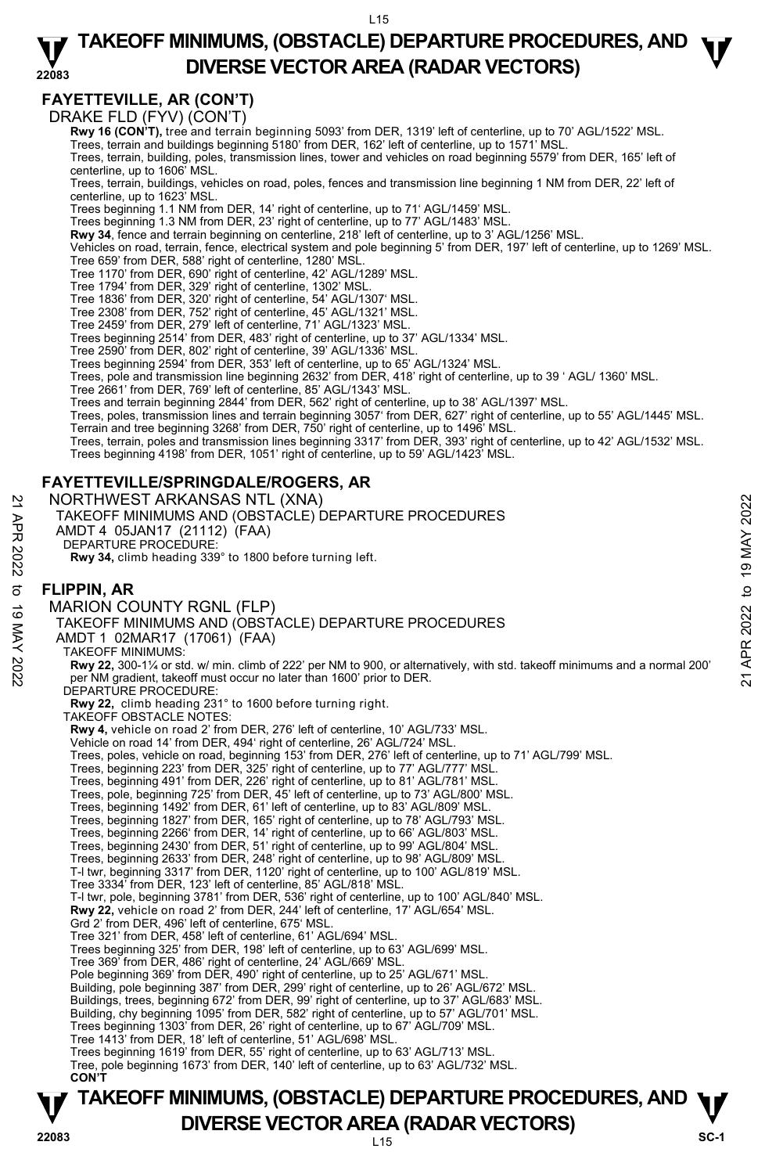#### **22083 TAKEOFF MINIMUMS, (OBSTACLE) DEPARTURE PROCEDURES, AND**  $\Psi$ **DIVERSE VECTOR AREA (RADAR VECTORS)**

# **FAYETTEVILLE, AR (CON'T)**

DRAKE FLD (FYV) (CON'T)

**Rwy 16 (CON'T),** tree and terrain beginning 5093' from DER, 1319' left of centerline, up to 70' AGL/1522' MSL.

Trees, terrain and buildings beginning 5180' from DER, 162' left of centerline, up to 1571' MSL.

Trees, terrain, building, poles, transmission lines, tower and vehicles on road beginning 5579' from DER, 165' left of centerline, up to 1606' MSL.

Trees, terrain, buildings, vehicles on road, poles, fences and transmission line beginning 1 NM from DER, 22' left of centerline, up to 1623' MSL.

Trees beginning 1.1 NM from DER, 14' right of centerline, up to 71' AGL/1459' MSL.

Trees beginning 1.3 NM from DER, 23' right of centerline, up to 77' AGL/1483' MSL.

 **Rwy 34**, fence and terrain beginning on centerline, 218' left of centerline, up to 3' AGL/1256' MSL.

Vehicles on road, terrain, fence, electrical system and pole beginning 5' from DER, 197' left of centerline, up to 1269' MSL. Tree 659' from DER, 588' right of centerline, 1280' MSL.

Tree 1170' from DER, 690' right of centerline, 42' AGL/1289' MSL.

Tree 1794' from DER, 329' right of centerline, 1302' MSL.

Tree 1836' from DER, 320' right of centerline, 54' AGL/1307' MSL.

Tree 2308' from DER, 752' right of centerline, 45' AGL/1321' MSL. Tree 2459' from DER, 279' left of centerline, 71' AGL/1323' MSL.

Trees beginning 2514' from DER, 483' right of centerline, up to 37' AGL/1334' MSL.

Tree 2590' from DER, 802' right of centerline, 39' AGL/1336' MSL. Trees beginning 2594' from DER, 353' left of centerline, up to 65' AGL/1324' MSL.

Trees, pole and transmission line beginning 2632' from DER, 418' right of centerline, up to 39 ' AGL/ 1360' MSL.

Tree 2661' from DER, 769' left of centerline, 85' AGL/1343' MSL.

Trees and terrain beginning 2844' from DER, 562' right of centerline, up to 38' AGL/1397' MSL.

Trees, poles, transmission lines and terrain beginning 3057' from DER, 627' right of centerline, up to 55' AGL/1445' MSL. Terrain and tree beginning 3268' from DER, 750' right of centerline, up to 1496' MSL.

Trees, terrain, poles and transmission lines beginning 3317' from DER, 393' right of centerline, up to 42' AGL/1532' MSL. Trees beginning 4198' from DER, 1051' right of centerline, up to 59' AGL/1423' MSL.

### **FAYETTEVILLE/SPRINGDALE/ROGERS, AR**

NORTHWEST ARKANSAS NTL (XNA)

- TAKEOFF MINIMUMS AND (OBSTACLE) DEPARTURE PROCEDURES
- AMDT 4 05JAN17 (21112) (FAA)

DEPARTURE PROCEDURE:

**Rwy 34,** climb heading 339° to 1800 before turning left.

#### **FLIPPIN, AR**  MARION COUNTY RGNL (FLP)

**TAKEOFF MINIMUMS, (OBSTACLE) DEPARTURE PROCEDURES, AND**  $\Psi$ **P**<br>22083 **DIVERSE VECTOR AREA (RADAR VECTORS)** SC-1 TAKEOFF MINIMUMS AND (OBSTACLE) DEPARTURE PROCEDURES AMDT 1 02MAR17 (17061) (FAA) TAKEOFF MINIMUMS: NORTHWEST ARKANSAS NTL (XNA)<br>
TAKEOFF MINIMUMS AND (OBSTACLE) DEPARTURE PROCEDURES<br>
AMDT 4 05JAN17 (21112) (FAA)<br>
DEPARTURE PROCEDURE:<br>
Rwy 34, climb heading 339° to 1800 before turning left.<br>
Rwy 34, climb heading 339° to DEPARTURE PROCEDURE: **Rwy 22,** climb heading 231° to 1600 before turning right. TAKEOFF OBSTACLE NOTES: **Rwy 4,** vehicle on road 2' from DER, 276' left of centerline, 10' AGL/733' MSL. Vehicle on road 14' from DER, 494' right of centerline, 26' AGL/724' MSL. Trees, poles, vehicle on road, beginning 153' from DER, 276' left of centerline, up to 71' AGL/799' MSL. Trees, beginning 223' from DER, 325' right of centerline, up to 77' AGL/777' MSL. Trees, beginning 491' from DER, 226' right of centerline, up to 81' AGL/781' MSL. Trees, pole, beginning 725' from DER, 45' left of centerline, up to 73' AGL/800' MSL.<br>Trees, beginning 1492' from DER, 61' left of centerline, up to 83' AGL/809' MSL.<br>Trees, beginning 1827' from DER, 165' right of centerli Trees, beginning 2266' from DER, 14' right of centerline, up to 66' AGL/803' MSL. Trees, beginning 2430' from DER, 51' right of centerline, up to 99' AGL/804' MSL. Trees, beginning 2633' from DER, 248' right of centerline, up to 98' AGL/809' MSL. T-I twr, beginning 3317' from DER, 1120' right of centerline, up to 100' AGL/819' MSL. Tree 3334' from DER, 123' left of centerline, 85' AGL/818' MSL. T-l twr, pole, beginning 3781' from DER, 536' right of centerline, up to 100' AGL/840' MSL. **Rwy 22,** vehicle on road 2' from DER, 244' left of centerline, 17' AGL/654' MSL. Grd 2' from DER, 496' left of centerline, 675' MSL. Tree 321' from DER, 458' left of centerline, 61' AGL/694' MSL. Trees beginning 325' from DER, 198' left of centerline, up to 63' AGL/699' MSL. Tree 369' from DER, 486' right of centerline, 24' AGL/669' MSL. Pole beginning 369' from DER, 490' right of centerline, up to 25' AGL/671' MSL. Building, pole beginning 387' from DER, 299' right of centerline, up to 26' AGL/672' MSL. Buildings, trees, beginning 672' from DER, 99' right of centerline, up to 37' AGL/683' MSL. Building, chy beginning 1095' from DER, 582' right of centerline, up to 57' AGL/701' MSL. Trees beginning 1303' from DER, 26' right of centerline, up to 67' AGL/709' MSL. Tree 1413' from DER, 18' left of centerline, 51' AGL/698' MSL. Trees beginning 1619' from DER, 55' right of centerline, up to 63' AGL/713' MSL. Tree, pole beginning 1673' from DER, 140' left of centerline, up to 63' AGL/732' MSL.  **CON'T**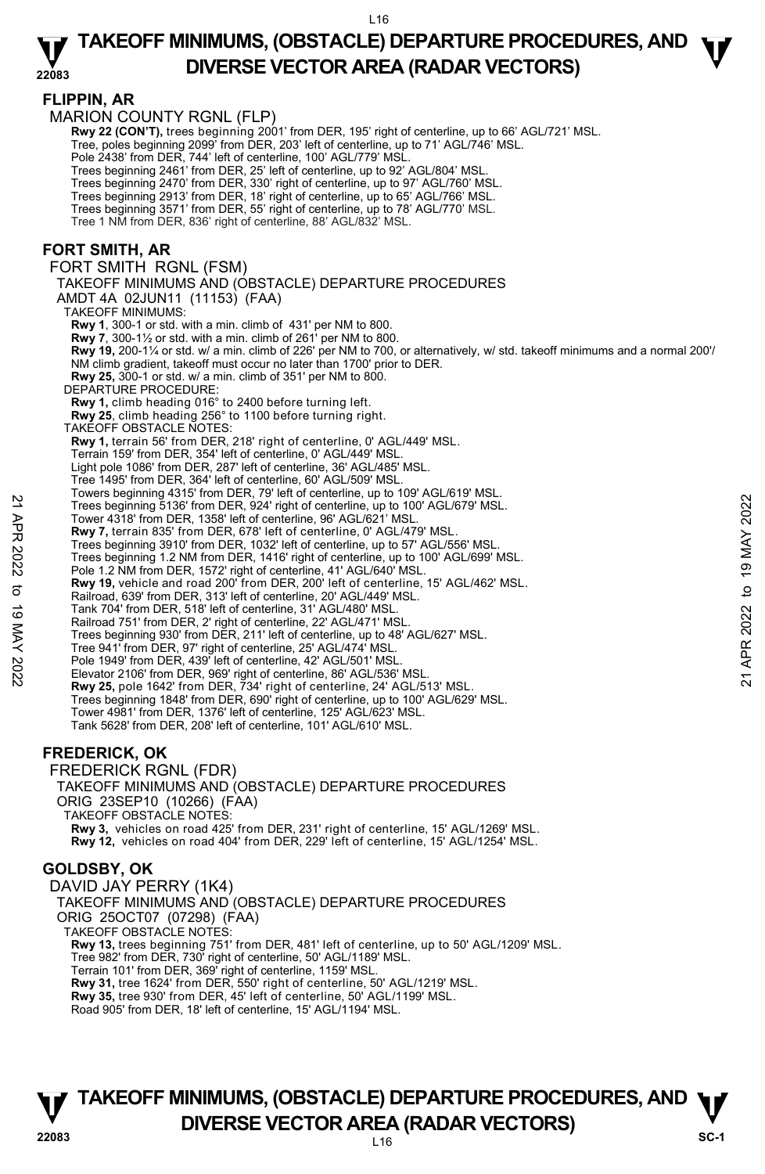### $F1$

|             | FLIPPIN, AR                                                                                                                                                                |                |
|-------------|----------------------------------------------------------------------------------------------------------------------------------------------------------------------------|----------------|
|             | <b>MARION COUNTY RGNL (FLP)</b>                                                                                                                                            |                |
|             | Rwy 22 (CON'T), trees beginning 2001' from DER, 195' right of centerline, up to 66' AGL/721' MSL.                                                                          |                |
|             | Tree, poles beginning 2099' from DER, 203' left of centerline, up to 71' AGL/746' MSL.<br>Pole 2438' from DER, 744' left of centerline, 100' AGL/779' MSL.                 |                |
|             | Trees beginning 2461' from DER, 25' left of centerline, up to 92' AGL/804' MSL.                                                                                            |                |
|             | Trees beginning 2470' from DER, 330' right of centerline, up to 97' AGL/760' MSL.                                                                                          |                |
|             | Trees beginning 2913' from DER, 18' right of centerline, up to 65' AGL/766' MSL.                                                                                           |                |
|             | Trees beginning 3571' from DER, 55' right of centerline, up to 78' AGL/770' MSL.                                                                                           |                |
|             | Tree 1 NM from DER, 836' right of centerline, 88' AGL/832' MSL.                                                                                                            |                |
|             | <b>FORT SMITH, AR</b>                                                                                                                                                      |                |
|             | FORT SMITH RGNL (FSM)                                                                                                                                                      |                |
|             | TAKEOFF MINIMUMS AND (OBSTACLE) DEPARTURE PROCEDURES                                                                                                                       |                |
|             |                                                                                                                                                                            |                |
|             | AMDT 4A 02JUN11 (11153) (FAA)<br><b>TAKEOFF MINIMUMS:</b>                                                                                                                  |                |
|             | <b>Rwy 1, 300-1 or std. with a min. climb of 431' per NM to 800.</b>                                                                                                       |                |
|             | <b>Rwy 7.</b> 300-1 $\frac{1}{2}$ or std. with a min. climb of 261' per NM to 800.                                                                                         |                |
|             | Rwy 19, 200-11/4 or std. w/ a min. climb of 226' per NM to 700, or alternatively, w/ std. takeoff minimums and a normal 200'/                                              |                |
|             | NM climb gradient, takeoff must occur no later than 1700' prior to DER.                                                                                                    |                |
|             | <b>Rwy 25, 300-1 or std. w/ a min. climb of 351' per NM to 800.</b><br>DEPARTURE PROCEDURE:                                                                                |                |
|             | Rwy 1, climb heading 016° to 2400 before turning left.                                                                                                                     |                |
|             | Rwy 25, climb heading 256° to 1100 before turning right.                                                                                                                   |                |
|             | TAKEOFF OBSTACLE NOTES:                                                                                                                                                    |                |
|             | Rwy 1, terrain 56' from DER, 218' right of centerline, 0' AGL/449' MSL.                                                                                                    |                |
|             | Terrain 159' from DER, 354' left of centerline, 0' AGL/449' MSL.<br>Light pole 1086' from DER, 287' left of centerline, 36' AGL/485' MSL.                                  |                |
|             | Tree 1495' from DER, 364' left of centerline, 60' AGL/509' MSL.                                                                                                            |                |
|             | Towers beginning 4315' from DER, 79' left of centerline, up to 109' AGL/619' MSL.                                                                                          |                |
| 21 APR 2022 | Trees beginning 5136' from DER, 924' right of centerline, up to 100' AGL/679' MSL.                                                                                         | 2022           |
|             | Tower 4318' from DER, 1358' left of centerline, 96' AGL/621' MSL.                                                                                                          |                |
|             | Rwy 7, terrain 835' from DER, 678' left of centerline, 0' AGL/479' MSL.<br>Trees beginning 3910' from DER, 1032' left of centerline, up to 57' AGL/556' MSL.               |                |
|             | Trees beginning 1.2 NM from DER, 1416' right of centerline, up to 100' AGL/699' MSL.                                                                                       |                |
|             | Pole 1.2 NM from DER, 1572' right of centerline, 41' AGL/640' MSL.                                                                                                         | <b>19 MAY</b>  |
| ಕ           | Rwy 19, vehicle and road 200' from DER, 200' left of centerline, 15' AGL/462' MSL.                                                                                         | $\mathbf{a}$   |
|             | Railroad, 639' from DER, 313' left of centerline, 20' AGL/449' MSL.                                                                                                        |                |
|             | Tank 704' from DER, 518' left of centerline, 31' AGL/480' MSL.<br>Railroad 751' from DER, 2' right of centerline, 22' AGL/471' MSL.                                        | 2022           |
| 19 MAY 2022 | Trees beginning 930' from DER, 211' left of centerline, up to 48' AGL/627' MSL.                                                                                            |                |
|             | Tree 941' from DER, 97' right of centerline, 25' AGL/474' MSL.                                                                                                             |                |
|             | Pole 1949' from DER, 439' left of centerline, 42' AGL/501' MSL.                                                                                                            | APR:           |
|             | Elevator 2106' from DER, 969' right of centerline, 86' AGL/536' MSL.                                                                                                       | $\overline{2}$ |
|             | Rwy 25, pole 1642' from DER, 734' right of centerline, 24' AGL/513' MSL.<br>Trees beginning 1848' from DER, 690' right of centerline, up to 100' AGL/629' MSL.             |                |
|             | Tower 4981' from DER, 1376' left of centerline, 125' AGL/623' MSL.                                                                                                         |                |
|             | Tank 5628' from DER, 208' left of centerline, 101' AGL/610' MSL.                                                                                                           |                |
|             |                                                                                                                                                                            |                |
|             | <b>FREDERICK, OK</b>                                                                                                                                                       |                |
|             | <b>FREDERICK RGNL (FDR)</b>                                                                                                                                                |                |
|             | TAKEOFF MINIMUMS AND (OBSTACLE) DEPARTURE PROCEDURES                                                                                                                       |                |
|             | ORIG 23SEP10 (10266) (FAA)                                                                                                                                                 |                |
|             | TAKEOFF OBSTACLE NOTES:                                                                                                                                                    |                |
|             | Rwy 3, vehicles on road 425' from DER, 231' right of centerline, 15' AGL/1269' MSL.<br>Rwy 12, vehicles on road 404' from DER, 229' left of centerline, 15' AGL/1254' MSL. |                |
|             |                                                                                                                                                                            |                |

### **GOLDSBY, OK**

DAVID JAY PERRY (1K4) TAKEOFF MINIMUMS AND (OBSTACLE) DEPARTURE PROCEDURES ORIG 25OCT07 (07298) (FAA) TAKEOFF OBSTACLE NOTES: **Rwy 13,** trees beginning 751' from DER, 481' left of centerline, up to 50' AGL/1209' MSL. Tree 982' from DER, 730' right of centerline, 50' AGL/1189' MSL. Terrain 101' from DER, 369' right of centerline, 1159' MSL.<br>**Rwy 31,** tree 1624' from DER, 550' right of centerline, 50' AGL/1219' MSL. **Rwy 35,** tree 930' from DER, 45' left of centerline, 50' AGL/1199' MSL. Road 905' from DER, 18' left of centerline, 15' AGL/1194' MSL.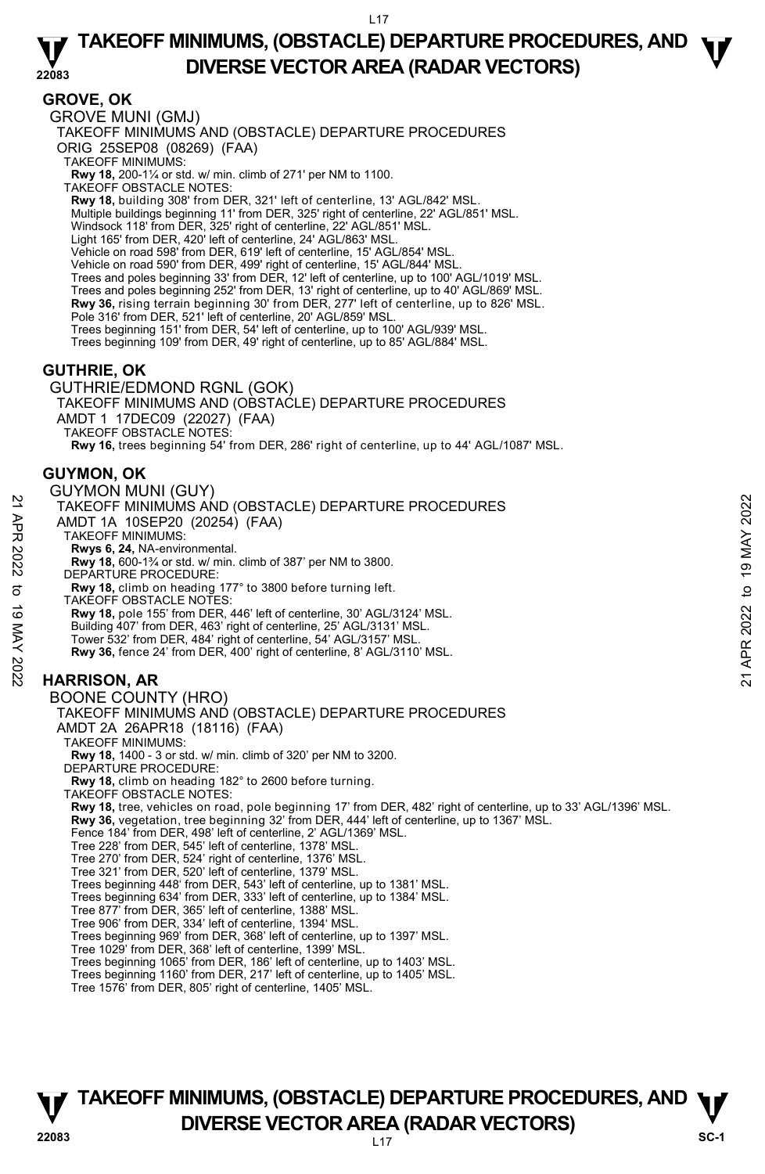### **GROVE, OK**

GROVE MUNI (GMJ) TAKEOFF MINIMUMS AND (OBSTACLE) DEPARTURE PROCEDURES ORIG 25SEP08 (08269) (FAA) TAKEOFF MINIMUMS: **Rwy 18,** 200-1¼ or std. w/ min. climb of 271' per NM to 1100. TAKEOFF OBSTACLE NOTES: **Rwy 18,** building 308' from DER, 321' left of centerline, 13' AGL/842' MSL. Multiple buildings beginning 11' from DER, 325' right of centerline, 22' AGL/851' MSL. Windsock 118' from DER, 325' right of centerline, 22' AGL/851' MSL. Light 165' from DER, 420' left of centerline, 24' AGL/863' MSL. Vehicle on road 598' from DER, 619' left of centerline, 15' AGL/854' MSL. Vehicle on road 590' from DER, 499' right of centerline, 15' AGL/844' MSI Trees and poles beginning 33' from DER, 12' left of centerline, up to 100' AGL/1019' MSL. Trees and poles beginning 252' from DER, 13' right of centerline, up to 40' AGL/869' MSL. **Rwy 36,** rising terrain beginning 30' from DER, 277' left of centerline, up to 826' MSL. Pole 316' from DER, 521' left of centerline, 20' AGL/859' MSL Trees beginning 151' from DER, 54' left of centerline, up to 100' AGL/939' MSL. Trees beginning 109' from DER, 49' right of centerline, up to 85' AGL/884' MSL. **GUTHRIE, OK**  GUTHRIE/EDMOND RGNL (GOK) TAKEOFF MINIMUMS AND (OBSTACLE) DEPARTURE PROCEDURES AMDT 1 17DEC09 (22027) (FAA) TAKEOFF OBSTACLE NOTES: **Rwy 16,** trees beginning 54' from DER, 286' right of centerline, up to 44' AGL/1087' MSL.

### **GUYMON, OK**

# GUYMON MUNI (GUY) TAKEOFF MINIMUMS AND (OBSTACLE) DEPARTURE PROCEDURES

- AMDT 1A 10SEP20 (20254) (FAA)
	- TAKEOFF MINIMUMS:
	- **Rwys 6, 24,** NA-environmental.
- **Rwy 18,** 600-1¾ or std. w/ min. climb of 387' per NM to 3800. DEPARTURE PROCEDURE: 21 TAKEOFF MINIMUMS AND (OBSTACLE) DEPARTURE PROCEDURES<br>
22 TAKEOFF MINIMUMS:<br>
TAKEOFF MINIMUMS:<br>
TAKEOFF MINIMUMS:<br>
22 TAKEOFF MINIMUMS:<br>
22 TAKEOFF MINIMUMS:<br>
22 November 30 APP 3.<br>
22 November 2022 to 19 May 18, 600-1<sup></sup>
	-

**Rwy 18,** climb on heading 177° to 3800 before turning left.

- TAKEOFF OBSTACLE NOTES:
- **Rwy 18,** pole 155' from DER, 446' left of centerline, 30' AGL/3124' MSL.
- Building 407' from DER, 463' right of centerline, 25' AGL/3131' MSL.
- Tower 532' from DER, 484' right of centerline, 54' AGL/3157' MSL.
- **Rwy 36,** fence 24' from DER, 400' right of centerline, 8' AGL/3110' MSL.

# **HARRISON, AR**

BOONE COUNTY (HRO) TAKEOFF MINIMUMS AND (OBSTACLE) DEPARTURE PROCEDURES AMDT 2A 26APR18 (18116) (FAA) TAKEOFF MINIMUMS: **Rwy 18,** 1400 - 3 or std. w/ min. climb of 320' per NM to 3200. DEPARTURE PROCEDURE: **Rwy 18,** climb on heading 182° to 2600 before turning. TAKEOFF OBSTACLE NOTES: **Rwy 18,** tree, vehicles on road, pole beginning 17' from DER, 482' right of centerline, up to 33' AGL/1396' MSL. **Rwy 36,** vegetation, tree beginning 32' from DER, 444' left of centerline, up to 1367' MSL. Fence 184' from DER, 498' left of centerline, 2' AGL/1369' MSL. Tree 228' from DER, 545' left of centerline, 1378' MSL. Tree 270' from DER, 524' right of centerline, 1376' MSL. Tree 321' from DER, 520' left of centerline, 1379' MSL. Trees beginning 448' from DER, 543' left of centerline, up to 1381' MSL. Trees beginning 634' from DER, 333' left of centerline, up to 1384' MSL. Tree 877' from DER, 365' left of centerline, 1388' MSL. Tree 906' from DER, 334' left of centerline, 1394' MSL. Trees beginning 969' from DER, 368' left of centerline, up to 1397' MSL. Tree 1029' from DER, 368' left of centerline, 1399' MSL. Trees beginning 1065' from DER, 186' left of centerline, up to 1403' MSL. Trees beginning 1160' from DER, 217' left of centerline, up to 1405' MSL. Tree 1576' from DER, 805' right of centerline, 1405' MSL.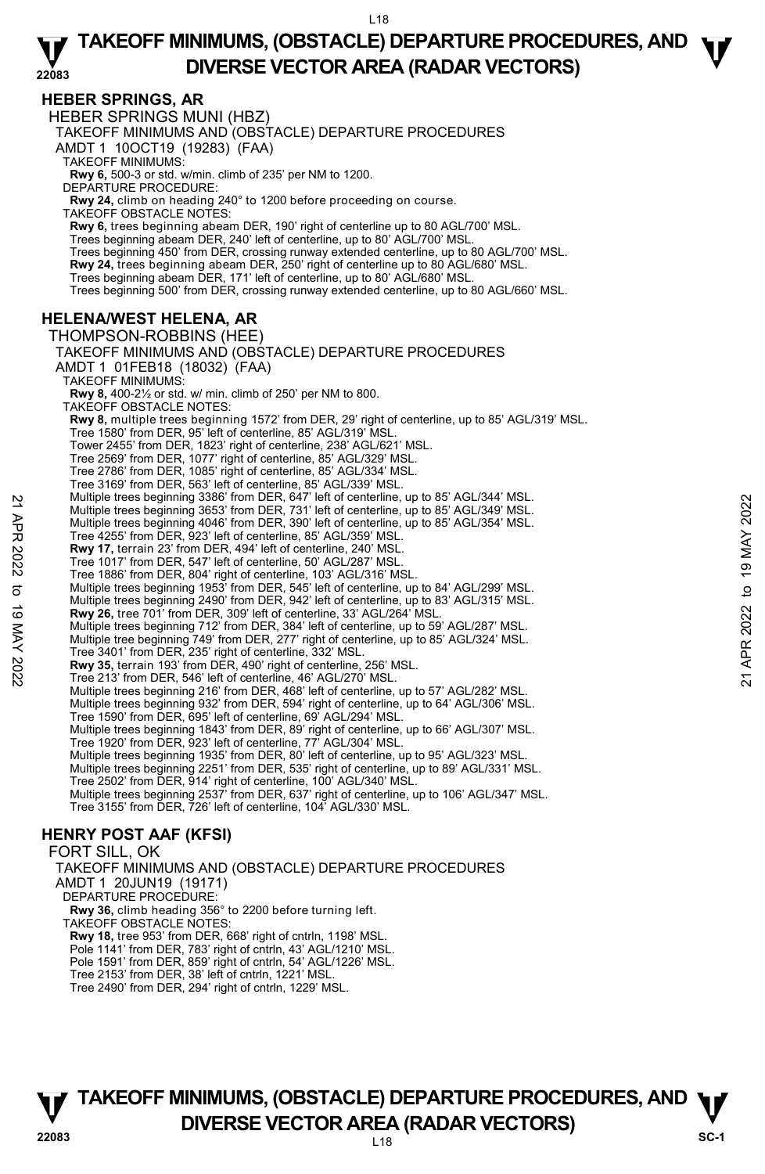#### **HEBER SPRINGS, AR**  HEBER SPRINGS MUNI (HBZ) TAKEOFF MINIMUMS AND (OBSTACLE) DEPARTURE PROCEDURES AMDT 1 10OCT19 (19283) (FAA) TAKEOFF MINIMUMS: **Rwy 6,** 500-3 or std. w/min. climb of 235' per NM to 1200. DEPARTURE PROCEDURE: **Rwy 24,** climb on heading 240° to 1200 before proceeding on course. TAKEOFF OBSTACLE NOTES: **Rwy 6,** trees beginning abeam DER, 190' right of centerline up to 80 AGL/700' MSL. Trees beginning abeam DER, 240' left of centerline, up to 80' AGL/700' MSL. Trees beginning 450' from DER, crossing runway extended centerline, up to 80 AGL/700' MSL. **Rwy 24,** trees beginning abeam DER, 250' right of centerline up to 80 AGL/680' MSL.<br>Trees beginning abeam DER, 171' left of centerline, up to 80' AGL/680' MSL. Trees beginning 500' from DER, crossing runway extended centerline, up to 80 AGL/660' MSL. **HELENA/WEST HELENA, AR**  THOMPSON-ROBBINS (HEE) TAKEOFF MINIMUMS AND (OBSTACLE) DEPARTURE PROCEDURES AMDT 1 01FEB18 (18032) (FAA) TAKEOFF MINIMUMS: **Rwy 8,** 400-2½ or std. w/ min. climb of 250' per NM to 800. TAKEOFF OBSTACLE NOTES: **Rwy 8,** multiple trees beginning 1572' from DER, 29' right of centerline, up to 85' AGL/319' MSL. Tree 1580' from DER, 95' left of centerline, 85' AGL/319' MSL. Tower 2455' from DER, 1823' right of centerline, 238' AGL/621' MSL. Tree 2569' from DER, 1077' right of centerline, 85' AGL/329' MSL. Tree 2786' from DER, 1085' right of centerline, 85' AGL/334' MSL. Tree 3169' from DER, 563' left of centerline, 85' AGL/339' MSL. Multiple trees beginning 3386' from DER, 647' left of centerline, up to 85' AGL/344' MSL. Multiple trees beginning 3653' from DER, 731' left of centerline, up to 85' AGL/349' MSL. Multiple trees beginning 4046' from DER, 390' left of centerline, up to 85' AGL/354' MSL. Tree 4255' from DER, 923' left of centerline, 85' AGL/359' MSL. **Rwy 17,** terrain 23' from DER, 494' left of centerline, 240' MSL. Tree 1017' from DER, 547' left of centerline, 50' AGL/287' MSL. Tree 1886' from DER, 804' right of centerline, 103' AGL/316' MSL. Multiple trees beginning 1953' from DER, 545' left of centerline, up to 84' AGL/299' MSL. Multiple trees beginning 2490' from DER, 942' left of centerline, up to 83' AGL/315' MSL. **Rwy 26,** tree 701' from DER, 309' left of centerline, 33' AGL/264' MSL. Multiple trees beginning 712' from DER, 384' left of centerline, up to 59' AGL/287' MSL. Multiple tree beginning 749' from DER, 277' right of centerline, up to 85' AGL/324' MSL. Tree 3401' from DER, 235' right of centerline, 332' MSL. **Rwy 35,** terrain 193' from DER, 490' right of centerline, 256' MSL. Tree 213' from DER, 546' left of centerline, 46' AGL/270' MSL. Multiple trees beginning 216' from DER, 468' left of centerline, up to 57' AGL/282' MSL. Multiple trees beginning 932' from DER, 594' right of centerline, up to 64' AGL/306' MSL. Tree 1590' from DER, 695' left of centerline, 69' AGL/294' MSL. Multiple trees beginning 1843' from DER, 89' right of centerline, up to 66' AGL/307' MSL. Tree 1920' from DER, 923' left of centerline, 77' AGL/304' MSL. Multiple trees beginning 1935' from DER, 80' left of centerline, up to 95' AGL/323' MSL. Multiple trees beginning 2251' from DER, 535' right of centerline, up to 89' AGL/331' MSL. Tree 2502' from DER, 914' right of centerline, 100' AGL/340' MSL. Multiple trees beginning 2537' from DER, 637' right of centerline, up to 106' AGL/347' MSL. Tree 3155' from DER, 726' left of centerline, 104' AGL/330' MSL. **HENRY POST AAF (KFSI)**  FORT SILL, OK Multiple trees beginning 386° irom DER, 947 left of centerline, up to 85° AGL/344° MSL.<br>
Multiple trees beginning 3653° from DER, 390' left of centerline, up to 85° AGL/349° MSL.<br>
Tree 4255° from DER, 923' left of centerl

TAKEOFF MINIMUMS AND (OBSTACLE) DEPARTURE PROCEDURES AMDT 1 20JUN19 (19171) DEPARTURE PROCEDURE: **Rwy 36,** climb heading 356° to 2200 before turning left. TAKEOFF OBSTACLE NOTES: **Rwy 18,** tree 953' from DER, 668' right of cntrln, 1198' MSL. Pole 1141' from DER, 783' right of cntrln, 43' AGL/1210' MSL.

Pole 1591' from DER, 859' right of cntrln, 54' AGL/1226' MSL. Tree 2153' from DER, 38' left of cntrln, 1221' MSL.

Tree 2490' from DER, 294' right of cntrln, 1229' MSL.

# **TAKEOFF MINIMUMS, (OBSTACLE) DEPARTURE PROCEDURES, AND**  $\Psi$ **P**<br>22083 **DIVERSE VECTOR AREA (RADAR VECTORS)** SC-1

L18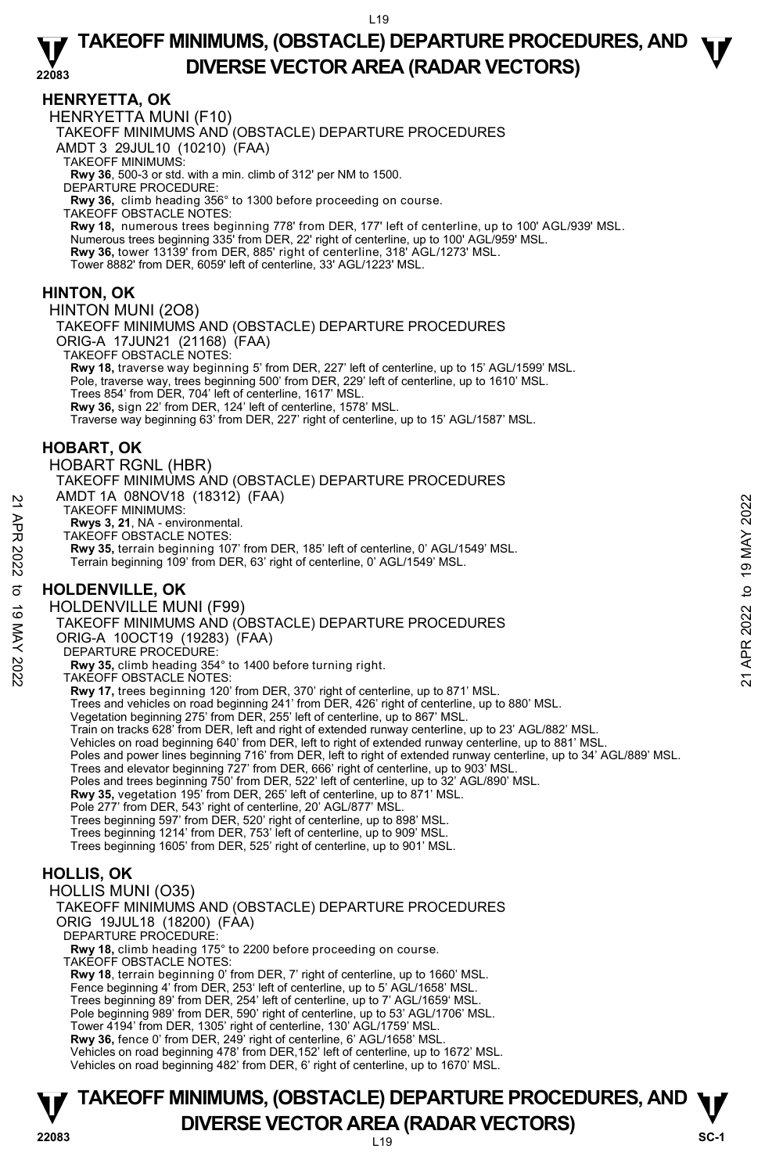### **HENRYETTA, OK**

HENRYETTA MUNI (F10)

TAKEOFF MINIMUMS AND (OBSTACLE) DEPARTURE PROCEDURES

AMDT 3 29JUL10 (10210) (FAA)

TAKEOFF MINIMUMS:

**Rwy 36**, 500-3 or std. with a min. climb of 312' per NM to 1500. DEPARTURE PROCEDURE:

**Rwy 36,** climb heading 356° to 1300 before proceeding on course.

TAKEOFF OBSTACLE NOTES:

**Rwy 18,** numerous trees beginning 778' from DER, 177' left of centerline, up to 100' AGL/939' MSL.<br>Numerous trees beginning 335' from DER, 22' right of centerline, up to 100' AGL/959' MSL. **Rwy 36,** tower 13139' from DER, 885' right of centerline, 318' AGL/1273' MSL. Tower 8882' from DER, 6059' left of centerline, 33' AGL/1223' MSL.

### **HINTON, OK**

HINTON MUNI (2O8)

TAKEOFF MINIMUMS AND (OBSTACLE) DEPARTURE PROCEDURES

ORIG-A 17JUN21 (21168) (FAA)

TAKEOFF OBSTACLE NOTES:

**Rwy 18,** traverse way beginning 5' from DER, 227' left of centerline, up to 15' AGL/1599' MSL.

Pole, traverse way, trees beginning 500' from DER, 229' left of centerline, up to 1610' MSL.

Trees 854' from DER, 704' left of centerline, 1617' MSL.

**Rwy 36,** sign 22' from DER, 124' left of centerline, 1578' MSL.

Traverse way beginning 63' from DER, 227' right of centerline, up to 15' AGL/1587' MSL.

### **HOBART, OK**

HOBART RGNL (HBR)

TAKEOFF MINIMUMS AND (OBSTACLE) DEPARTURE PROCEDURES AMDT 1A 08NOV18 (18312) (FAA)

TAKEOFF MINIMUMS:

**Rwys 3, 21**, NA - environmental. TAKEOFF OBSTACLE NOTES:

**Rwy 35,** terrain beginning 107' from DER, 185' left of centerline, 0' AGL/1549' MSL. Terrain beginning 109' from DER, 63' right of centerline, 0' AGL/1549' MSL.

# **HOLDENVILLE, OK**

HOLDENVILLE MUNI (F99) TAKEOFF MINIMUMS AND (OBSTACLE) DEPARTURE PROCEDURES ORIG-A 10OCT19 (19283) (FAA) DEPARTURE PROCEDURE: **Rwy 35,** climb heading 354° to 1400 before turning right. TAKEOFF OBSTACLE NOTES: **Rwy 17,** trees beginning 120' from DER, 370' right of centerline, up to 871' MSL. Trees and vehicles on road beginning 241' from DER, 426' right of centerline, up to 880' MSL.<br>Vegetation beginning 275' from DER, 255' left of centerline, up to 867' MSL. Train on tracks 628' from DER, left and right of extended runway centerline, up to 23' AGL/882' MSL. Vehicles on road beginning 640' from DER, left to right of extended runway centerline, up to 881' MSL. Poles and power lines beginning 716' from DER, left to right of extended runway centerline, up to 34' AGL/889' MSL. Trees and elevator beginning 727' from DER, 666' right of centerline, up to 903' MSL. Poles and trees beginning 750' from DER, 522' left of centerline, up to 32' AGL/890' MSL. **Rwy 35,** vegetation 195' from DER, 265' left of centerline, up to 871' MSL. Pole 277' from DER, 543' right of centerline, 20' AGL/877' MSL. Trees beginning 597' from DER, 520' right of centerline, up to 898' MSL. Trees beginning 1214' from DER, 753' left of centerline, up to 909' MSL. Trees beginning 1605' from DER, 525' right of centerline, up to 901' MSL. **HOLLIS, OK**  HOLLIS MUNI (O35) TAKEOFF MINIMUMS AND (OBSTACLE) DEPARTURE PROCEDURES ORIG 19JUL18 (18200) (FAA) AND THE VONCYTO (10312) (FAA)<br>
21 TAKEOFF MINIUMS:<br>
TAKEOFF MINIUMS:<br>
TAKEOFF MINIUMS:<br>
TAKEOFF MINIUMS:<br>
22 TAKEOFF MINIUMS 107 from DER, 185' left of centerline, 0' AGL/1549' MSL.<br>
Terrain beginning 109' from DER, 185' l

DEPARTURE PROCEDURE:

**Rwy 18,** climb heading 175° to 2200 before proceeding on course. TAKEOFF OBSTACLE NOTES:

**Rwy 18**, terrain beginning 0' from DER, 7' right of centerline, up to 1660' MSL. Fence beginning 4' from DER, 253' left of centerline, up to 5' AGL/1658' MSL. Trees beginning 89' from DER, 254' left of centerline, up to 7' AGL/1659' MSL. Pole beginning 989' from DER, 590' right of centerline, up to 53' AGL/1706' MSL. Tower 4194' from DER, 1305' right of centerline, 130' AGL/1759' MSL. **Rwy 36,** fence 0' from DER, 249' right of centerline, 6' AGL/1658' MSL.

Vehicles on road beginning 478' from DER,152' left of centerline, up to 1672' MSL. Vehicles on road beginning 482' from DER, 6' right of centerline, up to 1670' MSL.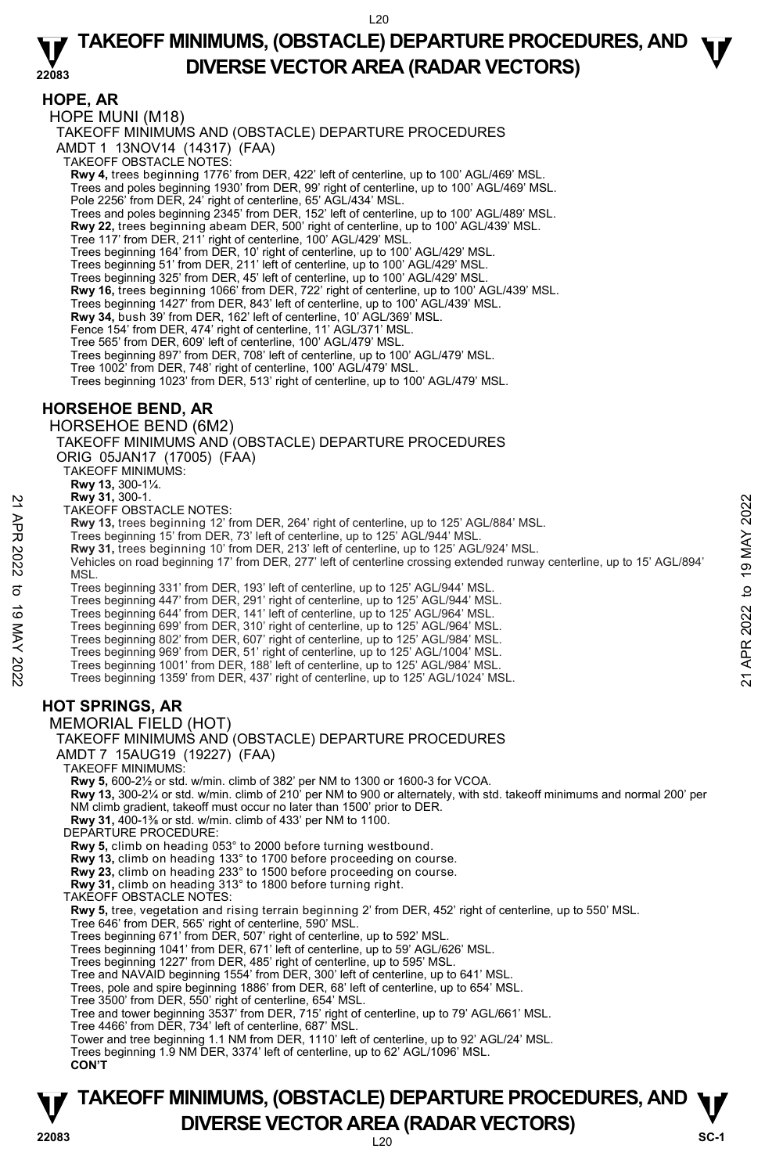### **HOPE, AR**

HOPE MUNI (M18)

TAKEOFF MINIMUMS AND (OBSTACLE) DEPARTURE PROCEDURES

AMDT 1 13NOV14 (14317) (FAA)

TAKEOFF OBSTACLE NOTES:

**Rwy 4,** trees beginning 1776' from DER, 422' left of centerline, up to 100' AGL/469' MSL. Trees and poles beginning 1930' from DER, 99' right of centerline, up to 100' AGL/469' MSL. Pole 2256' from DER, 24' right of centerline, 65' AGL/434' MSL.

Trees and poles beginning 2345' from DER, 152' left of centerline, up to 100' AGL/489' MSL.

**Rwy 22,** trees beginning abeam DER, 500' right of centerline, up to 100' AGL/439' MSL.<br>Tree 117' from DER, 211' right of centerline, 100' AGL/429' MSL.

Trees beginning 164' from DER, 10' right of centerline, up to 100' AGL/429' MSL.

Trees beginning 51' from DER, 211' left of centerline, up to 100' AGL/429' MSL.

Trees beginning 325' from DER, 45' left of centerline, up to 100' AGL/429' MSL.

**Rwy 16,** trees beginning 1066' from DER, 722' right of centerline, up to 100' AGL/439' MSL.

Trees beginning 1427' from DER, 843' left of centerline, up to 100' AGL/439' MSL.<br>**Rwy 34,** bush 39' from DER, 162' left of centerline, 10' AGL/369' MSL.

Fence 154' from DER, 474' right of centerline, 11' AGL/371' MSL.

Tree 565' from DER, 609' left of centerline, 100' AGL/479' MSL.

Trees beginning 897' from DER, 708' left of centerline, up to 100' AGL/479' MSL. Tree 1002' from DER, 748' right of centerline, 100' AGL/479' MSL.

Trees beginning 1023' from DER, 513' right of centerline, up to 100' AGL/479' MSL.

# **HORSEHOE BEND, AR**

HORSEHOE BEND (6M2)

TAKEOFF MINIMUMS AND (OBSTACLE) DEPARTURE PROCEDURES ORIG 05JAN17 (17005) (FAA) TAKEOFF MINIMUMS:

**Rwy 13,** 300-1¼. **Rwy 31,** 300-1.

TAKEOFF OBSTACLE NOTES:

- **Rwy 13,** trees beginning 12' from DER, 264' right of centerline, up to 125' AGL/884' MSL.
- Trees beginning 15' from DER, 73' left of centerline, up to 125' AGL/944' MSL.
- **Rwy 31,** trees beginning 10' from DER, 213' left of centerline, up to 125' AGL/924' MSL.

Vehicles on road beginning 17' from DER, 277' left of centerline crossing extended runway centerline, up to 15' AGL/894' **MSL** New 31, 300-1<br>
TAKEOFF OBSTACLE NOTES:<br>
TRAKEOFF OBSTACLE NOTES:<br>
Trees beginning 12' from DER, 264' right of centerline, up to 125' AGL/984' MSL.<br>
Trees beginning 16' from DER, 73' left of centerline, up to 125' AGL/924'

Trees beginning 331' from DER, 193' left of centerline, up to 125' AGL/944' MSL.

Trees beginning 447' from DER, 291' right of centerline, up to 125' AGL/944' MSL.

Trees beginning 644' from DER, 141' left of centerline, up to 125' AGL/964' MSL. Trees beginning 699' from DER, 310' right of centerline, up to 125' AGL/964' MSL.

- 
- Trees beginning 802' from DER, 607' right of centerline, up to 125' AGL/984' MSL.
- Trees beginning 969' from DER, 51' right of centerline, up to 125' AGL/1004' MSL.
- Trees beginning 1001' from DER, 188' left of centerline, up to 125' AGL/984' MSL. Trees beginning 1359' from DER, 437' right of centerline, up to 125' AGL/1024' MSL.

# **HOT SPRINGS, AR**

MEMORIAL FIELD (HOT)

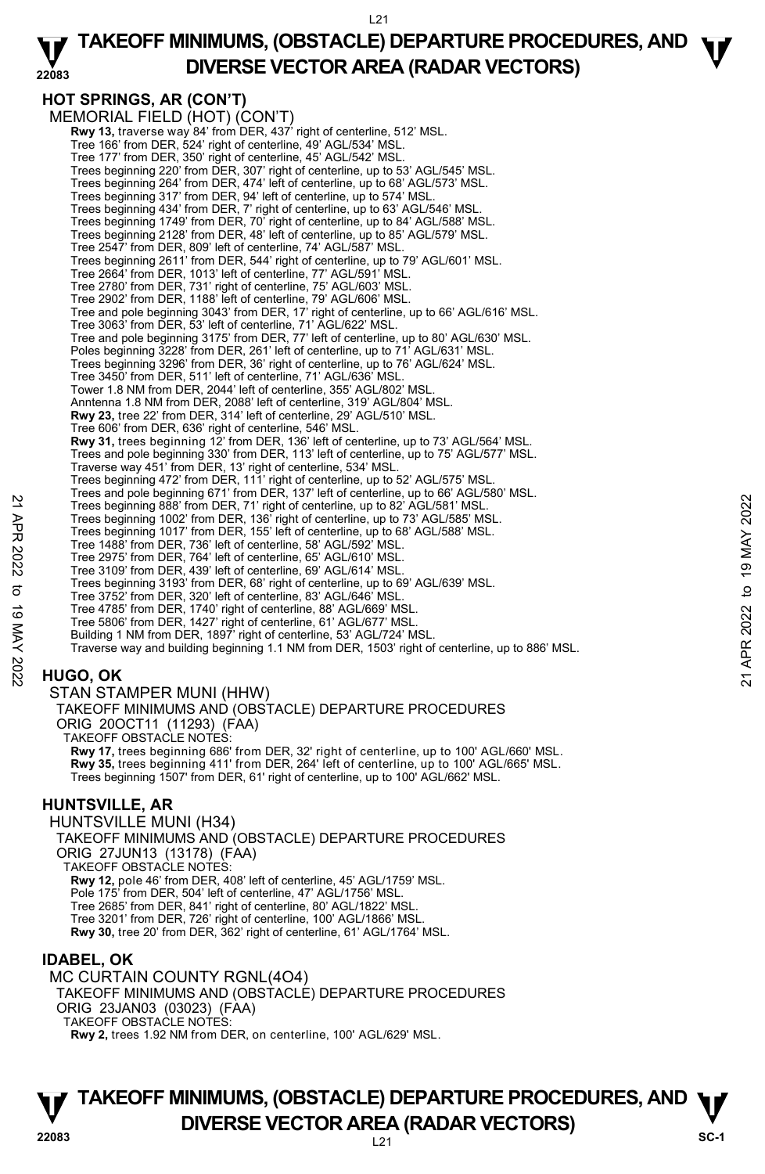#### **22083 TAKEOFF MINIMUMS, (OBSTACLE) DEPARTURE PROCEDURES, AND**  $\Psi$ **DIVERSE VECTOR AREA (RADAR VECTORS)**

# **HOT SPRINGS, AR (CON'T)**

MEMORIAL FIELD (HOT) (CON'T)  **Rwy 13,** traverse way 84' from DER, 437' right of centerline, 512' MSL. Tree 166' from DER, 524' right of centerline, 49' AGL/534' MSL. Tree 177' from DER, 350' right of centerline, 45' AGL/542' MSL. Trees beginning 220' from DER, 307' right of centerline, up to 53' AGL/545' MSL. Trees beginning 264' from DER, 474' left of centerline, up to 68' AGL/573' MSL. Trees beginning 317' from DER, 94' left of centerline, up to 574' MSL. Trees beginning 434' from DER, 7' right of centerline, up to 63' AGL/546' MSL. Trees beginning 1749' from DER, 70' right of centerline, up to 84' AGL/588' MSL. Trees beginning 2128' from DER, 48' left of centerline, up to 85' AGL/579' MSL. Tree 2547' from DER, 809' left of centerline, 74' AGL/587' MSL. Trees beginning 2611' from DER, 544' right of centerline, up to 79' AGL/601' MSL. Tree 2664' from DER, 1013' left of centerline, 77' AGL/591' MSL. Tree 2780' from DER, 731' right of centerline, 75' AGL/603' MSL. Tree 2902' from DER, 1188' left of centerline, 79' AGL/606' MSL. Tree and pole beginning 3043' from DER, 17' right of centerline, up to 66' AGL/616' MSL. Tree 3063' from DER, 53' left of centerline, 71' AGL/622' MSL. Tree and pole beginning 3175' from DER, 77' left of centerline, up to 80' AGL/630' MSL. Poles beginning 3228' from DER, 261' left of centerline, up to 71' AGL/631' MSL. Trees beginning 3296' from DER, 36' right of centerline, up to 76' AGL/624' MSL. Tree 3450' from DER, 511' left of centerline, 71' AGL/636' MSL. Tower 1.8 NM from DER, 2044' left of centerline, 355' AGL/802' MSL. Anntenna 1.8 NM from DER, 2088' left of centerline, 319' AGL/804' MSL. **Rwy 23,** tree 22' from DER, 314' left of centerline, 29' AGL/510' MSL. Tree 606' from DER, 636' right of centerline, 546' MSL. Rwy 31, trees beginning 12' from DER, 136' left of centerline, up to 73' AGL/564' MSL Trees and pole beginning 330' from DER, 113' left of centerline, up to 75' AGL/577' MSL. Traverse way 451' from DER, 13' right of centerline, 534' MSL. Trees beginning 472' from DER, 111' right of centerline, up to 52' AGL/575' MSL Trees and pole beginning 671' from DER, 137' left of centerline, up to 66' AGL/580' MSL. Trees beginning 888' from DER, 71' right of centerline, up to 82' AGL/581' MSL. Trees beginning 1002' from DER, 136' right of centerline, up to 73' AGL/585' MSL. Trees beginning 1017' from DER, 155' left of centerline, up to 68' AGL/588' MSL. Tree 1488' from DER, 736' left of centerline, 58' AGL/592' MSL. Tree 2975' from DER, 764' left of centerline, 65' AGL/610' MSL. Tree 3109' from DER, 439' left of centerline, 69' AGL/614' MSL. Trees beginning 3193' from DER, 68' right of centerline, up to 69' AGL/639' MSL. Tree 3752' from DER, 320' left of centerline, 83' AGL/646' MSL. Tree 4785' from DER, 1740' right of centerline, 88' AGL/669' MSL. Tree 5806' from DER, 1427' right of centerline, 61' AGL/677' MSL. Building 1 NM from DER, 1897' right of centerline, 53' AGL/724' MSL. Traverse way and building beginning 1.1 NM from DER, 1503' right of centerline, up to 886' MSL. 22 Trees beginning 888 from DER, 13<sup>2</sup> it ght of centerline, up to 82 AGL/581 MSL.<br>
Trees beginning 888 from DER, 136' right of centerline, up to 82 AGL/583 MSL.<br>
Trees beginning 1012' from DER, 136' ield of centerline, u

# **HUGO, OK**

STAN STAMPER MUNI (HHW) TAKEOFF MINIMUMS AND (OBSTACLE) DEPARTURE PROCEDURES

ORIG 20OCT11 (11293) (FAA)

TAKEOFF OBSTACLE NOTES: **Rwy 17,** trees beginning 686' from DER, 32' right of centerline, up to 100' AGL/660' MSL. **Rwy 35,** trees beginning 411' from DER, 264' left of centerline, up to 100' AGL/665' MSL. Trees beginning 1507' from DER, 61' right of centerline, up to 100' AGL/662' MSL.

# **HUNTSVILLE, AR**

HUNTSVILLE MUNI (H34) TAKEOFF MINIMUMS AND (OBSTACLE) DEPARTURE PROCEDURES ORIG 27JUN13 (13178) (FAA) TAKEOFF OBSTACLE NOTES: **Rwy 12,** pole 46' from DER, 408' left of centerline, 45' AGL/1759' MSL.<br>Pole 175' from DER, 504' left of centerline, 47' AGL/1756' MSL. Tree 2685' from DER, 841' right of centerline, 80' AGL/1822' MSL. Tree 3201' from DER, 726' right of centerline, 100' AGL/1866' MSL. **Rwy 30,** tree 20' from DER, 362' right of centerline, 61' AGL/1764' MSL.

# **IDABEL, OK**

MC CURTAIN COUNTY RGNL(4O4) TAKEOFF MINIMUMS AND (OBSTACLE) DEPARTURE PROCEDURES ORIG 23JAN03 (03023) (FAA) TAKEOFF OBSTACLE NOTES: **Rwy 2,** trees 1.92 NM from DER, on centerline, 100' AGL/629' MSL.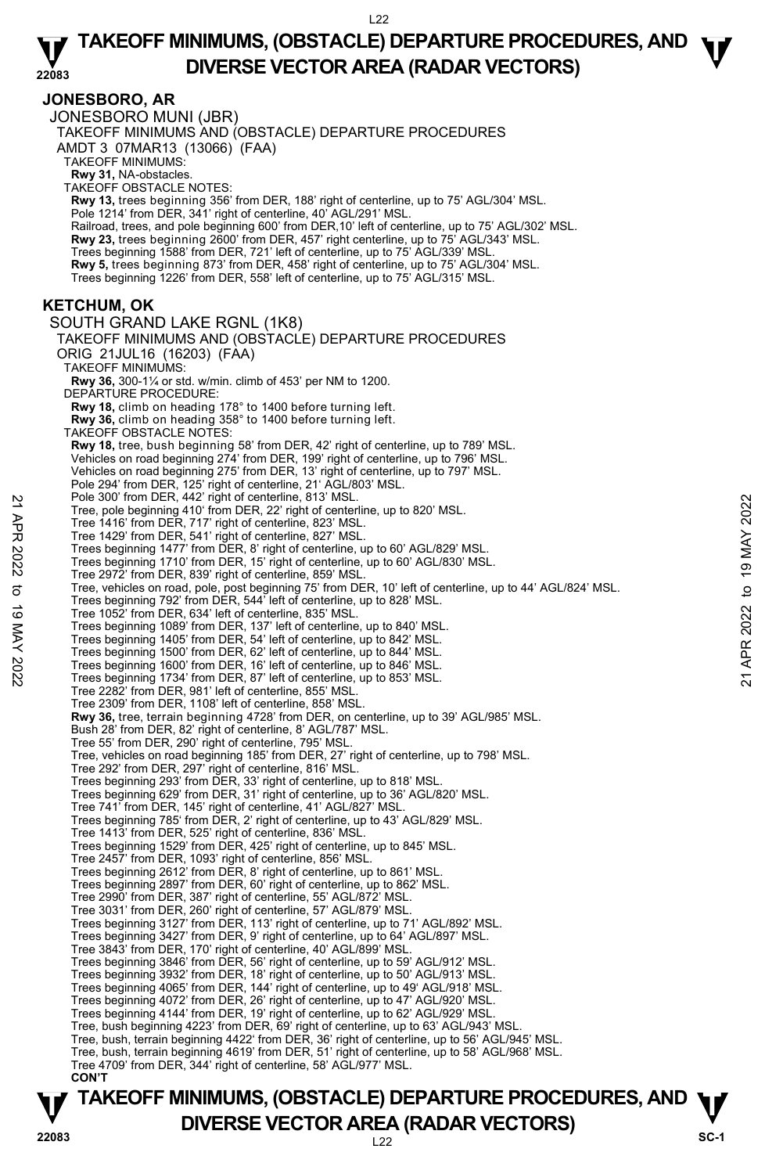#### **JONESBORO, AR**

JONESBORO MUNI (JBR) TAKEOFF MINIMUMS AND (OBSTACLE) DEPARTURE PROCEDURES AMDT 3 07MAR13 (13066) (FAA) TAKEOFF MINIMUMS: **Rwy 31,** NA-obstacles. TAKEOFF OBSTACLE NOTES: **Rwy 13,** trees beginning 356' from DER, 188' right of centerline, up to 75' AGL/304' MSL. Pole 1214' from DER, 341' right of centerline, 40' AGL/291' MSL. Railroad, trees, and pole beginning 600' from DER,10' left of centerline, up to 75' AGL/302' MSL.<br>**Rwy 23,** trees beginning 2600' from DER, 457' right centerline, up to 75' AGL/343' MSL. Trees beginning 1588' from DER, 721' left of centerline, up to 75' AGL/339' MSL. **Rwy 5,** trees beginning 873' from DER, 458' right of centerline, up to 75' AGL/304' MSL. Trees beginning 1226' from DER, 558' left of centerline, up to 75' AGL/315' MSL. **KETCHUM, OK**  SOUTH GRAND LAKE RGNL (1K8) TAKEOFF MINIMUMS AND (OBSTACLE) DEPARTURE PROCEDURES ORIG 21JUL16 (16203) (FAA) TAKEOFF MINIMUMS: **Rwy 36,** 300-1¼ or std. w/min. climb of 453' per NM to 1200. DEPARTURE PROCEDURE: **Rwy 18,** climb on heading 178° to 1400 before turning left. **Rwy 36,** climb on heading 358° to 1400 before turning left. TAKEOFF OBSTACLE NOTES: **Rwy 18,** tree, bush beginning 58' from DER, 42' right of centerline, up to 789' MSL.<br>Vehicles on road beginning 274' from DER, 199' right of centerline, up to 796' MSL. Vehicles on road beginning 275' from DER, 13' right of centerline, up to 797' MSL. Pole 294' from DER, 125' right of centerline, 21' AGL/803' MSL. Pole 300' from DER, 442' right of centerline, 813' MSL. Tree, pole beginning 410' from DER, 22' right of centerline, up to 820' MSL. Tree 1416' from DER, 717' right of centerline, 823' MSL. Tree 1429' from DER, 541' right of centerline, 827' MSL. Trees beginning 1477' from DER, 8' right of centerline, up to 60' AGL/829' MSL. Trees beginning 1710' from DER, 15' right of centerline, up to 60' AGL/830' MSL. Tree 2972' from DER, 839' right of centerline, 859' MSL. Tree, vehicles on road, pole, post beginning 75' from DER, 10' left of centerline, up to 44' AGL/824' MSL.<br>Trees beginning 792' from DER, 544' left of centerline, up to 828' MSL. Tree 1052' from DER, 634' left of centerline, 835' MSL. Trees beginning 1089' from DER, 137' left of centerline, up to 840' MSL. Trees beginning 1405' from DER, 54' left of centerline, up to 842' MSL. Trees beginning 1500' from DER, 62' left of centerline, up to 844' MSL. Trees beginning 1600' from DER, 16' left of centerline, up to 846' MSL. Trees beginning 1734' from DER, 87' left of centerline, up to 853' MSL. Tree 2282' from DER, 981' left of centerline, 855' MSL. Tree 2309' from DER, 1108' left of centerline, 858' MSL. **Rwy 36,** tree, terrain beginning 4728' from DER, on centerline, up to 39' AGL/985' MSL. Bush 28' from DER, 82' right of centerline, 8' AGL/787' MSL. Tree 55' from DER, 290' right of centerline, 795' MSL. Tree, vehicles on road beginning 185' from DER, 27' right of centerline, up to 798' MSL. Tree 292' from DER, 297' right of centerline, 816' MSL. Trees beginning 293' from DER, 33' right of centerline, up to 818' MSL. Trees beginning 629' from DER, 31' right of centerline, up to 36' AGL/820' MSL. Tree 741' from DER, 145' right of centerline, 41' AGL/827' MSL. Trees beginning 785' from DER, 2' right of centerline, up to 43' AGL/829' MSL. Tree 1413' from DER, 525' right of centerline, 836' MSL. Trees beginning 1529' from DER, 425' right of centerline, up to 845' MSL. Tree 2457' from DER, 1093' right of centerline, 856' MSL. Trees beginning 2612' from DER, 8' right of centerline, up to 861' MSL. Trees beginning 2897' from DER, 60' right of centerline, up to 862' MSL. Tree 2990' from DER, 387' right of centerline, 55' AGL/872' MSL. Tree 3031' from DER, 260' right of centerline, 57' AGL/879' MSL. Trees beginning 3127' from DER, 113' right of centerline, up to 71' AGL/892' MSL. Trees beginning 3427' from DER, 9' right of centerline, up to 64' AGL/897' MSL. Tree 3843' from DER, 170' right of centerline, 40' AGL/899' MSL. Trees beginning 3846' from DER, 56' right of centerline, up to 59' AGL/912' MSL. Trees beginning 3932' from DER, 18' right of centerline, up to 50' AGL/913' MSL. Trees beginning 4065' from DER, 144' right of centerline, up to 49' AGL/918' MSL. Trees beginning 4072' from DER, 26' right of centerline, up to 47' AGL/920' MSL. Trees beginning 4144' from DER, 19' right of centerline, up to 62' AGL/929' MSL. Tree, bush beginning 4223' from DER, 69' right of centerline, up to 63' AGL/943' MSL. Tree, bush, terrain beginning 4422' from DER, 36' right of centerline, up to 56' AGL/945' MSL. Tree, bush, terrain beginning 4619' from DER, 51' right of centerline, up to 58' AGL/968' MSL. Tree 4709' from DER, 344' right of centerline, 58' AGL/977' MSL. **CON'T**  Pole 300 Trom DER, 42' nght of centerline, 873' MSL.<br>
Tree, pole beginning 410' from DER, 22' right of centerline, up to 820' MSL.<br>
Tree 1416' from DER, 717' right of centerline, 823' MSL.<br>
Tree see beginning 1477' from D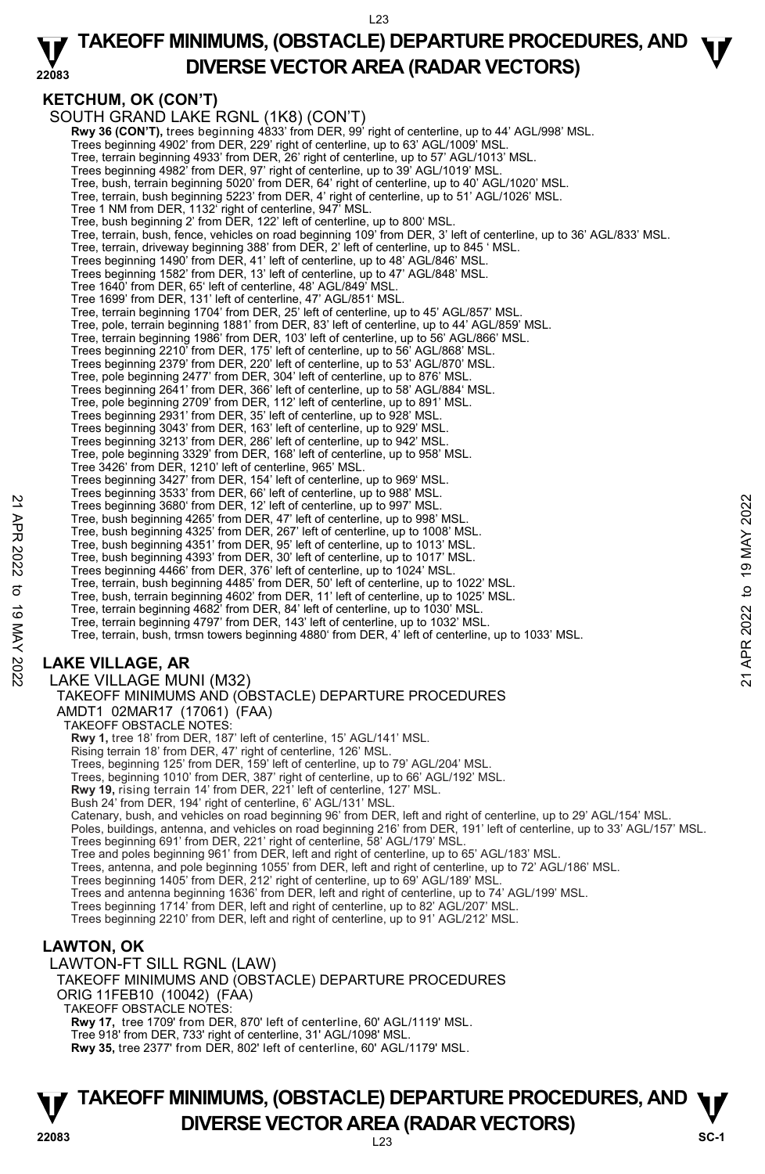#### **22083 TAKEOFF MINIMUMS, (OBSTACLE) DEPARTURE PROCEDURES, AND**  $\Psi$ **DIVERSE VECTOR AREA (RADAR VECTORS)**

# **KETCHUM, OK (CON'T)**

SOUTH GRAND LAKE RGNL (1K8) (CON'T)  **Rwy 36 (CON'T),** trees beginning 4833' from DER, 99' right of centerline, up to 44' AGL/998' MSL. Trees beginning 4902' from DER, 229' right of centerline, up to 63' AGL/1009' MSL. Tree, terrain beginning 4933' from DER, 26' right of centerline, up to 57' AGL/1013' MSL. Trees beginning 4982' from DER, 97' right of centerline, up to 39' AGL/1019' MSL. Tree, bush, terrain beginning 5020' from DER, 64' right of centerline, up to 40' AGL/1020' MSL. Tree, terrain, bush beginning 5223' from DER, 4' right of centerline, up to 51' AGL/1026' MSL. Tree 1 NM from DER, 1132' right of centerline, 947' MSL. Tree, bush beginning 2' from DER, 122' left of centerline, up to 800' MSL. Tree, terrain, bush, fence, vehicles on road beginning 109' from DER, 3' left of centerline, up to 36' AGL/833' MSL. Tree, terrain, driveway beginning 388' from DER, 2' left of centerline, up to 845 ' MSL. Trees beginning 1490' from DER, 41' left of centerline, up to 48' AGL/846' MSL. Trees beginning 1582' from DER, 13' left of centerline, up to 47' AGL/848' MSL. Tree 1640' from DER, 65' left of centerline, 48' AGL/849' MSL. Tree 1699' from DER, 131' left of centerline, 47' AGL/851' MSL. Tree, terrain beginning 1704' from DER, 25' left of centerline, up to 45' AGL/857' MSL. Tree, pole, terrain beginning 1881' from DER, 83' left of centerline, up to 44' AGL/859' MSL. Tree, terrain beginning 1986' from DER, 103' left of centerline, up to 56' AGL/866' MSL. Trees beginning 2210' from DER, 175' left of centerline, up to 56' AGL/868' MSL. Trees beginning 2379' from DER, 220' left of centerline, up to 53' AGL/870' MSL. Tree, pole beginning 2477' from DER, 304' left of centerline, up to 876' MSL. Trees beginning 2641' from DER, 366' left of centerline, up to 58' AGL/884' MSL. Tree, pole beginning 2709' from DER, 112' left of centerline, up to 891' MSL. Trees beginning 2931' from DER, 35' left of centerline, up to 928' MSL. Trees beginning 3043' from DER, 163' left of centerline, up to 929' MSL. Trees beginning 3213' from DER, 286' left of centerline, up to 942' MSL. Tree, pole beginning 3329' from DER, 168' left of centerline, up to 958' MSL. Tree 3426' from DER, 1210' left of centerline, 965' MSL. Trees beginning 3427' from DER, 154' left of centerline, up to 969' MSL. Trees beginning 3533' from DER, 66' left of centerline, up to 988' MSL. Trees beginning 3680' from DER, 12' left of centerline, up to 997' MSL. Tree, bush beginning 4265' from DER, 47' left of centerline, up to 998' MSL. Tree, bush beginning 4325' from DER, 267' left of centerline, up to 1008' MSL. Tree, bush beginning 4351' from DER, 95' left of centerline, up to 1013' MSL. Tree, bush beginning 4393' from DER, 30' left of centerline, up to 1017' MSL. Trees beginning 4466' from DER, 376' left of centerline, up to 1024' MSL. Tree, terrain, bush beginning 4485' from DER, 50' left of centerline, up to 1022' MSL. Tree, bush, terrain beginning 4602' from DER, 11' left of centerline, up to 1025' MSL.<br>Tree, terrain beginning 4682' from DER, 84' left of centerline, up to 1030' MSL.<br>Tree, terrain beginning 4797' from DER, 143' left of c Tree, terrain, bush, trmsn towers beginning 4880' from DER, 4' left of centerline, up to 1033' MSL. **LAKE VILLAGE, AR**  LAKE VILLAGE MUNI (M32) TAKEOFF MINIMUMS AND (OBSTACLE) DEPARTURE PROCEDURES AMDT1 02MAR17 (17061) (FAA) TAKEOFF OBSTACLE NOTES: **Rwy 1,** tree 18' from DER, 187' left of centerline, 15' AGL/141' MSL. Rising terrain 18' from DER, 47' right of centerline, 126' MSL. Trees, beginning 125' from DER, 159' left of centerline, up to 79' AGL/204' MSL. Trees, beginning 1010' from DER, 387' right of centerline, up to 66' AGL/192' MSL. Rwy 19, rising terrain 14' from DER, 221' left of centerline, 127' MSL. Bush 24' from DER, 194' right of centerline, 6' AGL/131' MSL. Catenary, bush, and vehicles on road beginning 96' from DER, left and right of centerline, up to 29' AGL/154' MSL. Poles, buildings, antenna, and vehicles on road beginning 216' from DER, 191' left of centerline, up to 33' AGL/157' MSL. Trees beginning 691' from DER, 221' right of centerline, 58' AGL/179' MSL. Tree and poles beginning 961' from DER, left and right of centerline, up to 65' AGL/183' MSL. Trees, antenna, and pole beginning 1055' from DER, left and right of centerline, up to 72' AGL/186' MSL. Trees beginning 1405' from DER, 212' right of centerline, up to 69' AGL/189' MSL. Trees and antenna beginning 1636' from DER, left and right of centerline, up to 74' AGL/199' MSL. Trees beginning 1714' from DER, left and right of centerline, up to 82' AGL/207' MSL. Trees beginning 2210' from DER, left and right of centerline, up to 91' AGL/212' MSL. **LAWTON, OK**  Trees beginning 3680' from DER, 12' left of centerline, up to 997' MSL.<br>
Tree, bush beginning 4265' from DER, 42' left of centerline, up to 998' MSL.<br>
Tree, bush beginning 4325' from DER, 42' left of centerline, up to 190

LAWTON-FT SILL RGNL (LAW)

TAKEOFF MINIMUMS AND (OBSTACLE) DEPARTURE PROCEDURES ORIG 11FEB10 (10042) (FAA) TAKEOFF OBSTACLE NOTES: **Rwy 17,** tree 1709' from DER, 870' left of centerline, 60' AGL/1119' MSL. Tree 918' from DER, 733' right of centerline, 31' AGL/1098' MSL. **Rwy 35,** tree 2377' from DER, 802' left of centerline, 60' AGL/1179' MSL.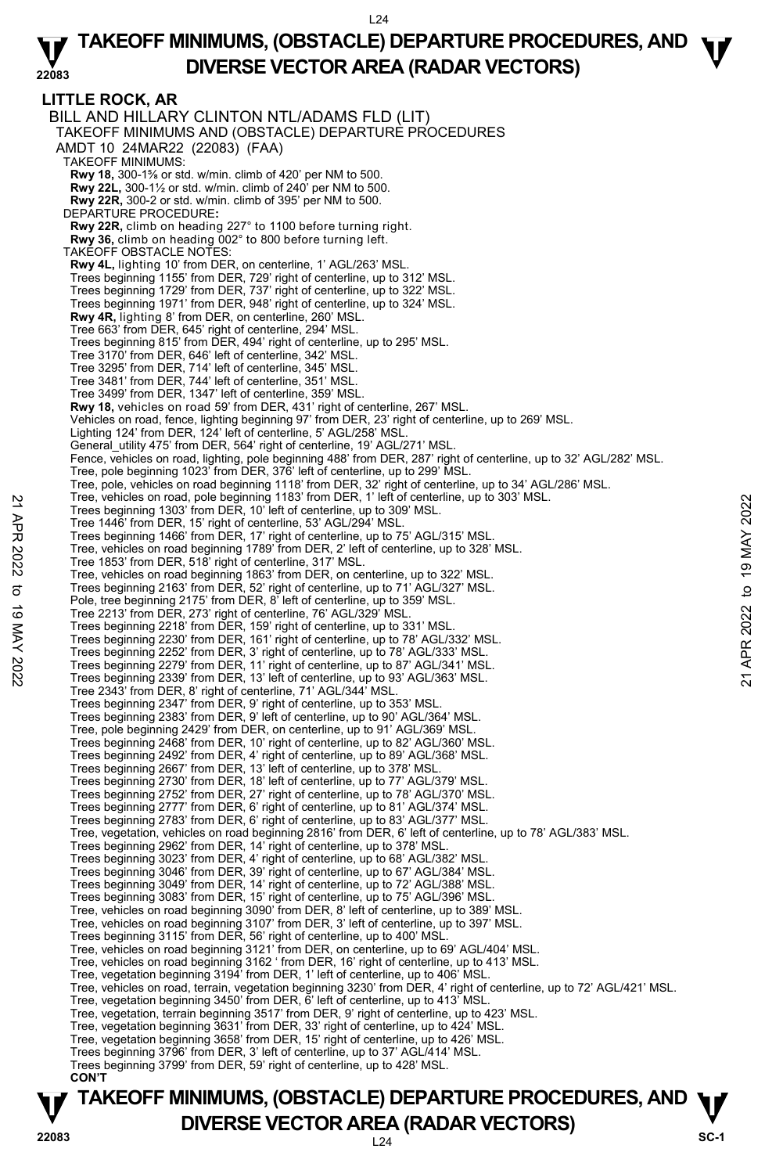**TAKEOFF MINIMUMS, (OBSTACLE) DEPARTURE PROCEDURES, AND**  $\Psi$ **LITTLE ROCK, AR**  BILL AND HILLARY CLINTON NTL/ADAMS FLD (LIT) TAKEOFF MINIMUMS AND (OBSTACLE) DEPARTURE PROCEDURES AMDT 10 24MAR22 (22083) (FAA) TAKEOFF MINIMUMS: **Rwy 18,** 300-1⅝ or std. w/min. climb of 420' per NM to 500.  **Rwy 22L,** 300-1½ or std. w/min. climb of 240' per NM to 500.  **Rwy 22R,** 300-2 or std. w/min. climb of 395' per NM to 500. DEPARTURE PROCEDURE**: Rwy 22R,** climb on heading 227° to 1100 before turning right.  **Rwy 36,** climb on heading 002° to 800 before turning left. TAKEOFF OBSTACLE NOTES: **Rwy 4L,** lighting 10' from DER, on centerline, 1' AGL/263' MSL. Trees beginning 1155' from DER, 729' right of centerline, up to 312' MSL. Trees beginning 1729' from DER, 737' right of centerline, up to 322' MSL. Trees beginning 1971' from DER, 948' right of centerline, up to 324' MSL. **Rwy 4R,** lighting 8' from DER, on centerline, 260' MSL. Tree 663' from DER, 645' right of centerline, 294' MSL. Trees beginning 815' from DER, 494' right of centerline, up to 295' MSL. Tree 3170' from DER, 646' left of centerline, 342' MSL. Tree 3295' from DER, 714' left of centerline, 345' MSL. Tree 3481' from DER, 744' left of centerline, 351' MSL. Tree 3499' from DER, 1347' left of centerline, 359' MSL. **Rwy 18,** vehicles on road 59' from DER, 431' right of centerline, 267' MSL. Vehicles on road, fence, lighting beginning 97' from DER, 23' right of centerline, up to 269' MSL. Lighting 124' from DER, 124' left of centerline, 5' AGL/258' MSL. General\_utility 475' from DER, 564' right of centerline, 19' AGL/271' MSL. Fence, vehicles on road, lighting, pole beginning 488' from DER, 287' right of centerline, up to 32' AGL/282' MSL. Tree, pole beginning 1023' from DER, 376' left of centerline, up to 299' MSL. Tree, pole, vehicles on road beginning 1118' from DER, 32' right of centerline, up to 34' AGL/286' MSL.<br>Tree, vehicles on road, pole beginning 1183' from DER, 1' left of centerline, up to 303' MSL. Trees beginning 1303' from DER, 10' left of centerline, up to 309' MSL. Tree 1446' from DER, 15' right of centerline, 53' AGL/294' MSL. Trees beginning 1466' from DER, 17' right of centerline, up to 75' AGL/315' MSL. Tree, vehicles on road beginning 1789' from DER, 2' left of centerline, up to 328' MSL. Tree 1853' from DER, 518' right of centerline, 317' MSL. Tree, vehicles on road beginning 1863' from DER, on centerline, up to 322' MSL. Trees beginning 2163' from DER, 52' right of centerline, up to 71' AGL/327' MSL. Pole, tree beginning 2175' from DER, 8' left of centerline, up to 359' MSL. Tree 2213' from DER, 273' right of centerline, 76' AGL/329' MSL. Trees beginning 2218' from DER, 159' right of centerline, up to 331' MSL. Trees beginning 2230' from DER, 161' right of centerline, up to 78' AGL/332' MSL. Trees beginning 2252' from DER, 3' right of centerline, up to 78' AGL/333' MSL. Trees beginning 2279' from DER, 11' right of centerline, up to 87' AGL/341' MSL. Trees beginning 2339' from DER, 13' left of centerline, up to 93' AGL/363' MSL. Tree 2343' from DER, 8' right of centerline, 71' AGL/344' MSL. Trees beginning 2347' from DER, 9' right of centerline, up to 353' MSL. Trees beginning 2383' from DER, 9' left of centerline, up to 90' AGL/364' MSL. Tree, pole beginning 2429' from DER, on centerline, up to 91' AGL/369' MSL. Trees beginning 2468' from DER, 10' right of centerline, up to 82' AGL/360' MSL. Trees beginning 2492' from DER, 4' right of centerline, up to 89' AGL/368' MSL. Trees beginning 2667' from DER, 13' left of centerline, up to 378' MSL. Trees beginning 2730' from DER, 18' left of centerline, up to 77' AGL/379' MSL. Trees beginning 2752' from DER, 27' right of centerline, up to 78' AGL/370' MSL.<br>Trees beginning 2777' from DER, 6' right of centerline, up to 81' AGL/374' MSL.<br>Trees beginning 2783' from DER, 6' right of centerline, up to Tree, vegetation, vehicles on road beginning 2816' from DER, 6' left of centerline, up to 78' AGL/383' MSL.<br>Trees beginning 2962' from DER, 14' right of centerline, up to 378' MSL. Trees beginning 3023' from DER, 4' right of centerline, up to 68' AGL/382' MSL. Trees beginning 3046' from DER, 39' right of centerline, up to 67' AGL/384' MSL. Trees beginning 3049' from DER, 14' right of centerline, up to 72' AGL/388' MSL. Trees beginning 3083' from DER, 15' right of centerline, up to 75' AGL/396' MSL. Tree, vehicles on road beginning 3090' from DER, 8' left of centerline, up to 389' MSL. Tree, vehicles on road beginning 3107' from DER, 3' left of centerline, up to 397' MSL. Trees beginning 3115' from DER, 56' right of centerline, up to 400' MSL. Tree, vehicles on road beginning 3121' from DER, on centerline, up to 69' AGL/404' MSL. Tree, vehicles on road beginning 3162 ' from DER, 16' right of centerline, up to 413' MSL. Tree, vegetation beginning 3194' from DER, 1' left of centerline, up to 406' MSL. Tree, vehicles on road, terrain, vegetation beginning 3230' from DER, 4' right of centerline, up to 72' AGL/421' MSL. Tree, vegetation beginning 3450' from DER, 6' left of centerline, up to 413' MSL. Tree, vegetation, terrain beginning 3517' from DER, 9' right of centerline, up to 423' MSL. Tree, vegetation beginning 3631' from DER, 33' right of centerline, up to 424' MSL. Tree, vegetation beginning 3658' from DER, 15' right of centerline, up to 426' MSL. Trees beginning 3796' from DER, 3' left of centerline, up to 37' AGL/414' MSL. Trees beginning 3799' from DER, 59' right of centerline, up to 428' MSL.  **CON'T** Tree, ventices on road, pote beginning 1183 from DER, 11 et for centerline, up to 309 MSL.<br>
Trees beginning 1403' from DER, 15' right of centerline, up to 109' MSL.<br>
Trees beginning 1406' from DER, 17' right of centerline,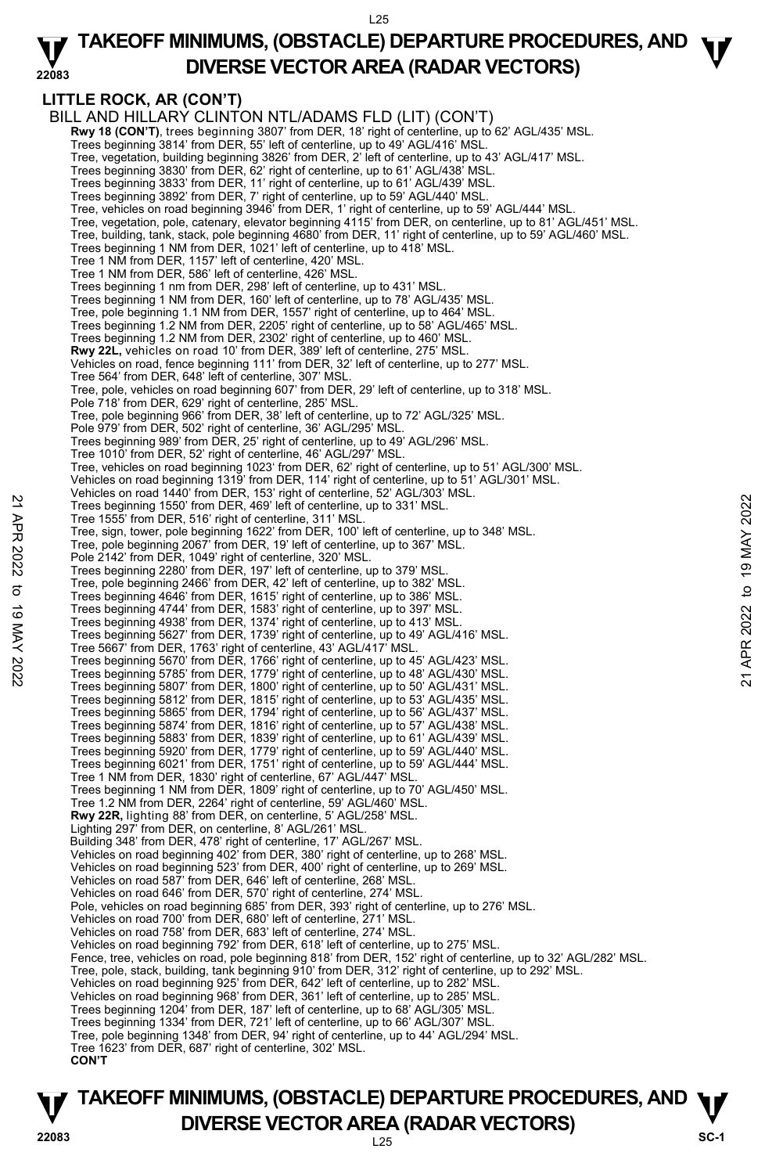#### **22083 TAKEOFF MINIMUMS, (OBSTACLE) DEPARTURE PROCEDURES, AND**  $\Psi$ **DIVERSE VECTOR AREA (RADAR VECTORS)**

# **LITTLE ROCK, AR (CON'T)**

BILL AND HILLARY CLINTON NTL/ADAMS FLD (LIT) (CON'T) **Rwy 18 (CON'T)**, trees beginning 3807' from DER, 18' right of centerline, up to 62' AGL/435' MSL.<br>Trees beginning 3814' from DER, 55' left of centerline, up to 49' AGL/416' MSL. Tree, vegetation, building beginning 3826' from DER, 2' left of centerline, up to 43' AGL/417' MSL. Trees beginning 3830' from DER, 62' right of centerline, up to 61' AGL/438' MSL. Trees beginning 3833' from DER, 11' right of centerline, up to 61' AGL/439' MSL. Trees beginning 3892' from DER, 7' right of centerline, up to 59' AGL/440' MSL. Tree, vehicles on road beginning 3946' from DER, 1' right of centerline, up to 59' AGL/444' MSL. Tree, vegetation, pole, catenary, elevator beginning 4115' from DER, on centerline, up to 81' AGL/451' MSL. Tree, building, tank, stack, pole beginning 4680' from DER, 11' right of centerline, up to 59' AGL/460' MSL. Trees beginning 1 NM from DER, 1021' left of centerline, up to 418' MSL. Tree 1 NM from DER, 1157' left of centerline, 420' MSL. Tree 1 NM from DER, 586' left of centerline, 426' MSL. Trees beginning 1 nm from DER, 298' left of centerline, up to 431' MSL. Trees beginning 1 NM from DER, 160' left of centerline, up to 78' AGL/435' MSL. Tree, pole beginning 1.1 NM from DER, 1557' right of centerline, up to 464' MSL. Trees beginning 1.2 NM from DER, 2205' right of centerline, up to 58' AGL/465' MSL. Trees beginning 1.2 NM from DER, 2302' right of centerline, up to 460' MSL. **Rwy 22L,** vehicles on road 10' from DER, 389' left of centerline, 275' MSL. Vehicles on road, fence beginning 111' from DER, 32' left of centerline, up to 277' MSL. Tree 564' from DER, 648' left of centerline, 307' MSL. Tree, pole, vehicles on road beginning 607' from DER, 29' left of centerline, up to 318' MSL. Pole 718' from DER, 629' right of centerline, 285' MSL. Tree, pole beginning 966' from DER, 38' left of centerline, up to 72' AGL/325' MSL. Pole 979' from DER, 502' right of centerline, 36' AGL/295' MSL. Trees beginning 989' from DER, 25' right of centerline, up to 49' AGL/296' MSL. Tree 1010' from DER, 52' right of centerline, 46' AGL/297' MSL. Tree, vehicles on road beginning 1023' from DER, 62' right of centerline, up to 51' AGL/300' MSL. Vehicles on road beginning 1319' from DER, 114' right of centerline, up to 51' AGL/301' MSL. Vehicles on road 1440' from DER, 153' right of centerline, 52' AGL/303' MSL. Trees beginning 1550' from DER, 469' left of centerline, up to 331' MSL. Tree 1555' from DER, 516' right of centerline, 311' MSL. Tree, sign, tower, pole beginning 1622' from DER, 100' left of centerline, up to 348' MSL. Tree, pole beginning 2067' from DER, 19' left of centerline, up to 367' MSL. Pole 2142' from DER, 1049' right of centerline, 320' MSL. Trees beginning 2280' from DER, 197' left of centerline, up to 379' MSL. Tree, pole beginning 2466' from DER, 42' left of centerline, up to 382' MSL. Trees beginning 4646' from DER, 1615' right of centerline, up to 386' MSL. Trees beginning 4744' from DER, 1583' right of centerline, up to 397' MSL. Trees beginning 4938' from DER, 1374' right of centerline, up to 413' MSL. Trees beginning 5627' from DER, 1739' right of centerline, up to 49' AGL/416' MSL. Tree 5667' from DER, 1763' right of centerline, 43' AGL/417' MSL. Trees beginning 1560' from DER, 169' is for contentline, up to 331' MSL.<br>
Tree, sign, tower, pole beginning 1662' from DER, 19' MSL.<br>
Tree, pole beginning 2067' from DER, 19' elft of centerline, up to 367' MSL.<br>
Pole 2142' Trees beginning 5807' from DER, 1800' right of centerline, up to 50' AGL/431' MSL. Trees beginning 5812' from DER, 1815' right of centerline, up to 53' AGL/435' MSL. Trees beginning 5865' from DER, 1794' right of centerline, up to 56' AGL/437' MSL. Trees beginning 5874' from DER, 1816' right of centerline, up to 57' AGL/438' MSL. Trees beginning 5883' from DER, 1839' right of centerline, up to 61' AGL/439' MSL. Trees beginning 5920' from DER, 1779' right of centerline, up to 59' AGL/440' MSL. Trees beginning 6021' from DER, 1751' right of centerline, up to 59' AGL/444' MSL. Tree 1 NM from DER, 1830' right of centerline, 67' AGL/447' MSL. Trees beginning 1 NM from DER, 1809' right of centerline, up to 70' AGL/450' MSL. Tree 1.2 NM from DER, 2264' right of centerline, 59' AGL/460' MSL. **Rwy 22R,** lighting 88' from DER, on centerline, 5' AGL/258' MSL. Lighting 297' from DER, on centerline, 8' AGL/261' MSL. Building 348' from DER, 478' right of centerline, 17' AGL/267' MSL. Vehicles on road beginning 402' from DER, 380' right of centerline, up to 268' MSL. Vehicles on road beginning 523' from DER, 400' right of centerline, up to 269' MSL. Vehicles on road 587' from DER, 646' left of centerline, 268' MSL. Vehicles on road 646' from DER, 570' right of centerline, 274' MSL. Pole, vehicles on road beginning 685' from DER, 393' right of centerline, up to 276' MSL. Vehicles on road 700' from DER, 680' left of centerline, 271' MSL. Vehicles on road 758' from DER, 683' left of centerline, 274' MSL. Vehicles on road beginning 792' from DER, 618' left of centerline, up to 275' MSL. Fence, tree, vehicles on road, pole beginning 818' from DER, 152' right of centerline, up to 32' AGL/282' MSL. Tree, pole, stack, building, tank beginning 910' from DER, 312' right of centerline, up to 292' MSL. Vehicles on road beginning 925' from DER, 642' left of centerline, up to 282' MSL. Vehicles on road beginning 968' from DER, 361' left of centerline, up to 285' MSL. Trees beginning 1204' from DER, 187' left of centerline, up to 68' AGL/305' MSL. Trees beginning 1334' from DER, 721' left of centerline, up to 66' AGL/307' MSL. Tree, pole beginning 1348' from DER, 94' right of centerline, up to 44' AGL/294' MSL. Tree 1623' from DER, 687' right of centerline, 302' MSL.  **CON'T** 

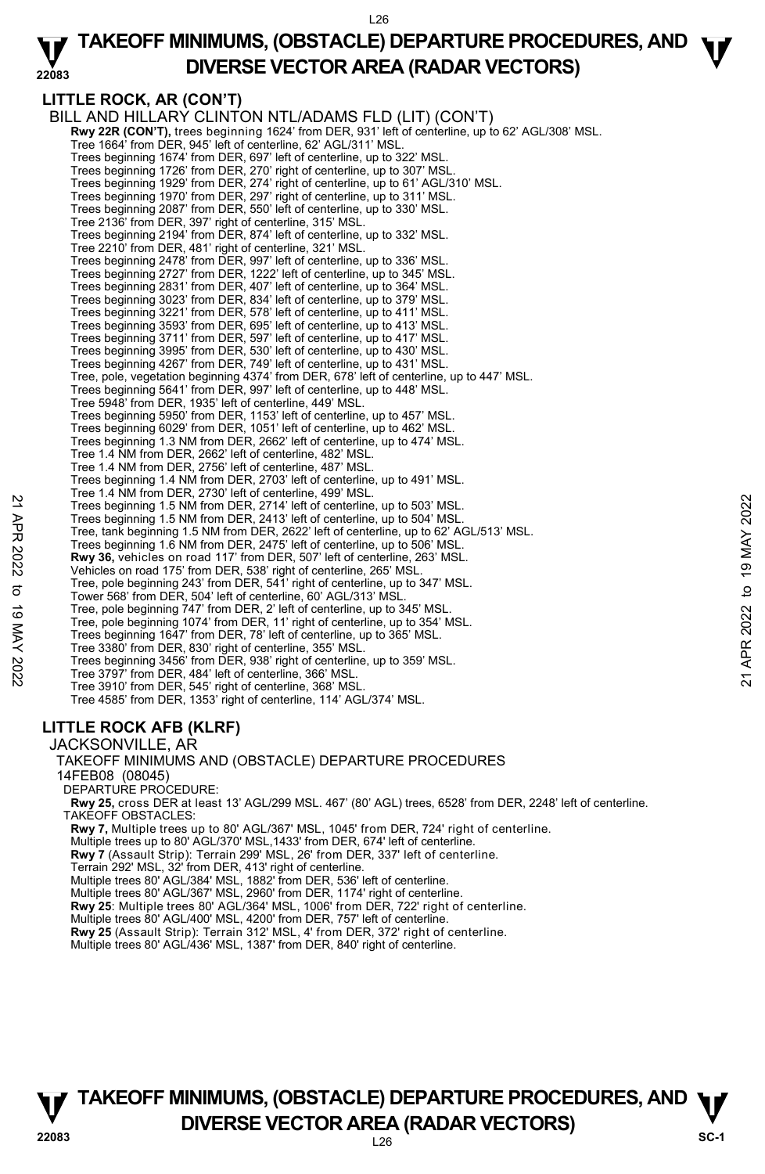#### **22083 TAKEOFF MINIMUMS, (OBSTACLE) DEPARTURE PROCEDURES, AND**  $\Psi$ **DIVERSE VECTOR AREA (RADAR VECTORS)**

# **LITTLE ROCK, AR (CON'T)**

BILL AND HILLARY CLINTON NTL/ADAMS FLD (LIT) (CON'T) **Rwy 22R (CON'T),** trees beginning 1624' from DER, 931' left of centerline, up to 62' AGL/308' MSL. Tree 1664' from DER, 945' left of centerline, 62' AGL/311' MSL. Trees beginning 1674' from DER, 697' left of centerline, up to 322' MSL. Trees beginning 1726' from DER, 270' right of centerline, up to 307' MSL. Trees beginning 1929' from DER, 274' right of centerline, up to 61' AGL/310' MSL. Trees beginning 1970' from DER, 297' right of centerline, up to 311' MSL. Trees beginning 2087' from DER, 550' left of centerline, up to 330' MSL. Tree 2136' from DER, 397' right of centerline, 315' MSL. Trees beginning 2194' from DER, 874' left of centerline, up to 332' MSL. Tree 2210' from DER, 481' right of centerline, 321' MSL. Trees beginning 2478' from DER, 997' left of centerline, up to 336' MSL.<br>Trees beginning 2727' from DER, 1222' left of centerline, up to 345' MSL.<br>Trees beginning 2831' from DER, 407' left of centerline, up to 364' MSL. Trees beginning 3023' from DER, 834' left of centerline, up to 379' MSL. Trees beginning 3221' from DER, 578' left of centerline, up to 411' MSL. Trees beginning 3593' from DER, 695' left of centerline, up to 413' MSL. Trees beginning 3711' from DER, 597' left of centerline, up to 417' MSL. Trees beginning 3995' from DER, 530' left of centerline, up to 430' MSL. Trees beginning 4267' from DER, 749' left of centerline, up to 431' MSL. Tree, pole, vegetation beginning 4374' from DER, 678' left of centerline, up to 447' MSL. Trees beginning 5641' from DER, 997' left of centerline, up to 448' MSL. Tree 5948' from DER, 1935' left of centerline, 449' MSL. Trees beginning 5950' from DER, 1153' left of centerline, up to 457' MSL. Trees beginning 6029' from DER, 1051' left of centerline, up to 462' MSL. Trees beginning 1.3 NM from DER, 2662' left of centerline, up to 474' MSL. Tree 1.4 NM from DER, 2662' left of centerline, 482' MSL. Tree 1.4 NM from DER, 2756' left of centerline, 487' MSL. Trees beginning 1.4 NM from DER, 2703' left of centerline, up to 491' MSL. Tree 1.4 NM from DER, 2730' left of centerline, 499' MSL. Trees beginning 1.5 NM from DER, 2714' left of centerline, up to 503' MSL. Trees beginning 1.5 NM from DER, 2413' left of centerline, up to 504' MSL. Tree, tank beginning 1.5 NM from DER, 2622' left of centerline, up to 62' AGL/513' MSL. Trees beginning 1.6 NM from DER, 2475' left of centerline, up to 506' MSL. **Rwy 36,** vehicles on road 117' from DER, 507' left of centerline, 263' MSL. Vehicles on road 175' from DER, 538' right of centerline, 265' MSL. Tree, pole beginning 243' from DER, 541' right of centerline, up to 347' MSL. Tower 568' from DER, 504' left of centerline, 60' AGL/313' MSL. Tree, pole beginning 747' from DER, 2' left of centerline, up to 345' MSL. Tree, pole beginning 1074' from DER, 11' right of centerline, up to 354' MSL. Trees beginning 1647' from DER, 78' left of centerline, up to 365' MSL. Tree 3380' from DER, 830' right of centerline, 355' MSL. Trees beginning 3456' from DER, 938' right of centerline, up to 359' MSL. Tree 3797' from DER, 484' left of centerline, 366' MSL. Tree 3910' from DER, 545' right of centerline, 368' MSL. Tree 4585' from DER, 1353' right of centerline, 114' AGL/374' MSL. JACKSONVILLE, AR 22 Trees beginning 15. NM from DER, 2714' left of centerline, up to 503' MSL.<br>
Trees beginning 1.5 NM from DER, 2413' left of centerline, up to 504' MSL.<br>
Trees to equining 1.5 NM from DER, 2413' left of centerline, up to

# **LITTLE ROCK AFB (KLRF)**

TAKEOFF MINIMUMS AND (OBSTACLE) DEPARTURE PROCEDURES 14FEB08 (08045) DEPARTURE PROCEDURE: **Rwy 25,** cross DER at least 13' AGL/299 MSL. 467' (80' AGL) trees, 6528' from DER, 2248' left of centerline. TAKEOFF OBSTACLES: **Rwy 7,** Multiple trees up to 80' AGL/367' MSL, 1045' from DER, 724' right of centerline. Multiple trees up to 80' AGL/370' MSL,1433' from DER, 674' left of centerline. **Rwy 7** (Assault Strip): Terrain 299' MSL, 26' from DER, 337' left of centerline. Terrain 292' MSL, 32' from DER, 413' right of centerline. Multiple trees 80' AGL/384' MSL, 1882' from DER, 536' left of centerline. Multiple trees 80' AGL/367' MSL, 2960' from DER, 1174' right of centerline. **Rwy 25**: Multiple trees 80' AGL/364' MSL, 1006' from DER, 722' right of centerline. Multiple trees 80' AGL/400' MSL, 4200' from DER, 757' left of centerline. **Rwy 25** (Assault Strip): Terrain 312' MSL, 4' from DER, 372' right of centerline.<br>Multiple trees 80' AGL/436' MSL, 1387' from DER, 840' right of centerline.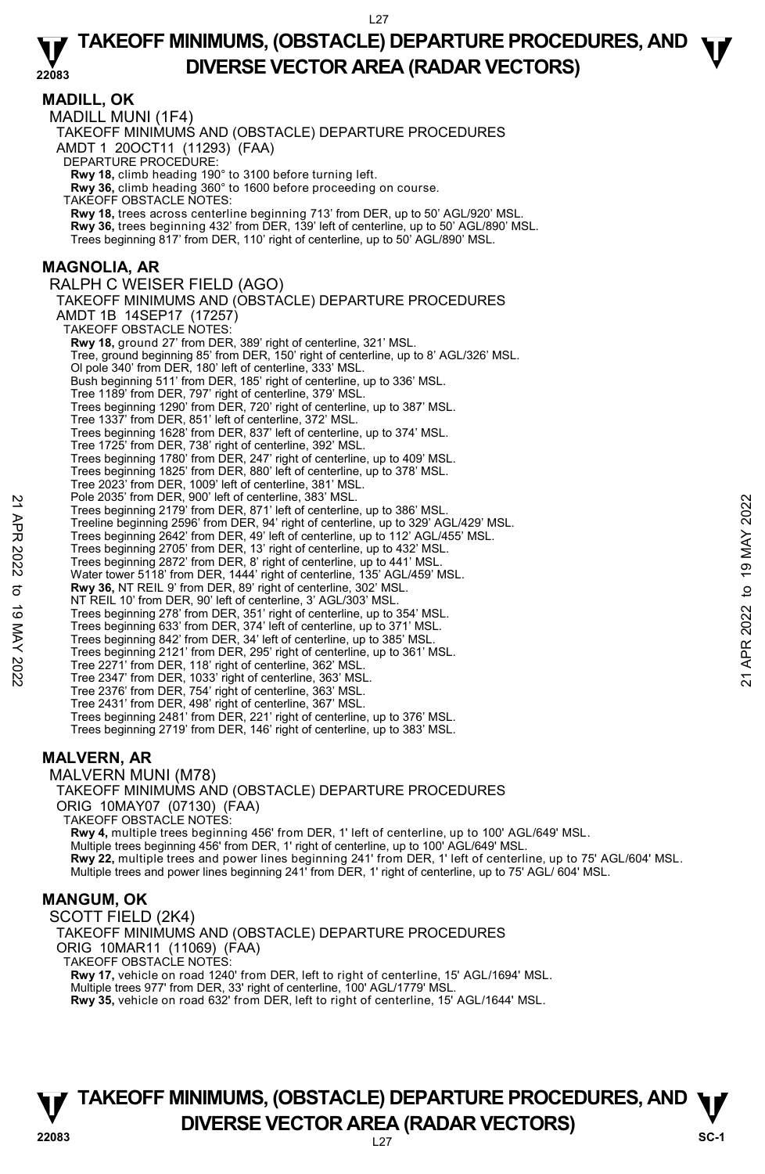**MADILL, OK**  MADILL MUNI (1F4) TAKEOFF MINIMUMS AND (OBSTACLE) DEPARTURE PROCEDURES AMDT 1 20OCT11 (11293) (FAA) DEPARTURE PROCEDURE: **Rwy 18,** climb heading 190° to 3100 before turning left. **Rwy 36,** climb heading 360° to 1600 before proceeding on course. TAKEOFF OBSTACLE NOTES: **Rwy 18,** trees across centerline beginning 713' from DER, up to 50' AGL/920' MSL. **Rwy 36,** trees beginning 432' from DER, 139' left of centerline, up to 50' AGL/890' MSL. Trees beginning 817' from DER, 110' right of centerline, up to 50' AGL/890' MSL. **MAGNOLIA, AR**  RALPH C WEISER FIELD (AGO) TAKEOFF MINIMUMS AND (OBSTACLE) DEPARTURE PROCEDURES AMDT 1B 14SEP17 (17257) TAKEOFF OBSTACLE NOTES: **Rwy 18,** ground 27' from DER, 389' right of centerline, 321' MSL. Tree, ground beginning 85' from DER, 150' right of centerline, up to 8' AGL/326' MSL. Ol pole 340' from DER, 180' left of centerline, 333' MSL. Bush beginning 511' from DER, 185' right of centerline, up to 336' MSL. Tree 1189' from DER, 797' right of centerline, 379' MSL. Trees beginning 1290' from DER, 720' right of centerline, up to 387' MSL. Tree 1337' from DER, 851' left of centerline, 372' MSL. Trees beginning 1628' from DER, 837' left of centerline, up to 374' MSL. Tree 1725' from DER, 738' right of centerline, 392' MSL. Trees beginning 1780' from DER, 247' right of centerline, up to 409' MSL. Trees beginning 1825' from DER, 880' left of centerline, up to 378' MSL. Tree 2023' from DER, 1009' left of centerline, 381' MSL. Pole 2035' from DER, 900' left of centerline, 383' MSL. Trees beginning 2179' from DER, 871' left of centerline, up to 386' MSL. Treeline beginning 2596' from DER, 94' right of centerline, up to 329' AGL/429' MSL. Trees beginning 2642' from DER, 49' left of centerline, up to 112' AGL/455' MSL. Trees beginning 2705' from DER, 13' right of centerline, up to 432' MSL. Trees beginning 2872' from DER, 8' right of centerline, up to 441' MSL. Water tower 5118' from DER, 1444' right of centerline, 135' AGL/459' MSL. **Rwy 36,** NT REIL 9' from DER, 89' right of centerline, 302' MSL. NT REIL 10' from DER, 90' left of centerline, 3' AGL/303' MSL. Trees beginning 278' from DER, 351' right of centerline, up to 354' MSL.<br>Trees beginning 633' from DER, 374' left of centerline, up to 381' MSL.<br>Trees beginning 842' from DER, 34' left of centerline, up to 385' MSL. Trees beginning 2121' from DER, 295' right of centerline, up to 361' MSL. Tree 2271' from DER, 118' right of centerline, 362' MSL. Tree 2347' from DER, 1033' right of centerline, 363' MSL. Tree 2376' from DER, 754' right of centerline, 363' MSL. Tree 2431' from DER, 498' right of centerline, 367' MSL. Trees beginning 2481' from DER, 221' right of centerline, up to 376' MSL. Trees beginning 2719' from DER, 146' right of centerline, up to 383' MSL. MALVERN MUNI (M78) Pole 2035 from DER, 90'left of center ine, 363' MSL.<br>
Trees beginning 2179' from DER, 84' right of centerline, up to 386' MSL.<br>
Trees beginning 2696' from DER, 94' right of centerline, up to 1929' AGL/429' MSL.<br>
Trees beg

### **MALVERN, AR**

TAKEOFF MINIMUMS AND (OBSTACLE) DEPARTURE PROCEDURES ORIG 10MAY07 (07130) (FAA)

TAKEOFF OBSTACLE NOTES:

**Rwy 4,** multiple trees beginning 456' from DER, 1' left of centerline, up to 100' AGL/649' MSL. Multiple trees beginning 456' from DER, 1' right of centerline, up to 100' AGL/649' MSL. **Rwy 22,** multiple trees and power lines beginning 241' from DER, 1' left of centerline, up to 75' AGL/604' MSL. Multiple trees and power lines beginning 241' from DER, 1' right of centerline, up to 75' AGL/ 604' MSL.

#### **MANGUM, OK**

SCOTT FIELD (2K4) TAKEOFF MINIMUMS AND (OBSTACLE) DEPARTURE PROCEDURES ORIG 10MAR11 (11069) (FAA) TAKEOFF OBSTACLE NOTES: **Rwy 17,** vehicle on road 1240' from DER, left to right of centerline, 15' AGL/1694' MSL. Multiple trees 977' from DER, 33' right of centerline, 100' AGL/1779' MSL.

**Rwy 35,** vehicle on road 632' from DER, left to right of centerline, 15' AGL/1644' MSL.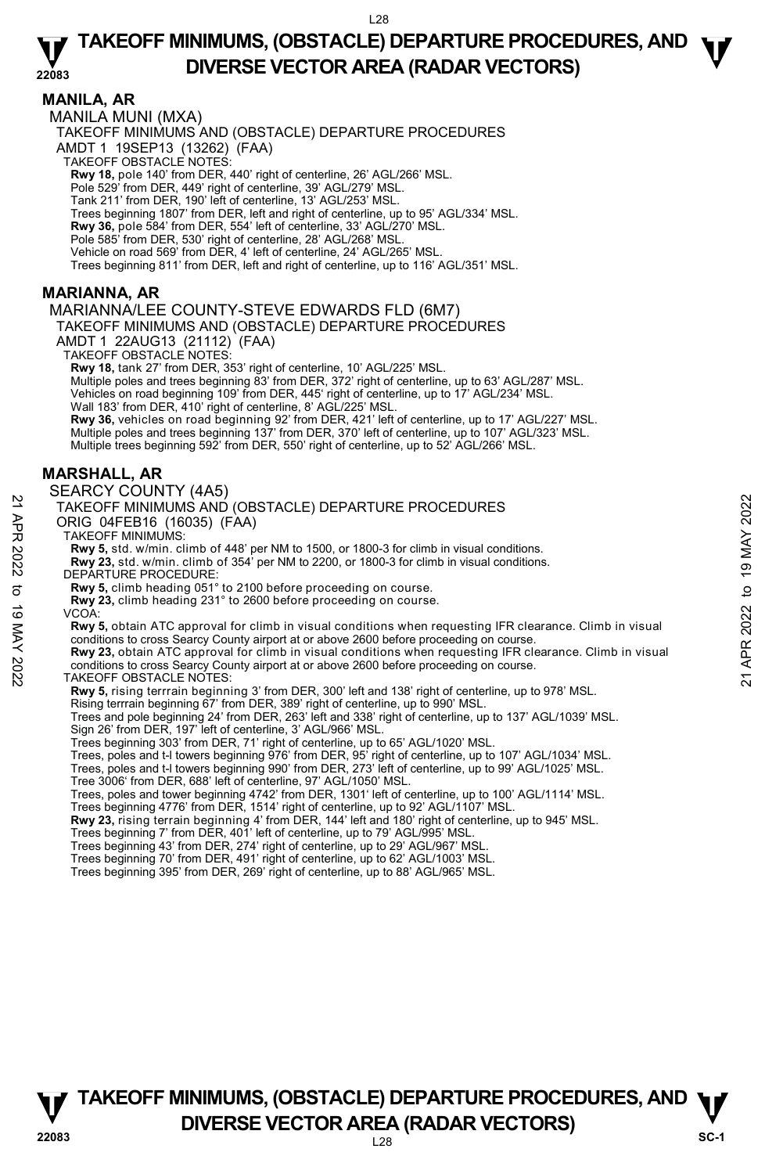### **MANILA, AR**

MANILA MUNI (MXA)

TAKEOFF MINIMUMS AND (OBSTACLE) DEPARTURE PROCEDURES

AMDT 1 19SEP13 (13262) (FAA)

TAKEOFF OBSTACLE NOTES:

**Rwy 18,** pole 140' from DER, 440' right of centerline, 26' AGL/266' MSL.<br>Pole 529' from DER, 449' right of centerline, 39' AGL/279' MSL.

Tank 211' from DER, 190' left of centerline, 13' AGL/253' MSL.

Trees beginning 1807' from DER, left and right of centerline, up to 95' AGL/334' MSL.

**Rwy 36,** pole 584' from DER, 554' left of centerline, 33' AGL/270' MSL.<br>Pole 585' from DER, 530' right of centerline, 28' AGL/268' MSL.

Vehicle on road 569' from DER, 4' left of centerline, 24' AGL/265' MSL.

Trees beginning 811' from DER, left and right of centerline, up to 116' AGL/351' MSL.

### **MARIANNA, AR**

#### MARIANNA/LEE COUNTY-STEVE EDWARDS FLD (6M7)

### TAKEOFF MINIMUMS AND (OBSTACLE) DEPARTURE PROCEDURES

AMDT 1 22AUG13 (21112) (FAA)

TAKEOFF OBSTACLE NOTES:

**Rwy 18,** tank 27' from DER, 353' right of centerline, 10' AGL/225' MSL.

Multiple poles and trees beginning 83' from DER, 372' right of centerline, up to 63' AGL/287' MSL.

Vehicles on road beginning 109' from DER, 445' right of centerline, up to 17' AGL/234' MSL. Wall 183' from DER, 410' right of centerline, 8' AGL/225' MSL.

**Rwy 36,** vehicles on road beginning 92' from DER, 421' left of centerline, up to 17' AGL/227' MSL. Multiple poles and trees beginning 137' from DER, 370' left of centerline, up to 107' AGL/323' MSL. Multiple trees beginning 592' from DER, 550' right of centerline, up to 52' AGL/266' MSL.

### **MARSHALL, AR**

#### SEARCY COUNTY (4A5)

#### TAKEOFF MINIMUMS AND (OBSTACLE) DEPARTURE PROCEDURES ORIG 04FEB16 (16035) (FAA)

TAKEOFF MINIMUMS:

**Rwy 5,** std. w/min. climb of 448' per NM to 1500, or 1800-3 for climb in visual conditions.

**Rwy 23,** std. w/min. climb of 354' per NM to 2200, or 1800-3 for climb in visual conditions. DEPARTURE PROCEDURE:

**Rwy 5,** climb heading 051° to 2100 before proceeding on course.

**Rwy 23,** climb heading 231° to 2600 before proceeding on course.

**Rwy 5,** obtain ATC approval for climb in visual conditions when requesting IFR clearance. Climb in visual conditions to cross Searcy County airport at or above 2600 before proceeding on course. 21 ACCOFF MINIMUMS AND (OBSTACLE) DEPARTURE PROCEDURES<br>
22 TAKEOFF MINIMUMS AND (OBSTACLE) DEPARTURE PROCEDURES<br>
22 TAKEOFF MINIMUMS.<br>
22 TAKEOFF MINIMUMS AND (OBSTACLE) DEPARTURE PROCEDURES<br>
22 TAKEOFF MINIMUMS AND (1603

**Rwy 23,** obtain ATC approval for climb in visual conditions when requesting IFR clearance. Climb in visual conditions to cross Searcy County airport at or above 2600 before proceeding on course.

TAKEOFF OBSTACLE NOTES:

**Rwy 5,** rising terrrain beginning 3' from DER, 300' left and 138' right of centerline, up to 978' MSL.

Rising terrrain beginning 67' from DER, 389' right of centerline, up to 990' MSL.

Trees and pole beginning 24' from DER, 263' left and 338' right of centerline, up to 137' AGL/1039' MSL. Sign 26' from DER, 197' left of centerline, 3' AGL/966' MSL.

Trees beginning 303' from DER, 71' right of centerline, up to 65' AGL/1020' MSL.

Trees, poles and t-I towers beginning 976' from DER, 95' right of centerline, up to 107' AGL/1034' MSL.

Trees, poles and t-l towers beginning 990' from DER, 273' left of centerline, up to 99' AGL/1025' MSL.

Tree 3006' from DER, 688' left of centerline, 97' AGL/1050' MSL.

Trees, poles and tower beginning 4742' from DER, 1301' left of centerline, up to 100' AGL/1114' MSL.<br>Trees beginning 4776' from DER, 1514' right of centerline, up to 92' AGL/1107' MSL.

**Rwy 23,** rising terrain beginning 4' from DER, 144' left and 180' right of centerline, up to 945' MSL.

Trees beginning 7' from DER, 401' left of centerline, up to 79' AGL/995' MSL.

Trees beginning 43' from DER, 274' right of centerline, up to 29' AGL/967' MSL.

Trees beginning 70' from DER, 491' right of centerline, up to 62' AGL/1003' MSL.

Trees beginning 395' from DER, 269' right of centerline, up to 88' AGL/965' MSL.

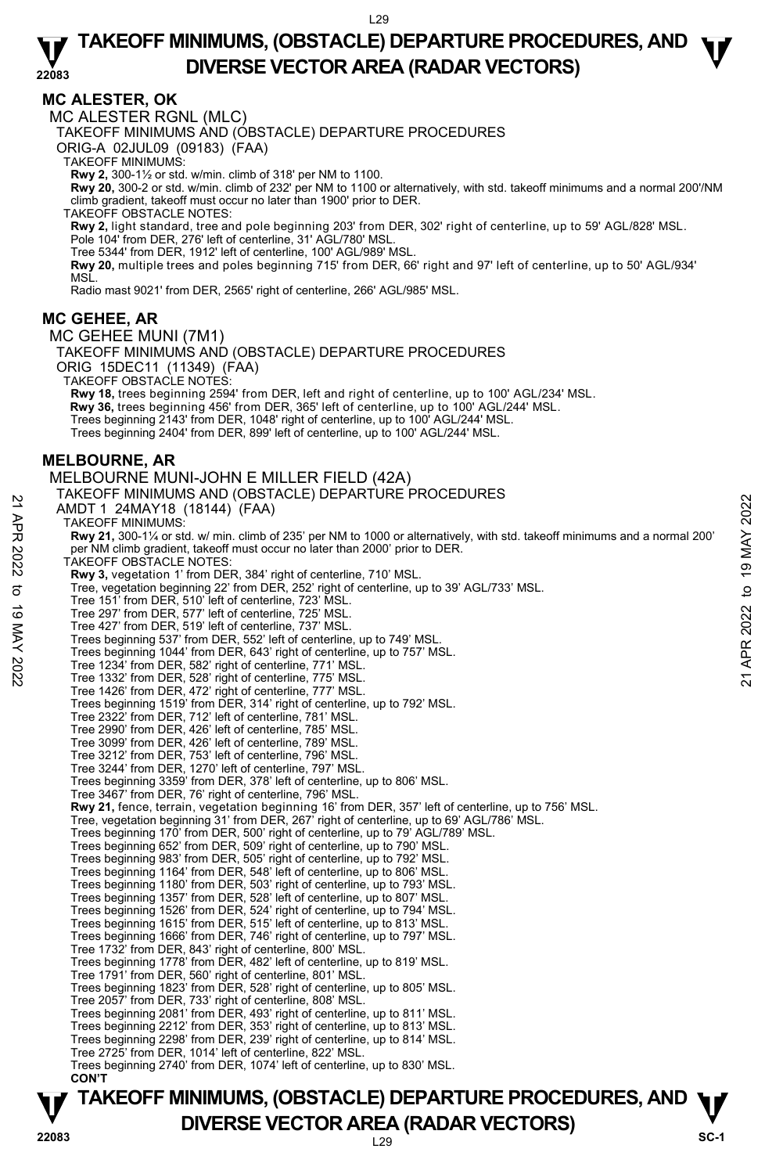### **MC ALESTER, OK**

MC ALESTER RGNL (MLC)

TAKEOFF MINIMUMS AND (OBSTACLE) DEPARTURE PROCEDURES

ORIG-A 02JUL09 (09183) (FAA)

TAKEOFF MINIMUMS:

**Rwy 2,** 300-1½ or std. w/min. climb of 318' per NM to 1100.

**Rwy 20,** 300-2 or std. w/min. climb of 232' per NM to 1100 or alternatively, with std. takeoff minimums and a normal 200'/NM climb gradient, takeoff must occur no later than 1900' prior to DER.

TAKEOFF OBSTACLE NOTES:

**Rwy 2,** light standard, tree and pole beginning 203' from DER, 302' right of centerline, up to 59' AGL/828' MSL.<br>Pole 104' from DER, 276' left of centerline, 31' AGL/780' MSL.

Tree 5344' from DER, 1912' left of centerline, 100' AGL/989' MSL.

**Rwy 20,** multiple trees and poles beginning 715' from DER, 66' right and 97' left of centerline, up to 50' AGL/934' MSL.

Radio mast 9021' from DER, 2565' right of centerline, 266' AGL/985' MSL.

### **MC GEHEE, AR**

MC GEHEE MUNI (7M1) TAKEOFF MINIMUMS AND (OBSTACLE) DEPARTURE PROCEDURES ORIG 15DEC11 (11349) (FAA) TAKEOFF OBSTACLE NOTES: **Rwy 18,** trees beginning 2594' from DER, left and right of centerline, up to 100' AGL/234' MSL. **Rwy 36,** trees beginning 456' from DER, 365' left of centerline, up to 100' AGL/244' MSL. Trees beginning 2143' from DER, 1048' right of centerline, up to 100' AGL/244' MSL. Trees beginning 2404' from DER, 899' left of centerline, up to 100' AGL/244' MSL. **MELBOURNE, AR**  MELBOURNE MUNI-JOHN E MILLER FIELD (42A) TAKEOFF MINIMUMS AND (OBSTACLE) DEPARTURE PROCEDURES AMDT 1 24MAY18 (18144) (FAA) TAKEOFF MINIMUMS: **Rwy 21,** 300-1¼ or std. w/ min. climb of 235' per NM to 1000 or alternatively, with std. takeoff minimums and a normal 200' per NM climb gradient, takeoff must occur no later than 2000' prior to DER. TAKEOFF OBSTACLE NOTES: **Rwy 3,** vegetation 1' from DER, 384' right of centerline, 710' MSL.<br>Tree, vegetation beginning 22' from DER, 252' right of centerline, up to 39' AGL/733' MSL. Tree 151' from DER, 510' left of centerline, 723' MSL. Tree 297' from DER, 577' left of centerline, 725' MSL. Tree 427' from DER, 519' left of centerline, 737' MSL. Trees beginning 537' from DER, 552' left of centerline, up to 749' MSL. Trees beginning 1044' from DER, 643' right of centerline, up to 757' MSL. Tree 1234' from DER, 582' right of centerline, 771' MSL. Tree 1332' from DER, 528' right of centerline, 775' MSL. Tree 1426' from DER, 472' right of centerline, 777' MSL. Trees beginning 1519' from DER, 314' right of centerline, up to 792' MSL. Tree 2322' from DER, 712' left of centerline, 781' MSL. Tree 2990' from DER, 426' left of centerline, 785' MSL. Tree 3099' from DER, 426' left of centerline, 789' MSL. Tree 3212' from DER, 753' left of centerline, 796' MSL. Tree 3244' from DER, 1270' left of centerline, 797' MSL. Trees beginning 3359' from DER, 378' left of centerline, up to 806' MSL. Tree 3467' from DER, 76' right of centerline, 796' MSL. **Rwy 21,** fence, terrain, vegetation beginning 16' from DER, 357' left of centerline, up to 756' MSL. Tree, vegetation beginning 31' from DER, 267' right of centerline, up to 69' AGL/786' MSL. Trees beginning 170' from DER, 500' right of centerline, up to 79' AGL/789' MSL.<br>Trees beginning 652' from DER, 509' right of centerline, up to 790' MSL.<br>Trees beginning 983' from DER, 505' right of centerline, up to 792' Trees beginning 1164' from DER, 548' left of centerline, up to 806' MSL. Trees beginning 1180' from DER, 503' right of centerline, up to 793' MSL. Trees beginning 1357' from DER, 528' left of centerline, up to 807' MSL. Trees beginning 1526' from DER, 524' right of centerline, up to 794' MSL. Trees beginning 1615' from DER, 515' left of centerline, up to 813' MSL. Trees beginning 1666' from DER, 746' right of centerline, up to 797' MSL. Tree 1732' from DER, 843' right of centerline, 800' MSL. Trees beginning 1778' from DER, 482' left of centerline, up to 819' MSL. Tree 1791' from DER, 560' right of centerline, 801' MSL. Trees beginning 1823' from DER, 528' right of centerline, up to 805' MSL. Tree 2057' from DER, 733' right of centerline, 808' MSL. Trees beginning 2081' from DER, 493' right of centerline, up to 811' MSL. Trees beginning 2212' from DER, 353' right of centerline, up to 813' MSL. Trees beginning 2298' from DER, 239' right of centerline, up to 814' MSL. Tree 2725' from DER, 1014' left of centerline, 822' MSL. Trees beginning 2740' from DER, 1074' left of centerline, up to 830' MSL. **CON'T**  AMDT 1 24MAY18 (18144) (FAA)<br>
AMDT 1 24MAY18 (18144) (FAA)<br>
TAKEOFF MINIMUMS:<br>
Rwy 21, 300-11% or std. w/ min. climb of 235' per NM to 1000 or alternatively, with std. takeoff minimums and a normal 200'<br>
Per NM climb gradi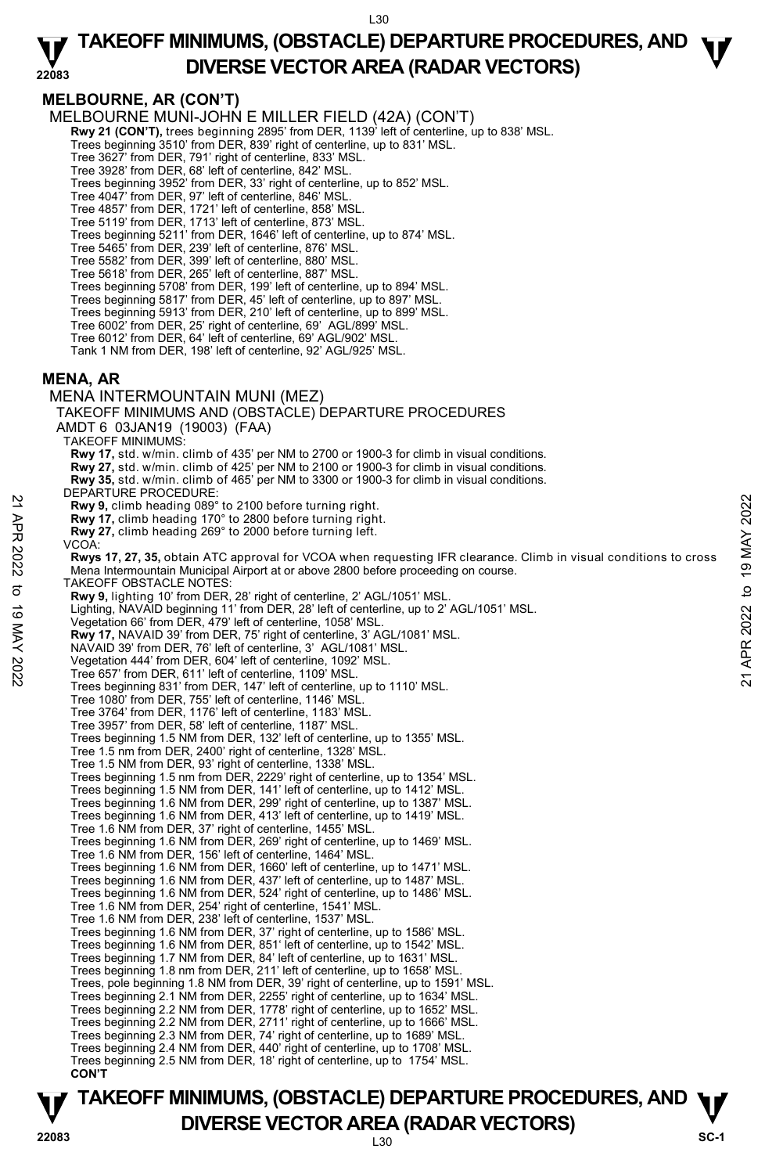#### **22083 TAKEOFF MINIMUMS, (OBSTACLE) DEPARTURE PROCEDURES, AND**  $\Psi$ **DIVERSE VECTOR AREA (RADAR VECTORS)**

# **MELBOURNE, AR (CON'T)**

MELBOURNE MUNI-JOHN E MILLER FIELD (42A) (CON'T)

**Rwy 21 (CON'T),** trees beginning 2895' from DER, 1139' left of centerline, up to 838' MSL.

Trees beginning 3510' from DER, 839' right of centerline, up to 831' MSL.

Tree 3627' from DER, 791' right of centerline, 833' MSL.

Tree 3928' from DER, 68' left of centerline, 842' MSL.

Trees beginning 3952' from DER, 33' right of centerline, up to 852' MSL.

Tree 4047' from DER, 97' left of centerline, 846' MSL. Tree 4857' from DER, 1721' left of centerline, 858' MSL.

Tree 5119' from DER, 1713' left of centerline, 873' MSL. Trees beginning 5211' from DER, 1646' left of centerline, up to 874' MSL.

Tree 5465' from DER, 239' left of centerline, 876' MSL.

Tree 5582' from DER, 399' left of centerline, 880' MSL. Tree 5618' from DER, 265' left of centerline, 887' MSL.

Trees beginning 5708' from DER, 199' left of centerline, up to 894' MSL.

Trees beginning 5817' from DER, 45' left of centerline, up to 897' MSL.

Trees beginning 5913' from DER, 210' left of centerline, up to 899' MSL. Tree 6002' from DER, 25' right of centerline, 69' AGL/899' MSL.

Tree 6012' from DER, 64' left of centerline, 69' AGL/902' MSL.

Tank 1 NM from DER, 198' left of centerline, 92' AGL/925' MSL.

### **MENA, AR**

MENA INTERMOUNTAIN MUNI (MEZ) TAKEOFF MINIMUMS AND (OBSTACLE) DEPARTURE PROCEDURES AMDT 6 03JAN19 (19003) (FAA) TAKEOFF MINIMUMS: **Rwy 17,** std. w/min. climb of 435' per NM to 2700 or 1900-3 for climb in visual conditions. **Rwy 27,** std. w/min. climb of 425' per NM to 2100 or 1900-3 for climb in visual conditions. **Rwy 35,** std. w/min. climb of 465' per NM to 3300 or 1900-3 for climb in visual conditions. DEPARTURE PROCEDURE **Rwy 9,** climb heading 089° to 2100 before turning right. **Rwy 17,** climb heading 170° to 2800 before turning right. **Rwy 27,** climb heading 269° to 2000 before turning left. VCOA: **Rwys 17, 27, 35,** obtain ATC approval for VCOA when requesting IFR clearance. Climb in visual conditions to cross Mena Intermountain Municipal Airport at or above 2800 before proceeding on course. TAKEOFF OBSTACLE NOTES: **Rwy 9,** lighting 10' from DER, 28' right of centerline, 2' AGL/1051' MSL. Lighting, NAVAID beginning 11' from DER, 28' left of centerline, up to 2' AGL/1051' MSL. Vegetation 66' from DER, 479' left of centerline, 1058' MSL **Rwy 17,** NAVAID 39' from DER, 75' right of centerline, 3' AGL/1081' MSL. NAVAID 39' from DER, 76' left of centerline, 3' AGL/1081' MSL. Vegetation 444' from DER, 604' left of centerline, 1092' MSL. Tree 657' from DER, 611' left of centerline, 1109' MSL. Trees beginning 831' from DER, 147' left of centerline, up to 1110' MSL. Tree 1080' from DER, 755' left of centerline, 1146' MSL. Tree 3764' from DER, 1176' left of centerline, 1183' MSL. Tree 3957' from DER, 58' left of centerline, 1187' MSL. Trees beginning 1.5 NM from DER, 132' left of centerline, up to 1355' MSL. Tree 1.5 nm from DER, 2400' right of centerline, 1328' MSL. Tree 1.5 NM from DER, 93' right of centerline, 1338' MSL. Trees beginning 1.5 nm from DER, 2229' right of centerline, up to 1354' MSL. Trees beginning 1.5 NM from DER, 141' left of centerline, up to 1412' MSL. Trees beginning 1.6 NM from DER, 299' right of centerline, up to 1387' MSL. Trees beginning 1.6 NM from DER, 413' left of centerline, up to 1419' MSL. Tree 1.6 NM from DER, 37' right of centerline, 1455' MSL. Trees beginning 1.6 NM from DER, 269' right of centerline, up to 1469' MSL. Tree 1.6 NM from DER, 156' left of centerline, 1464' MSL. Trees beginning 1.6 NM from DER, 1660' left of centerline, up to 1471' MSL. Trees beginning 1.6 NM from DER, 437' left of centerline, up to 1487' MSL. Trees beginning 1.6 NM from DER, 524' right of centerline, up to 1486' MSL. Tree 1.6 NM from DER, 254' right of centerline, 1541' MSL. Tree 1.6 NM from DER, 238' left of centerline, 1537' MSL. Trees beginning 1.6 NM from DER, 37' right of centerline, up to 1586' MSL. Trees beginning 1.6 NM from DER, 851' left of centerline, up to 1542' MSL. Trees beginning 1.7 NM from DER, 84' left of centerline, up to 1631' MSL. Trees beginning 1.8 nm from DER, 211' left of centerline, up to 1658' MSL. Trees, pole beginning 1.8 NM from DER, 39' right of centerline, up to 1591' MSL. Trees beginning 2.1 NM from DER, 2255' right of centerline, up to 1634' MSL. Trees beginning 2.2 NM from DER, 1778' right of centerline, up to 1652' MSL. Trees beginning 2.2 NM from DER, 2711' right of centerline, up to 1666' MSL. Trees beginning 2.3 NM from DER, 74' right of centerline, up to 1689' MSL. Trees beginning 2.4 NM from DER, 440' right of centerline, up to 1708' MSL. Trees beginning 2.5 NM from DER, 18' right of centerline, up to 1754' MSL.  **CON'T EVALUAT SET ANTION CONTROLL AND SET AND SET AND SET AND SET AND ANY 17, climb heading 089° to 2000 before turning right.**<br> **Pay 21**, climb heading 269° to 2000 before turning right.<br> **Rwy 21,** climb heading 269° to 2000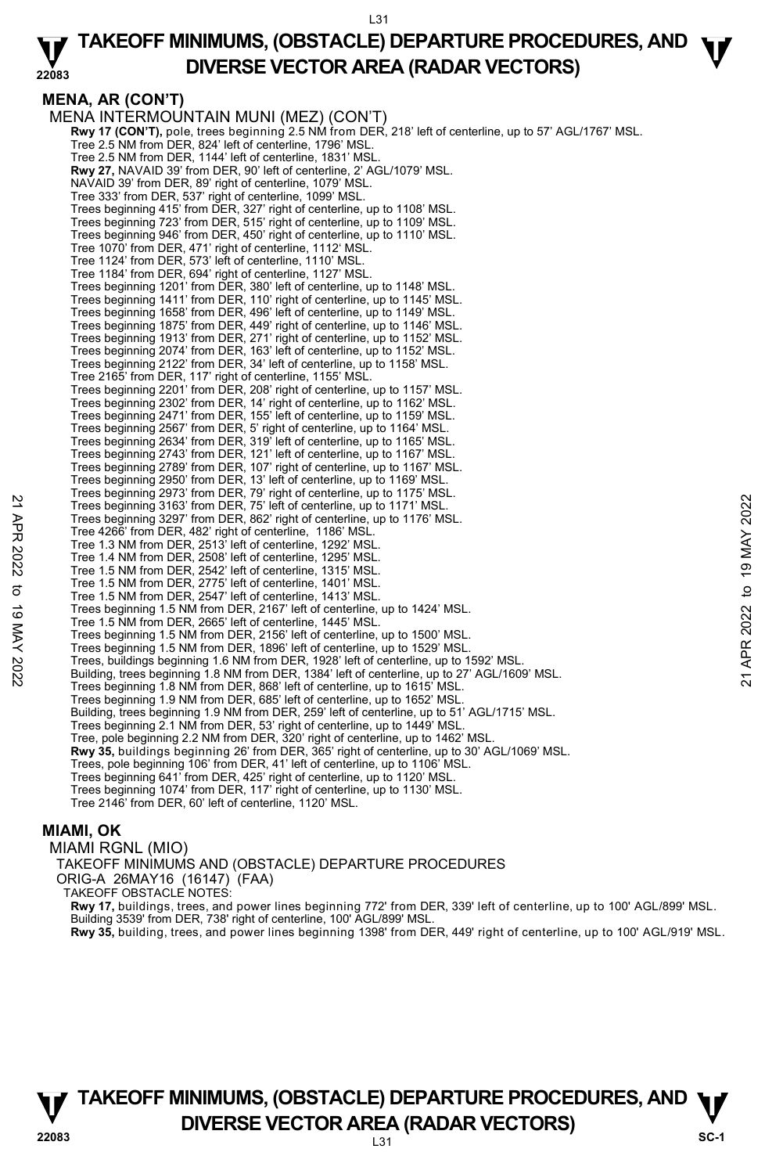#### **22083 TAKEOFF MINIMUMS, (OBSTACLE) DEPARTURE PROCEDURES, AND**  $\Psi$ **DIVERSE VECTOR AREA (RADAR VECTORS)**

**MENA, AR (CON'T)**  MENA INTERMOUNTAIN MUNI (MEZ) (CON'T) **Rwy 17 (CON'T),** pole, trees beginning 2.5 NM from DER, 218' left of centerline, up to 57' AGL/1767' MSL. Tree 2.5 NM from DER, 824' left of centerline, 1796' MSL. Tree 2.5 NM from DER, 1144' left of centerline, 1831' MSL. **Rwy 27,** NAVAID 39' from DER, 90' left of centerline, 2' AGL/1079' MSL. NAVAID 39' from DER, 89' right of centerline, 1079' MSL. Tree 333' from DER, 537' right of centerline, 1099' MSL. Trees beginning 415' from DER, 327' right of centerline, up to 1108' MSL. Trees beginning 723' from DER, 515' right of centerline, up to 1109' MSL. Trees beginning 946' from DER, 450' right of centerline, up to 1110' MSL. Tree 1070' from DER, 471' right of centerline, 1112' MSL. Tree 1124' from DER, 573' left of centerline, 1110' MSL. Tree 1184' from DER, 694' right of centerline, 1127' MSL. Trees beginning 1201' from DER, 380' left of centerline, up to 1148' MSL. Trees beginning 1411' from DER, 110' right of centerline, up to 1145' MSL. Trees beginning 1658' from DER, 496' left of centerline, up to 1149' MSL. Trees beginning 1875' from DER, 449' right of centerline, up to 1146' MSL. Trees beginning 1913' from DER, 271' right of centerline, up to 1152' MSL. Trees beginning 2074' from DER, 163' left of centerline, up to 1152' MSL. Trees beginning 2122' from DER, 34' left of centerline, up to 1158' MSL. Tree 2165' from DER, 117' right of centerline, 1155' MSL. Trees beginning 2201' from DER, 208' right of centerline, up to 1157' MSL. Trees beginning 2302' from DER, 14' right of centerline, up to 1162' MSL. Trees beginning 2471' from DER, 155' left of centerline, up to 1159' MSL. Trees beginning 2567' from DER, 5' right of centerline, up to 1164' MSL. Trees beginning 2634' from DER, 319' left of centerline, up to 1165' MSL. Trees beginning 2743' from DER, 121' left of centerline, up to 1167' MSL. Trees beginning 2789' from DER, 107' right of centerline, up to 1167' MSL. Trees beginning 2950' from DER, 13' left of centerline, up to 1169' MSL. Trees beginning 2973' from DER, 79' right of centerline, up to 1175' MSL. Trees beginning 3163' from DER, 75' left of centerline, up to 1171' MSL. Trees beginning 3297' from DER, 862' right of centerline, up to 1176' MSL. Tree 4266' from DER, 482' right of centerline, 1186' MSL. Tree 1.3 NM from DER, 2513' left of centerline, 1292' MSL. Tree 1.4 NM from DER, 2508' left of centerline, 1295' MSL. Tree 1.5 NM from DER, 2542' left of centerline, 1315' MSL. Tree 1.5 NM from DER, 2775' left of centerline, 1401' MSL. Tree 1.5 NM from DER, 2547' left of centerline, 1413' MSL. Trees beginning 1.5 NM from DER, 2167' left of centerline, up to 1424' MSL. Tree 1.5 NM from DER, 2665' left of centerline, 1445' MSL. Trees beginning 1.5 NM from DER, 2156' left of centerline, up to 1500' MSL. Trees beginning 1.5 NM from DER, 1896' left of centerline, up to 1529' MSL. Note these beginning 3163' from DER, 75' left of centerline, up to 1171' MSL.<br>
Trees beginning 3163' from DER, 75' left of centerline, up to 1171' MSL.<br>
Tree 4266' from DER, 251' right of centerline, up to 1176' MSL.<br>
Tre Trees beginning 1.8 NM from DER, 868' left of centerline, up to 1615' MSL. Trees beginning 1.9 NM from DER, 685' left of centerline, up to 1652' MSL. Building, trees beginning 1.9 NM from DER, 259' left of centerline, up to 51' AGL/1715' MSL.<br>Trees beginning 2.1 NM from DER, 53' right of centerline, up to 1449' MSL. Tree, pole beginning 2.2 NM from DER, 320' right of centerline, up to 1462' MSL. **Rwy 35,** buildings beginning 26' from DER, 365' right of centerline, up to 30' AGL/1069' MSL.<br>Trees, pole beginning 106' from DER, 41' left of centerline, up to 1106' MSL. Trees beginning 641' from DER, 425' right of centerline, up to 1120' MSL. Trees beginning 1074' from DER, 117' right of centerline, up to 1130' MSL. Tree 2146' from DER, 60' left of centerline, 1120' MSL. **MIAMI, OK** 

MIAMI RGNL (MIO) TAKEOFF MINIMUMS AND (OBSTACLE) DEPARTURE PROCEDURES ORIG-A 26MAY16 (16147) (FAA) TAKEOFF OBSTACLE NOTES: **Rwy 17,** buildings, trees, and power lines beginning 772' from DER, 339' left of centerline, up to 100' AGL/899' MSL. Building 3539' from DER, 738' right of centerline, 100' AGL/899' MSL. **Rwy 35,** building, trees, and power lines beginning 1398' from DER, 449' right of centerline, up to 100' AGL/919' MSL.

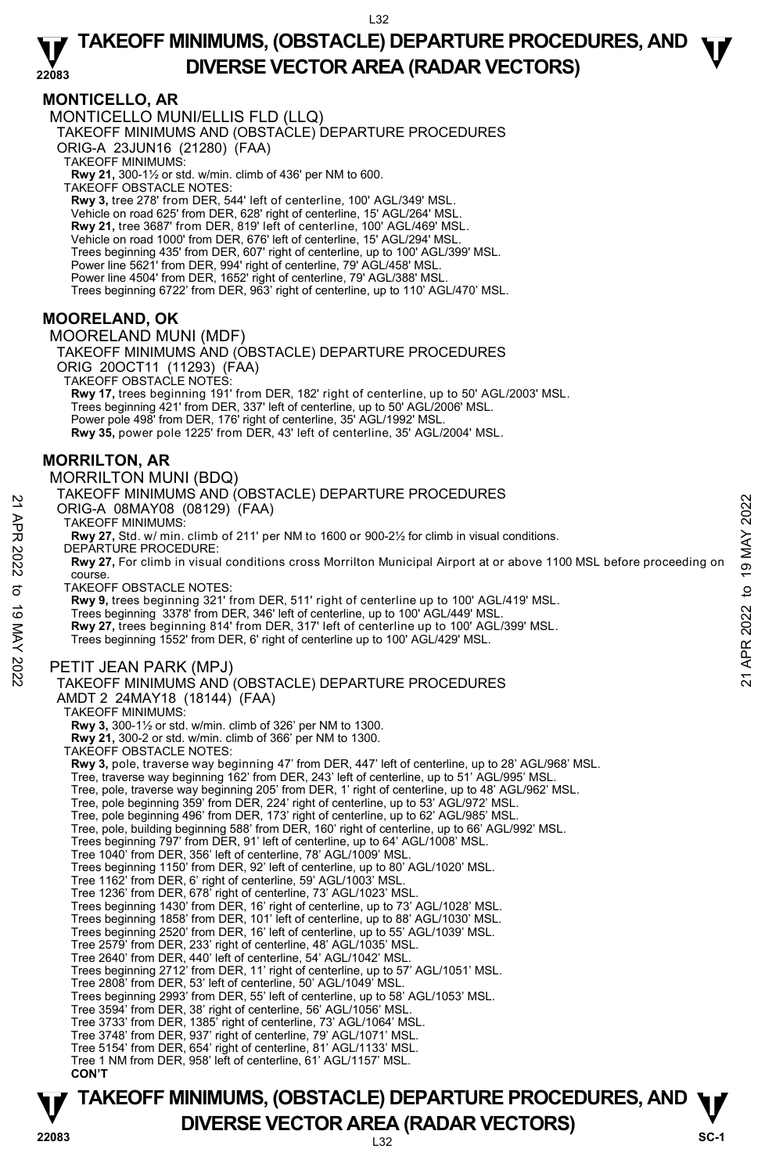### **MONTICELLO, AR**

MONTICELLO MUNI/ELLIS FLD (LLQ) TAKEOFF MINIMUMS AND (OBSTACLE) DEPARTURE PROCEDURES ORIG-A 23JUN16 (21280) (FAA) TAKEOFF MINIMUMS: **Rwy 21,** 300-1½ or std. w/min. climb of 436' per NM to 600. TAKEOFF OBSTACLE NOTES: **Rwy 3,** tree 278' from DER, 544' left of centerline, 100' AGL/349' MSL. Vehicle on road 625' from DER, 628' right of centerline, 15' AGL/264' MSL. **Rwy 21,** tree 3687' from DER, 819' left of centerline, 100' AGL/469' MSL. Vehicle on road 1000' from DER, 676' left of centerline, 15' AGL/294' MSL. Trees beginning 435' from DER, 607' right of centerline, up to 100' AGL/399' MSL. Power line 5621' from DER, 994' right of centerline, 79' AGL/458' MSL. Power line 4504' from DER, 1652' right of centerline, 79' AGL/388' MSL. Trees beginning 6722' from DER, 963' right of centerline, up to 110' AGL/470' MSL.

# **MOORELAND, OK**

MOORELAND MUNI (MDF) TAKEOFF MINIMUMS AND (OBSTACLE) DEPARTURE PROCEDURES ORIG 20OCT11 (11293) (FAA) TAKEOFF OBSTACLE NOTES: **Rwy 17,** trees beginning 191' from DER, 182' right of centerline, up to 50' AGL/2003' MSL. Trees beginning 421' from DER, 337' left of centerline, up to 50' AGL/2006' MSL. Power pole 498' from DER, 176' right of centerline, 35' AGL/1992' MSL. **Rwy 35,** power pole 1225' from DER, 43' left of centerline, 35' AGL/2004' MSL.

### **MORRILTON, AR**

MORRILTON MUNI (BDQ)

|          | MORRILTON MUNI (BDQ)                                                                                                                                                                       |                |
|----------|--------------------------------------------------------------------------------------------------------------------------------------------------------------------------------------------|----------------|
|          | TAKEOFF MINIMUMS AND (OBSTACLE) DEPARTURE PROCEDURES                                                                                                                                       |                |
| 21 APR   | ORIG-A 08MAY08 (08129) (FAA)                                                                                                                                                               | 2022           |
|          | <b>TAKEOFF MINIMUMS:</b>                                                                                                                                                                   |                |
|          | Rwy 27, Std. w/ min. climb of 211' per NM to 1600 or 900-21/2 for climb in visual conditions.                                                                                              | MAY            |
| 2022     | DEPARTURE PROCEDURE:<br>Rwy 27, For climb in visual conditions cross Morrilton Municipal Airport at or above 1100 MSL before proceeding on                                                 |                |
|          | course.                                                                                                                                                                                    | $\sigma$       |
| ಕ        | <b>TAKEOFF OBSTACLE NOTES:</b>                                                                                                                                                             | đ              |
|          | Rwy 9, trees beginning 321' from DER, 511' right of centerline up to 100' AGL/419' MSL.                                                                                                    |                |
| 6        | Trees beginning 3378' from DER, 346' left of centerline, up to 100' AGL/449' MSL.<br>Rwy 27, trees beginning 814' from DER, 317' left of centerline up to 100' AGL/399' MSL.               | 2022           |
|          | Trees beginning 1552' from DER, 6' right of centerline up to 100' AGL/429' MSL.                                                                                                            |                |
|          |                                                                                                                                                                                            | <b>APR</b>     |
| MAY 2022 | PETIT JEAN PARK (MPJ)                                                                                                                                                                      |                |
|          | TAKEOFF MINIMUMS AND (OBSTACLE) DEPARTURE PROCEDURES                                                                                                                                       | $\overline{c}$ |
|          | AMDT 2 24MAY18 (18144) (FAA)                                                                                                                                                               |                |
|          | <b>TAKEOFF MINIMUMS:</b>                                                                                                                                                                   |                |
|          | <b>Rwy 3, 300-1</b> % or std. w/min. climb of 326' per NM to 1300.<br>Rwy 21, 300-2 or std. w/min. climb of 366' per NM to 1300.                                                           |                |
|          | TAKEOFF OBSTACLE NOTES:                                                                                                                                                                    |                |
|          | Rwy 3, pole, traverse way beginning 47' from DER, 447' left of centerline, up to 28' AGL/968' MSL.                                                                                         |                |
|          | Tree, traverse way beginning 162' from DER, 243' left of centerline, up to 51' AGL/995' MSL.                                                                                               |                |
|          | Tree, pole, traverse way beginning 205' from DER, 1' right of centerline, up to 48' AGL/962' MSL.<br>Tree, pole beginning 359' from DER, 224' right of centerline, up to 53' AGL/972' MSL. |                |
|          | Tree, pole beginning 496' from DER, 173' right of centerline, up to 62' AGL/985' MSL.                                                                                                      |                |
|          | Tree, pole, building beginning 588' from DER, 160' right of centerline, up to 66' AGL/992' MSL.                                                                                            |                |
|          | Trees beginning 797' from DER, 91' left of centerline, up to 64' AGL/1008' MSL.                                                                                                            |                |
|          | Tree 1040' from DER, 356' left of centerline, 78' AGL/1009' MSL.<br>Trees beginning 1150' from DER, 92' left of centerline, up to 80' AGL/1020' MSL.                                       |                |
|          | Tree 1162' from DER, 6' right of centerline, 59' AGL/1003' MSL.                                                                                                                            |                |
|          | Tree 1236' from DER, 678' right of centerline, 73' AGL/1023' MSL.                                                                                                                          |                |
|          | Trees beginning 1430' from DER, 16' right of centerline, up to 73' AGL/1028' MSL.                                                                                                          |                |
|          | Trees beginning 1858' from DER, 101' left of centerline, up to 88' AGL/1030' MSL.                                                                                                          |                |
|          | Trees beginning 2520' from DER, 16' left of centerline, up to 55' AGL/1039' MSL.<br>Tree 2579' from DER, 233' right of centerline, 48' AGL/1035' MSL.                                      |                |
|          | Tree 2640' from DER, 440' left of centerline, 54' AGL/1042' MSL.                                                                                                                           |                |
|          | Trees beginning 2712' from DER, 11' right of centerline, up to 57' AGL/1051' MSL.                                                                                                          |                |
|          | Tree 2808' from DER, 53' left of centerline, 50' AGL/1049' MSL.                                                                                                                            |                |
|          | Trees beginning 2993' from DER, 55' left of centerline, up to 58' AGL/1053' MSL.<br>Tree 3594' from DER, 38' right of centerline, 56' AGL/1056' MSL.                                       |                |
|          | Tree 3733' from DER, 1385' right of centerline, 73' AGL/1064' MSL.                                                                                                                         |                |
|          | Tree 3748' from DER, 937' right of centerline, 79' AGL/1071' MSL.                                                                                                                          |                |
|          | Tree 5154' from DER, 654' right of centerline, 81' AGL/1133' MSL.                                                                                                                          |                |
|          | Tree 1 NM from DER, 958' left of centerline, 61' AGL/1157' MSL.                                                                                                                            |                |
|          | <b>CON'T</b>                                                                                                                                                                               |                |
|          | TAKEOFF MINIMUMS, (OBSTACLE) DEPARTURE PROCEDURES, AND                                                                                                                                     |                |
|          | DR/EDOE VEOTOD ADEA (DADAD VEOTODO)                                                                                                                                                        |                |

**P DIVERSE VECTOR AREA (RADAR VECTORS) P P SC-1**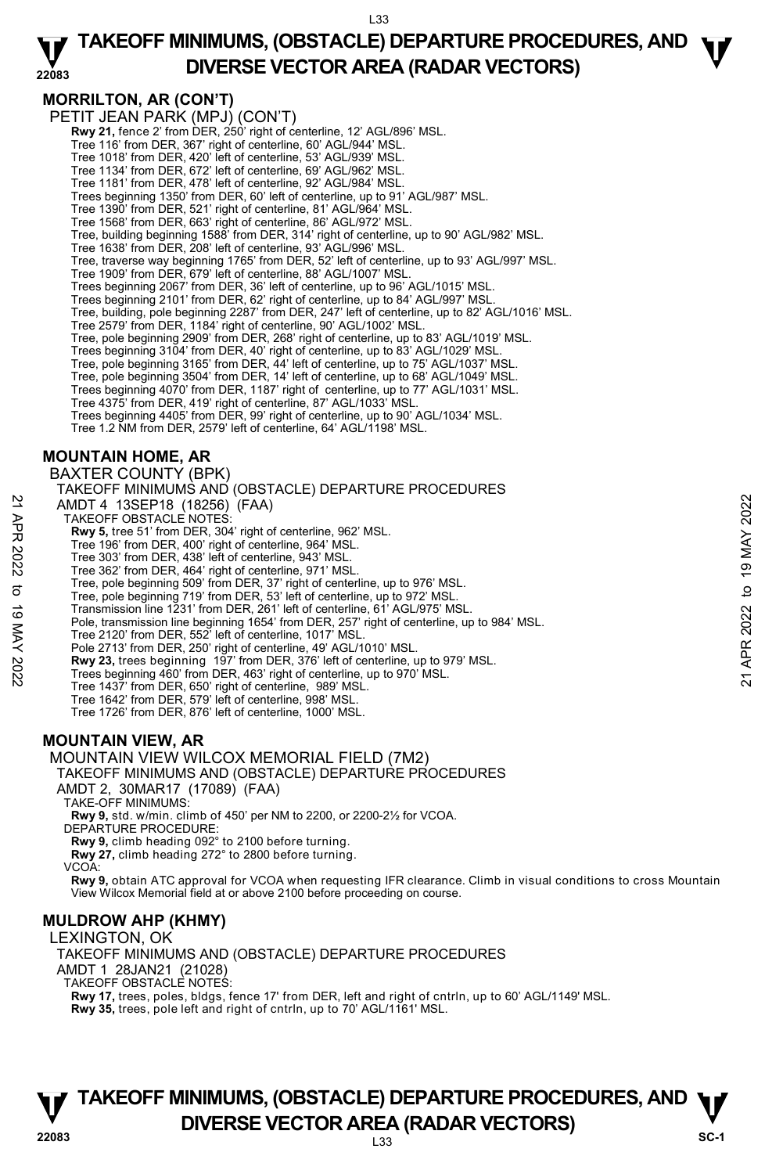#### **22083 TAKEOFF MINIMUMS, (OBSTACLE) DEPARTURE PROCEDURES, AND**  $\Psi$ **DIVERSE VECTOR AREA (RADAR VECTORS)**

# **MORRILTON, AR (CON'T)**

PETIT JEAN PARK (MPJ) (CON'T) **Rwy 21,** fence 2' from DER, 250' right of centerline, 12' AGL/896' MSL. Tree 116' from DER, 367' right of centerline, 60' AGL/944' MSL. Tree 1018' from DER, 420' left of centerline, 53' AGL/939' MSL. Tree 1134' from DER, 672' left of centerline, 69' AGL/962' MSL. Tree 1181' from DER, 478' left of centerline, 92' AGL/984' MSL. Trees beginning 1350' from DER, 60' left of centerline, up to 91' AGL/987' MSL. Tree 1390' from DER, 521' right of centerline, 81' AGL/964' MSL. Tree 1568' from DER, 663' right of centerline, 86' AGL/972' MSL. Tree, building beginning 1588' from DER, 314' right of centerline, up to 90' AGL/982' MSL. Tree 1638' from DER, 208' left of centerline, 93' AGL/996' MSL. Tree, traverse way beginning 1765' from DER, 52' left of centerline, up to 93' AGL/997' MSL. Tree 1909' from DER, 679' left of centerline, 88' AGL/1007' MSL. Trees beginning 2067' from DER, 36' left of centerline, up to 96' AGL/1015' MSL. Trees beginning 2101' from DER, 62' right of centerline, up to 84' AGL/997' MSL. Tree, building, pole beginning 2287' from DER, 247' left of centerline, up to 82' AGL/1016' MSL. Tree 2579' from DER, 1184' right of centerline, 90' AGL/1002' MSL. Tree, pole beginning 2909' from DER, 268' right of centerline, up to 83' AGL/1019' MSL. Trees beginning 3104' from DER, 40' right of centerline, up to 83' AGL/1029' MSL. Tree, pole beginning 3165' from DER, 44' left of centerline, up to 75' AGL/1037' MSL. Tree, pole beginning 3504' from DER, 14' left of centerline, up to 68' AGL/1049' MSL. Trees beginning 4070' from DER, 1187' right of centerline, up to 77' AGL/1031' MSL. Tree 4375' from DER, 419' right of centerline, 87' AGL/1033' MSL. Trees beginning 4405' from DER, 99' right of centerline, up to 90' AGL/1034' MSL. Tree 1.2 NM from DER, 2579' left of centerline, 64' AGL/1198' MSL. **MOUNTAIN HOME, AR**  BAXTER COUNTY (BPK) TAKEOFF MINIMUMS AND (OBSTACLE) DEPARTURE PROCEDURES AMDT 4 13SEP18 (18256) (FAA) TAKEOFF OBSTACLE NOTES: **Rwy 5,** tree 51' from DER, 304' right of centerline, 962' MSL. Tree 196' from DER, 400' right of centerline, 964' MSL. Tree 303' from DER, 438' left of centerline, 943' MSL. Tree 362' from DER, 464' right of centerline, 971' MSL. Tree, pole beginning 509' from DER, 37' right of centerline, up to 976' MSL. Tree, pole beginning 719' from DER, 53' left of centerline, up to 972' MSL. Transmission line 1231' from DER, 261' left of centerline, 61' AGL/975' MSL. Pole, transmission line beginning 1654' from DER, 257' right of centerline, up to 984' MSL. Tree 2120' from DER, 552' left of centerline, 1017' MSL. Pole 2713' from DER, 250' right of centerline, 49' AGL/1010' MSL. **Rwy 23,** trees beginning 197' from DER, 376' left of centerline, up to 979' MSL. Trees beginning 460' from DER, 463' right of centerline, up to 970' MSL. Tree 1437' from DER, 650' right of centerline, 989' MSL. Tree 1642' from DER, 579' left of centerline, 998' MSL. Tree 1726' from DER, 876' left of centerline, 1000' MSL. **MOUNTAIN VIEW, AR**  MOUNTAIN VIEW WILCOX MEMORIAL FIELD (7M2) TAKEOFF MINIMUMS AND (OBSTACLE) DEPARTURE PROCEDURES AMDT 2, 30MAR17 (17089) (FAA) TAKE-OFF MINIMUMS: **Rwy 9,** std. w/min. climb of 450' per NM to 2200, or 2200-2½ for VCOA. DEPARTURE PROCEDURE: AMDT 4 13SEP18 (18256) (FAA)<br>
TAKEOFF OBSTACLE NOTES:<br> **Rwy 5,** tree 51' from DER, 304' right of centerline, 962' MSL.<br>
Tree 303' from DER, 400' right of centerline, 943' MSL.<br>
Tree 303' from DER, 404' right of centerline

**Rwy 9,** climb heading 092° to 2100 before turning.

**Rwy 27,** climb heading 272° to 2800 before turning.

VCOA:

**Rwy 9,** obtain ATC approval for VCOA when requesting IFR clearance. Climb in visual conditions to cross Mountain View Wilcox Memorial field at or above 2100 before proceeding on course.

### **MULDROW AHP (KHMY)**

LEXINGTON, OK TAKEOFF MINIMUMS AND (OBSTACLE) DEPARTURE PROCEDURES AMDT 1 28JAN21 (21028) TAKEOFF OBSTACLE NOTES: **Rwy 17,** trees, poles, bldgs, fence 17' from DER, left and right of cntrln, up to 60' AGL/1149' MSL. **Rwy 35,** trees, pole left and right of cntrln, up to 70' AGL/1161' MSL.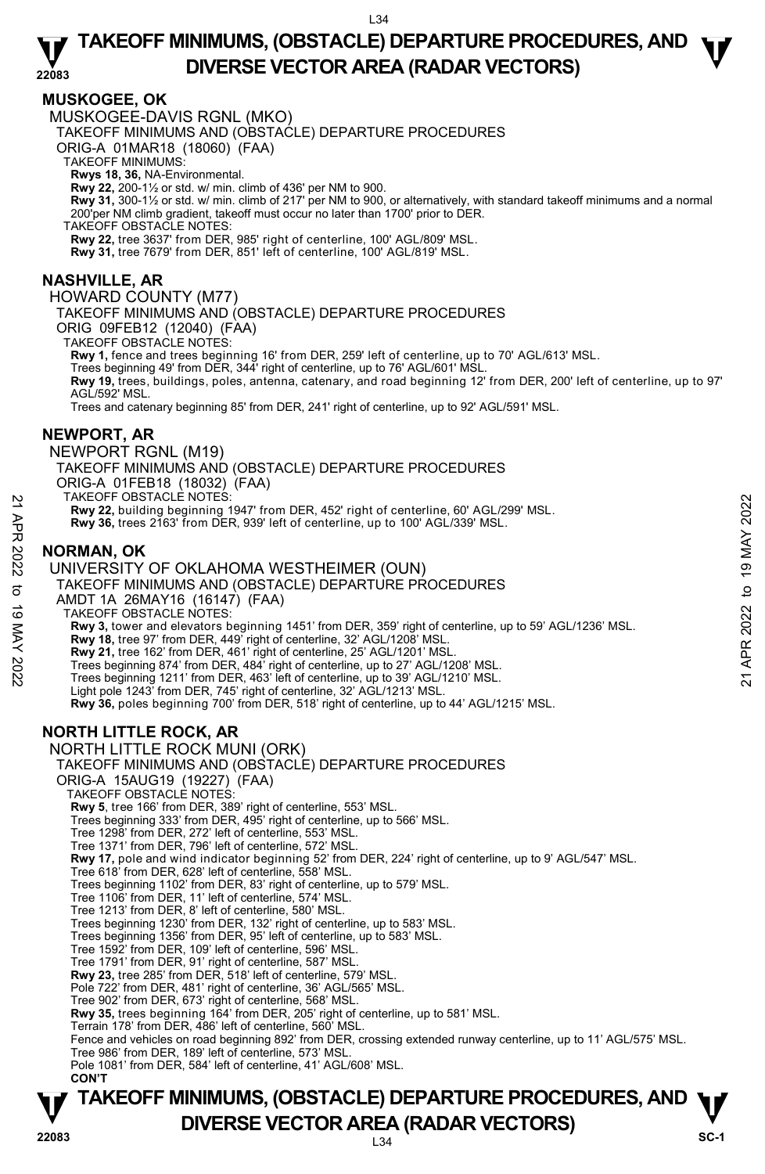### **MUSKOGEE, OK**

MUSKOGEE-DAVIS RGNL (MKO)

TAKEOFF MINIMUMS AND (OBSTACLE) DEPARTURE PROCEDURES

ORIG-A 01MAR18 (18060) (FAA)

TAKEOFF MINIMUMS:

**Rwys 18, 36,** NA-Environmental.<br>**Rwy 22,** 200-1½ or std. w/ min. climb of 436' per NM to 900.

**Rwy 31,** 300-1½ or std. w/ min. climb of 217' per NM to 900, or alternatively, with standard takeoff minimums and a normal 200'per NM climb gradient, takeoff must occur no later than 1700' prior to DER.

TAKEOFF OBSTACLE NOTES:

**Rwy 22,** tree 3637' from DER, 985' right of centerline, 100' AGL/809' MSL.

**Rwy 31,** tree 7679' from DER, 851' left of centerline, 100' AGL/819' MSL.

### **NASHVILLE, AR**

HOWARD COUNTY (M77)

TAKEOFF MINIMUMS AND (OBSTACLE) DEPARTURE PROCEDURES

ORIG 09FEB12 (12040) (FAA) TAKEOFF OBSTACLE NOTES:

**Rwy 1,** fence and trees beginning 16' from DER, 259' left of centerline, up to 70' AGL/613' MSL.<br>Trees beginning 49' from DER, 344' right of centerline, up to 76' AGL/601' MSL.

**Rwy 19,** trees, buildings, poles, antenna, catenary, and road beginning 12' from DER, 200' left of centerline, up to 97' AGL/592' MSL.

Trees and catenary beginning 85' from DER, 241' right of centerline, up to 92' AGL/591' MSL.

### **NEWPORT, AR**

NEWPORT RGNL (M19) TAKEOFF MINIMUMS AND (OBSTACLE) DEPARTURE PROCEDURES ORIG-A 01FEB18 (18032) (FAA) TAKEOFF OBSTACLE NOTES: **Rwy 22,** building beginning 1947' from DER, 452' right of centerline, 60' AGL/299' MSL. **Rwy 36,** trees 2163' from DER, 939' left of centerline, up to 100' AGL/339' MSL. **NORMAN, OK**  UNIVERSITY OF OKLAHOMA WESTHEIMER (OUN) TAKEOFF MINIMUMS AND (OBSTACLE) DEPARTURE PROCEDURES AMDT 1A 26MAY16 (16147) (FAA) TAKEOFF OBSTACLE NOTES: **EXECUTE ON THE 2022** TO THE 19 MATHEMET (DUN)<br> **EVALUATION 19 MAY 22, building beginning 1947' from DER, 452' right of centerline, 60' AGL/339' MSL.<br>
<b>EVALUATION AVENT CONTRANT CONTRANT CONTRANT CONTRANT CONTRANT OF OKLA** 

**Rwy 3,** tower and elevators beginning 1451' from DER, 359' right of centerline, up to 59' AGL/1236' MSL.

**Rwy 18,** tree 97' from DER, 449' right of centerline, 32' AGL/1208' MSL.

**Rwy 21,** tree 162' from DER, 461' right of centerline, 25' AGL/1201' MSL.

Trees beginning 874' from DER, 484' right of centerline, up to 27' AGL/1208' MSL. Trees beginning 1211' from DER, 463' left of centerline, up to 39' AGL/1210' MSL.

Light pole 1243' from DER, 745' right of centerline, 32' AGL/1213' MSL.

**Rwy 36,** poles beginning 700' from DER, 518' right of centerline, up to 44' AGL/1215' MSL.

### **NORTH LITTLE ROCK, AR**

NORTH LITTLE ROCK MUNI (ORK) TAKEOFF MINIMUMS AND (OBSTACLE) DEPARTURE PROCEDURES ORIG-A 15AUG19 (19227) (FAA) TAKEOFF OBSTACLE NOTES: **Rwy 5**, tree 166' from DER, 389' right of centerline, 553' MSL. Trees beginning 333' from DER, 495' right of centerline, up to 566' MSL. Tree 1298' from DER, 272' left of centerline, 553' MSL. Tree 1371' from DER, 796' left of centerline, 572' MSL. **Rwy 17,** pole and wind indicator beginning 52' from DER, 224' right of centerline, up to 9' AGL/547' MSL. Tree 618' from DER, 628' left of centerline, 558' MSL. Trees beginning 1102' from DER, 83' right of centerline, up to 579' MSL. Tree 1106' from DER, 11' left of centerline, 574' MSL. Tree 1213' from DER, 8' left of centerline, 580' MSL. Trees beginning 1230' from DER, 132' right of centerline, up to 583' MSL. Trees beginning 1356' from DER, 95' left of centerline, up to 583' MSL. Tree 1592' from DER, 109' left of centerline, 596' MSL. Tree 1791' from DER, 91' right of centerline, 587' MSL. **Rwy 23,** tree 285' from DER, 518' left of centerline, 579' MSL. Pole 722' from DER, 481' right of centerline, 36' AGL/565' MSL. Tree 902' from DER, 673' right of centerline, 568' MSL. **Rwy 35,** trees beginning 164' from DER, 205' right of centerline, up to 581' MSL. Terrain 178' from DER, 486' left of centerline, 560' MSL. Fence and vehicles on road beginning 892' from DER, crossing extended runway centerline, up to 11' AGL/575' MSL. Tree 986' from DER, 189' left of centerline, 573' MSL. Pole 1081' from DER, 584' left of centerline, 41' AGL/608' MSL. **CON'T**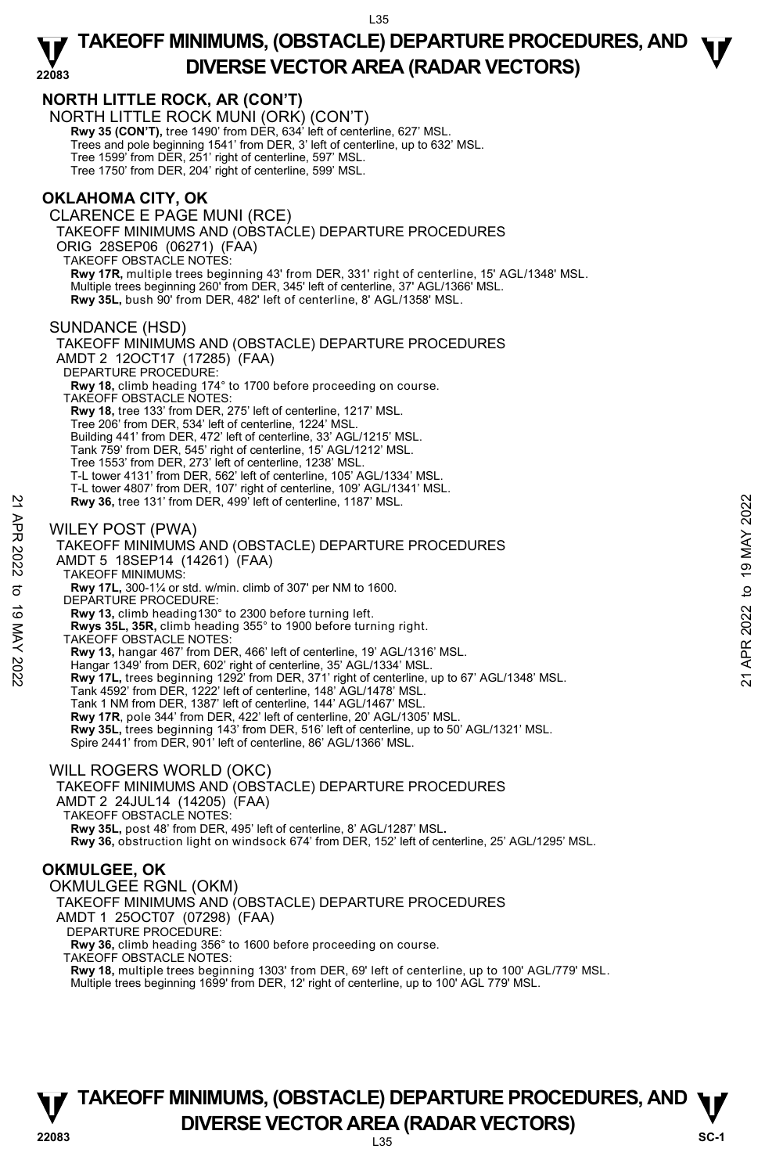

**Rwy 18,** multiple trees beginning 1303' from DER, 69' left of centerline, up to 100' AGL/779' MSL.<br>Multiple trees beginning 1699' from DER, 12' right of centerline, up to 100' AGL 779' MSL.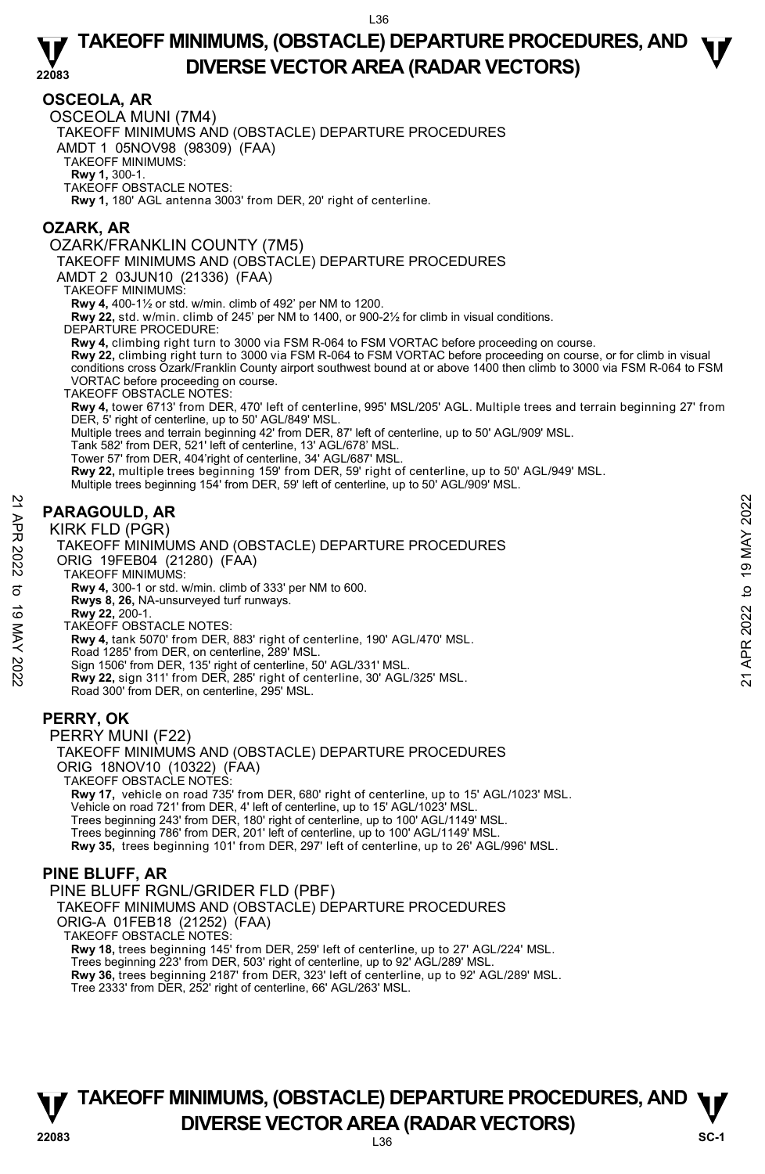### **OSCEOLA, AR**

OSCEOLA MUNI (7M4)

TAKEOFF MINIMUMS AND (OBSTACLE) DEPARTURE PROCEDURES

AMDT 1 05NOV98 (98309) (FAA)

TAKEOFF MINIMUMS:

**Rwy 1,** 300-1. TAKEOFF OBSTACLE NOTES:

**Rwy 1,** 180' AGL antenna 3003' from DER, 20' right of centerline.

### **OZARK, AR**

OZARK/FRANKLIN COUNTY (7M5)

TAKEOFF MINIMUMS AND (OBSTACLE) DEPARTURE PROCEDURES

AMDT 2 03JUN10 (21336) (FAA)

TAKEOFF MINIMUMS:

**Rwy 4,** 400-1½ or std. w/min. climb of 492' per NM to 1200.

**Rwy 22,** std. w/min. climb of 245' per NM to 1400, or 900-2½ for climb in visual conditions.

DEPARTURE PROCEDURE:

**Rwy 4,** climbing right turn to 3000 via FSM R-064 to FSM VORTAC before proceeding on course.

**Rwy 22,** climbing right turn to 3000 via FSM R-064 to FSM VORTAC before proceeding on course, or for climb in visual<br>conditions cross Ozark/Franklin County airport southwest bound at or above 1400 then climb to 3000 via F VORTAC before proceeding on course.

TAKEOFF OBSTACLE NOTES:

**Rwy 4,** tower 6713' from DER, 470' left of centerline, 995' MSL/205' AGL. Multiple trees and terrain beginning 27' from DER, 5' right of centerline, up to 50' AGL/849' MSL.

Multiple trees and terrain beginning 42' from DER, 87' left of centerline, up to 50' AGL/909' MSL.

Tank 582' from DER, 521' left of centerline, 13' AGL/678' MSL.

Tower 57' from DER, 404'right of centerline, 34' AGL/687' MSL.

**Rwy 22,** multiple trees beginning 159' from DER, 59' right of centerline, up to 50' AGL/949' MSL.

Multiple trees beginning 154' from DER, 59' left of centerline, up to 50' AGL/909' MSL.

### **PARAGOULD, AR**

KIRK FLD (PGR)



PERRY MUNI (F22) TAKEOFF MINIMUMS AND (OBSTACLE) DEPARTURE PROCEDURES ORIG 18NOV10 (10322) (FAA) TAKEOFF OBSTACLE NOTES: **Rwy 17,** vehicle on road 735' from DER, 680' right of centerline, up to 15' AGL/1023' MSL.<br>Vehicle on road 721' from DER, 4' left of centerline, up to 15' AGL/1023' MSL. Trees beginning 243' from DER, 180' right of centerline, up to 100' AGL/1149' MSL. Trees beginning 786' from DER, 201' left of centerline, up to 100' AGL/1149' MSL.

**Rwy 35,** trees beginning 101' from DER, 297' left of centerline, up to 26' AGL/996' MSL.

### **PINE BLUFF, AR**

PINE BLUFF RGNL/GRIDER FLD (PBF)

TAKEOFF MINIMUMS AND (OBSTACLE) DEPARTURE PROCEDURES

ORIG-A 01FEB18 (21252) (FAA)

TAKEOFF OBSTACLE NOTES:

**Rwy 18,** trees beginning 145' from DER, 259' left of centerline, up to 27' AGL/224' MSL. Trees beginning 223' from DER, 503' right of centerline, up to 92' AGL/289' MSL. **Rwy 36,** trees beginning 2187' from DER, 323' left of centerline, up to 92' AGL/289' MSL.<br>Tree 2333' from DER, 252' right of centerline, 66' AGL/263' MSL.

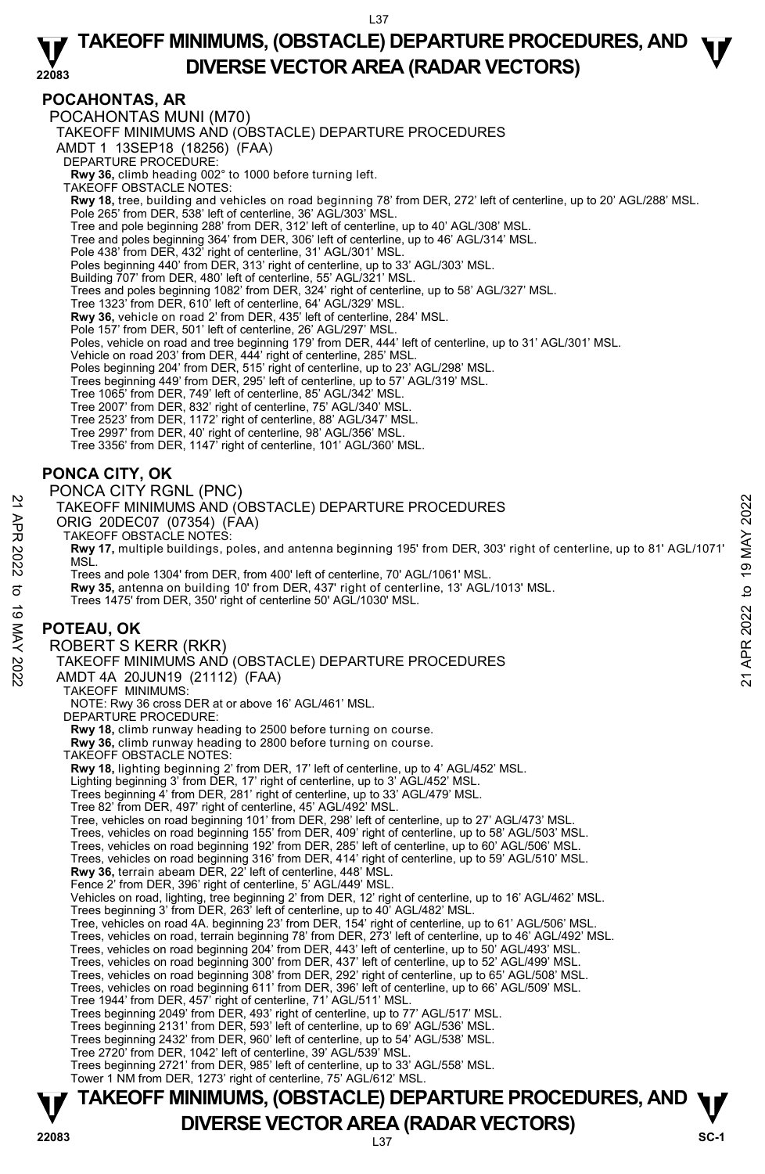#### **22083 TAKEOFF MINIMUMS, (OBSTACLE) DEPARTURE PROCEDURES, AND**  $\Psi$ **DIVERSE VECTOR AREA (RADAR VECTORS)**

### **POCAHONTAS, AR**

POCAHONTAS MUNI (M70)

TAKEOFF MINIMUMS AND (OBSTACLE) DEPARTURE PROCEDURES

AMDT 1 13SEP18 (18256) (FAA)

DEPARTURE PROCEDURE:

**Rwy 36,** climb heading 002° to 1000 before turning left. TAKEOFF OBSTACLE NOTES:

**Rwy 18,** tree, building and vehicles on road beginning 78' from DER, 272' left of centerline, up to 20' AGL/288' MSL. Pole 265' from DER, 538' left of centerline, 36' AGL/303' MSL.

Tree and pole beginning 288' from DER, 312' left of centerline, up to 40' AGL/308' MSL. Tree and poles beginning 364' from DER, 306' left of centerline, up to 46' AGL/314' MSL.

Pole 438' from DER, 432' right of centerline, 31' AGL/301' MSL.

Poles beginning 440' from DER, 313' right of centerline, up to 33' AGL/303' MSL. Building 707' from DER, 480' left of centerline, 55' AGL/321' MSL.

Trees and poles beginning 1082' from DER, 324' right of centerline, up to 58' AGL/327' MSL.

Tree 1323' from DER, 610' left of centerline, 64' AGL/329' MSL.

**Rwy 36,** vehicle on road 2' from DER, 435' left of centerline, 284' MSL.

Pole 157' from DER, 501' left of centerline, 26' AGL/297' MSL.

Poles, vehicle on road and tree beginning 179' from DER, 444' left of centerline, up to 31' AGL/301' MSL.

Vehicle on road 203' from DER, 444' right of centerline, 285' MSL.<br>Poles beginning 204' from DER, 515' right of centerline, up to 23' AGL/298' MSL.<br>Trees beginning 449' from DER, 295' left of centerline, up to 57' AGL/319'

Tree 1065' from DER, 749' left of centerline, 85' AGL/342' MSL. Tree 2007' from DER, 832' right of centerline, 75' AGL/340' MSL.

Tree 2523' from DER, 1172' right of centerline, 88' AGL/347' MSL.

Tree 2997' from DER, 40' right of centerline, 98' AGL/356' MSL.

Tree 3356' from DER, 1147' right of centerline, 101' AGL/360' MSL.

# **PONCA CITY, OK**

PONCA CITY RGNL (PNC)

TAKEOFF MINIMUMS AND (OBSTACLE) DEPARTURE PROCEDURES

ORIG 20DEC07 (07354) (FAA)

TAKEOFF OBSTACLE NOTES:

**Rwy 17,** multiple buildings, poles, and antenna beginning 195' from DER, 303' right of centerline, up to 81' AGL/1071' MSL.

Trees and pole 1304' from DER, from 400' left of centerline, 70' AGL/1061' MSL. **Rwy 35,** antenna on building 10' from DER, 437' right of centerline, 13' AGL/1013' MSL. Trees 1475' from DER, 350' right of centerline 50' AGL/1030' MSL.

# **POTEAU, OK**

ROBERT S KERR (RKR) TAKEOFF MINIMUMS AND (OBSTACLE) DEPARTURE PROCEDURES AMDT 4A 20JUN19 (21112) (FAA) TAKEOFF MINIMUMS: NOTE: Rwy 36 cross DER at or above 16' AGL/461' MSL. DEPARTURE PROCEDURE: **Rwy 18,** climb runway heading to 2500 before turning on course. **Rwy 36,** climb runway heading to 2800 before turning on course. TAKEOFF OBSTACLE NOTES: **Rwy 18,** lighting beginning 2' from DER, 17' left of centerline, up to 4' AGL/452' MSL. Lighting beginning 3' from DER, 17' right of centerline, up to 3' AGL/452' MSL. Trees beginning 4' from DER, 281' right of centerline, up to 33' AGL/479' MSL. Tree 82' from DER, 497' right of centerline, 45' AGL/492' MSL. Tree, vehicles on road beginning 101' from DER, 298' left of centerline, up to 27' AGL/473' MSL. Trees, vehicles on road beginning 155' from DER, 409' right of centerline, up to 58' AGL/503' MSL. Trees, vehicles on road beginning 192' from DER, 285' left of centerline, up to 60' AGL/506' MSL. Trees, vehicles on road beginning 316' from DER, 414' right of centerline, up to 59' AGL/510' MSL. **Rwy 36,** terrain abeam DER, 22' left of centerline, 448' MSL. Fence 2' from DER, 396' right of centerline, 5' AGL/449' MSL. Vehicles on road, lighting, tree beginning 2' from DER, 12' right of centerline, up to 16' AGL/462' MSL. Trees beginning 3' from DER, 263' left of centerline, up to 40' AGL/482' MSL. Tree, vehicles on road 4A. beginning 23' from DER, 154' right of centerline, up to 61' AGL/506' MSL. Trees, vehicles on road, terrain beginning 78' from DER, 273' left of centerline, up to 46' AGL/492' MSL. Trees, vehicles on road beginning 204' from DER, 443' left of centerline, up to 50' AGL/493' MSL. Trees, vehicles on road beginning 300' from DER, 437' left of centerline, up to 52' AGL/499' MSL. Trees, vehicles on road beginning 308' from DER, 292' right of centerline, up to 65' AGL/508' MSL. Trees, vehicles on road beginning 611' from DER, 396' left of centerline, up to 66' AGL/509' MSL. Tree 1944' from DER, 457' right of centerline, 71' AGL/511' MSL. Trees beginning 2049' from DER, 493' right of centerline, up to 77' AGL/517' MSL. Trees beginning 2131' from DER, 593' left of centerline, up to 69' AGL/536' MSL. Trees beginning 2432' from DER, 960' left of centerline, up to 54' AGL/538' MSL. Tree 2720' from DER, 1042' left of centerline, 39' AGL/539' MSL. 21 TAKEOFF MINIMUMS AND (OBSTACLE) DEPARTURE PROCEDURES<br>
22 ORIG 20DEC07 (07354) (FAA)<br>
23 TAKEOFF MINIMUMS AND (OBSTACLE) DEPARTURE PROCEDURES<br>
22 TAKEOFF OBSTACLE NOTES:<br>
22 MM TAKEOFF OBSTACLE NOTES:<br>
22 MSL.<br>
23 MSL.<br>

Trees beginning 2721' from DER, 985' left of centerline, up to 33' AGL/558' MSL. Tower 1 NM from DER, 1273' right of centerline, 75' AGL/612' MSL.

L37 **TAKEOFF MINIMUMS, (OBSTACLE) DEPARTURE PROCEDURES, AND**  $\Psi$ **P DIVERSE VECTOR AREA (RADAR VECTORS) P P SC-1 SC-1**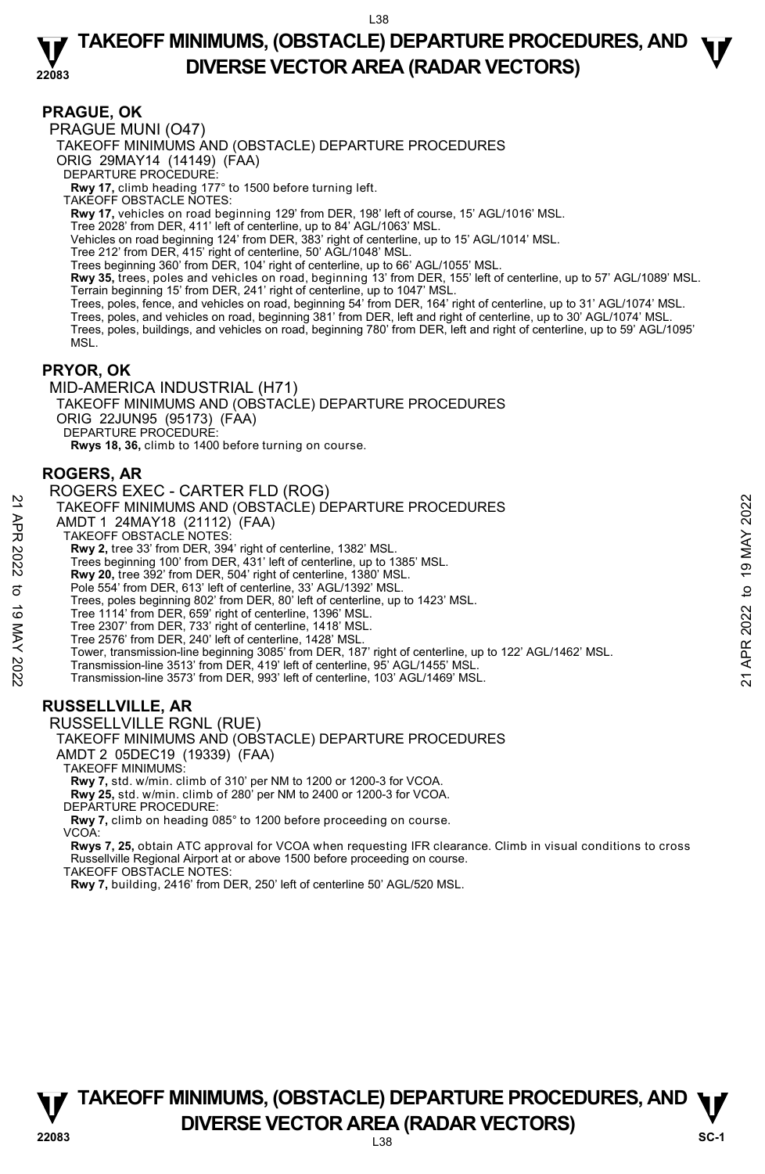### **PRAGUE, OK**

PRAGUE MUNI (O47) TAKEOFF MINIMUMS AND (OBSTACLE) DEPARTURE PROCEDURES ORIG 29MAY14 (14149) (FAA) DEPARTURE PROCEDURE: **Rwy 17,** climb heading 177° to 1500 before turning left. TAKEOFF OBSTACLE NOTES: **Rwy 17,** vehicles on road beginning 129' from DER, 198' left of course, 15' AGL/1016' MSL. Tree 2028' from DER, 411' left of centerline, up to 84' AGL/1063' MSL. Vehicles on road beginning 124' from DER, 383' right of centerline, up to 15' AGL/1014' MSL. Tree 212' from DER, 415' right of centerline, 50' AGL/1048' MSL. Trees beginning 360' from DER, 104' right of centerline, up to 66' AGL/1055' MSL. **Rwy 35,** trees, poles and vehicles on road, beginning 13' from DER, 155' left of centerline, up to 57' AGL/1089' MSL. Terrain beginning 15' from DER, 241' right of centerline, up to 1047' MSL.<br>Trees, poles, fence, and vehicles on road, beginning 54' from DER, 164' right of centerline, up to 31' AGL/1074' MSL.<br>Trees, poles, and vehicles on Trees, poles, buildings, and vehicles on road, beginning 780' from DER, left and right of centerline, up to 59' AGL/1095' MSL.

### **PRYOR, OK**

MID-AMERICA INDUSTRIAL (H71) TAKEOFF MINIMUMS AND (OBSTACLE) DEPARTURE PROCEDURES ORIG 22JUN95 (95173) (FAA) DEPARTURE PROCEDURE: **Rwys 18, 36,** climb to 1400 before turning on course.

### **ROGERS, AR**

ROGERS EXEC - CARTER FLD (ROG) TAKEOFF MINIMUMS AND (OBSTACLE) DEPARTURE PROCEDURES AMDT 1 24MAY18 (21112) (FAA) TAKEOFF OBSTACLE NOTES: **Rwy 2,** tree 33' from DER, 394' right of centerline, 1382' MSL. Trees beginning 100' from DER, 431' left of centerline, up to 1385' MSL. **Rwy 20,** tree 392' from DER, 504' right of centerline, 1380' MSL. Pole 554' from DER, 613' left of centerline, 33' AGL/1392' MSL. Trees, poles beginning 802' from DER, 80' left of centerline, up to 1423' MSL. Tree 1114' from DER, 659' right of centerline, 1396' MSL. Tree 2307' from DER, 733' right of centerline, 1418' MSL. Tree 2576' from DER, 240' left of centerline, 1428' MSL. Tower, transmission-line beginning 3085' from DER, 187' right of centerline, up to 122' AGL/1462' MSL. Transmission-line 3513' from DER, 419' left of centerline, 95' AGL/1455' MSL. Transmission-line 3573' from DER, 993' left of centerline, 103' AGL/1469' MSL. **RUSSELLVILLE, AR**  RUSSELLVILLE RGNL (RUE) 22 TAKEOFF MINIMUMS AND (OBSTACLE) DEPARTURE PROCEDURES<br>
22 TAKEOFF MINIMUMS AND (OBSTACLE) DEPARTURE PROCEDURES<br>
22 TAKEOFF MINIMUMS AND (OBSTACLE) (FAA)<br>
22 TAKEOFF MINIMUMS AND (Part 39<sup>22</sup> trip) and 2022 to 19 MBL.<br>
2

TAKEOFF MINIMUMS AND (OBSTACLE) DEPARTURE PROCEDURES

AMDT 2 05DEC19 (19339) (FAA)

TAKEOFF MINIMUMS:

**Rwy 7,** std. w/min. climb of 310' per NM to 1200 or 1200-3 for VCOA.

**Rwy 25,** std. w/min. climb of 280' per NM to 2400 or 1200-3 for VCOA. DEPARTURE PROCEDURE:

**Rwy 7,** climb on heading 085° to 1200 before proceeding on course.

VCOA:

**Rwys 7, 25,** obtain ATC approval for VCOA when requesting IFR clearance. Climb in visual conditions to cross Russellville Regional Airport at or above 1500 before proceeding on course.

TAKEOFF OBSTACLE NOTES:

**Rwy 7,** building, 2416' from DER, 250' left of centerline 50' AGL/520 MSL.

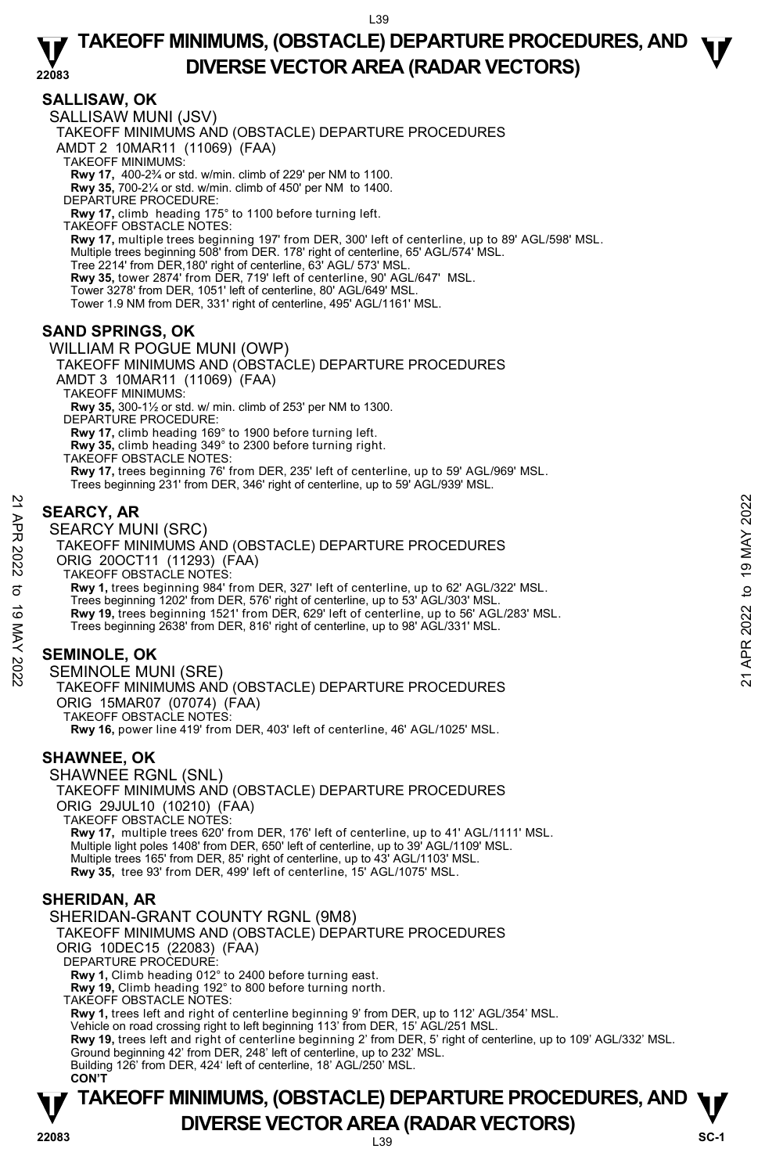# **SALLISAW, OK**

SALLISAW MUNI (JSV)

TAKEOFF MINIMUMS AND (OBSTACLE) DEPARTURE PROCEDURES

AMDT 2 10MAR11 (11069) (FAA)

TAKEOFF MINIMUMS:

**Rwy 17,** 400-2¾ or std. w/min. climb of 229' per NM to 1100. **Rwy 35,** 700-2¼ or std. w/min. climb of 450' per NM to 1400.

DEPARTURE PROCEDURE:

**Rwy 17,** climb heading 175° to 1100 before turning left.

TAKEOFF OBSTACLE NOTES: **Rwy 17,** multiple trees beginning 197' from DER, 300' left of centerline, up to 89' AGL/598' MSL. Multiple trees beginning 508' from DER. 178' right of centerline, 65' AGL/574' MSL. Tree 2214' from DER,180' right of centerline, 63' AGL/ 573' MSL. **Rwy 35,** tower 2874' from DER, 719' left of centerline, 90' AGL/647' MSL. Tower 3278' from DER, 1051' left of centerline, 80' AGL/649' MSL. Tower 1.9 NM from DER, 331' right of centerline, 495' AGL/1161' MSL.

# **SAND SPRINGS, OK**

WILLIAM R POGUE MUNI (OWP)

TAKEOFF MINIMUMS AND (OBSTACLE) DEPARTURE PROCEDURES AMDT 3 10MAR11 (11069) (FAA) TAKEOFF MINIMUMS: **Rwy 35,** 300-1½ or std. w/ min. climb of 253' per NM to 1300. DEPARTURE PROCEDURE: **Rwy 17,** climb heading 169° to 1900 before turning left. **Rwy 35,** climb heading 349° to 2300 before turning right. TAKEOFF OBSTACLE NOTES:

**Rwy 17,** trees beginning 76' from DER, 235' left of centerline, up to 59' AGL/969' MSL. Trees beginning 231' from DER, 346' right of centerline, up to 59' AGL/939' MSL.

# **SEARCY, AR**

SEARCY MUNI (SRC)

TAKEOFF MINIMUMS AND (OBSTACLE) DEPARTURE PROCEDURES ORIG 20OCT11 (11293) (FAA) TAKEOFF OBSTACLE NOTES: **Rwy 1,** trees beginning 984' from DER, 327' left of centerline, up to 62' AGL/322' MSL. Trees beginning 1202' from DER, 576' right of centerline, up to 53' AGL/303' MSL. **Rwy 19,** trees beginning 1521' from DER, 629' left of centerline, up to 56' AGL/283' MSL. Trees beginning 2638' from DER, 816' right of centerline, up to 98' AGL/331' MSL. **SEARCY, AR**<br> **21 SEARCY MUNI (SRC)**<br>
TAKEOFF MINIMUMS AND (OBSTACLE) DEPARTURE PROCEDURES<br>
ORIG 200CT11 (11293) (FAA)<br>
TAKEOFF MINIMUMS AND (OBSTACLE) DEPARTURE PROCEDURES<br>
TAKEOFF OBSTACE NOTES.<br> **32** These beginning 18

# **SEMINOLE, OK**

SEMINOLE MUNI (SRE) TAKEOFF MINIMUMS AND (OBSTACLE) DEPARTURE PROCEDURES ORIG 15MAR07 (07074) (FAA) TAKEOFF OBSTACLE NOTES: **Rwy 16,** power line 419' from DER, 403' left of centerline, 46' AGL/1025' MSL.

### **SHAWNEE, OK**

SHAWNEE RGNL (SNL) TAKEOFF MINIMUMS AND (OBSTACLE) DEPARTURE PROCEDURES ORIG 29JUL10 (10210) (FAA) TAKEOFF OBSTACLE NOTES: **Rwy 17,** multiple trees 620' from DER, 176' left of centerline, up to 41' AGL/1111' MSL. <br>Multiple light poles 1408' from DER, 650' left of centerline, up to 39' AGL/1109' MSL. Multiple trees 165' from DER, 85' right of centerline, up to 43' AGL/1103' MSL. **Rwy 35,** tree 93' from DER, 499' left of centerline, 15' AGL/1075' MSL.

### **SHERIDAN, AR**

SHERIDAN-GRANT COUNTY RGNL (9M8) TAKEOFF MINIMUMS AND (OBSTACLE) DEPARTURE PROCEDURES ORIG 10DEC15 (22083) (FAA) DEPARTURE PROCEDURE **Rwy 1,** Climb heading 012° to 2400 before turning east. **Rwy 19,** Climb heading 192° to 800 before turning north. TAKEOFF OBSTACLE NOTES: **Rwy 1,** trees left and right of centerline beginning 9' from DER, up to 112' AGL/354' MSL.<br>Vehicle on road crossing right to left beginning 113' from DER, 15' AGL/251 MSL. **Rwy 19,** trees left and right of centerline beginning 2' from DER, 5' right of centerline, up to 109' AGL/332' MSL. Ground beginning 42' from DER, 248' left of centerline, up to 232' MSL. Building 126' from DER, 424' left of centerline, 18' AGL/250' MSL. **CON'T**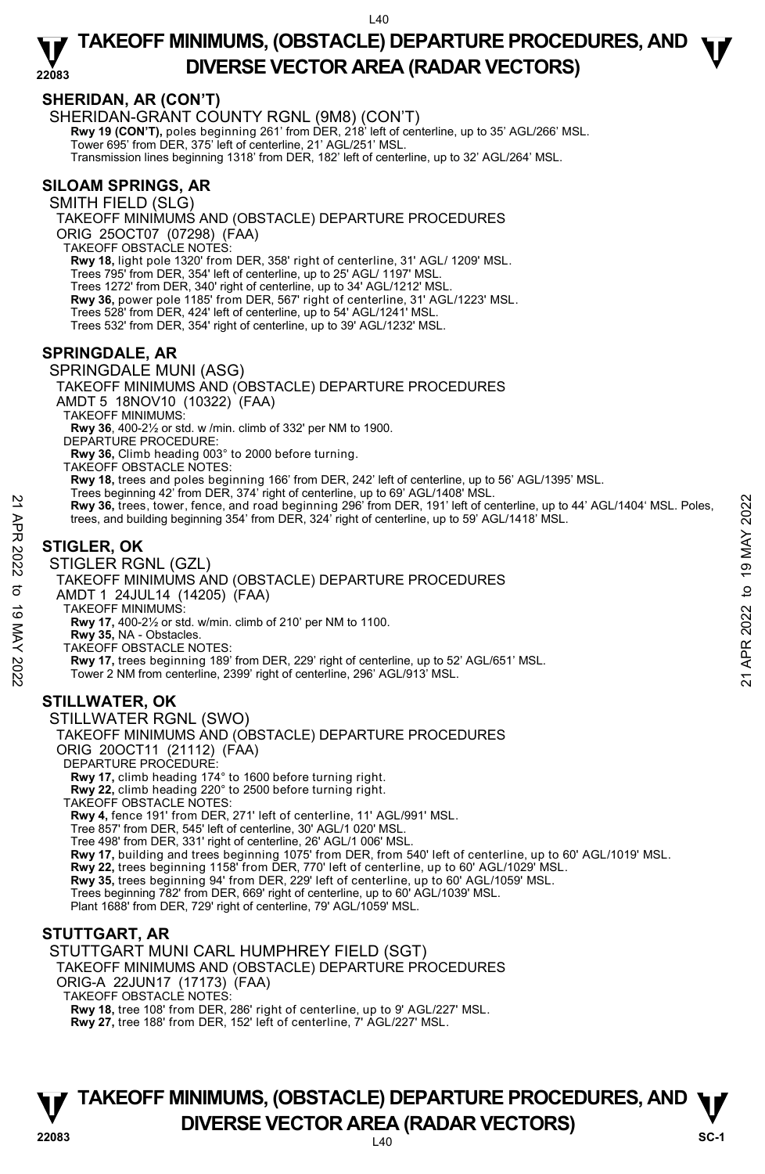# **SHERIDAN, AR (CON'T)**

SHERIDAN-GRANT COUNTY RGNL (9M8) (CON'T) **Rwy 19 (CON'T),** poles beginning 261' from DER, 218' left of centerline, up to 35' AGL/266' MSL.<br>Tower 695' from DER, 375' left of centerline, 21' AGL/251' MSL. Transmission lines beginning 1318' from DER, 182' left of centerline, up to 32' AGL/264' MSL.

# **SILOAM SPRINGS, AR**

SMITH FIELD (SLG) TAKEOFF MINIMUMS AND (OBSTACLE) DEPARTURE PROCEDURES ORIG 25OCT07 (07298) (FAA) TAKEOFF OBSTACLE NOTES: **Rwy 18,** light pole 1320' from DER, 358' right of centerline, 31' AGL/ 1209' MSL.<br>Trees 795' from DER, 354' left of centerline, up to 25' AGL/ 1197' MSL. Trees 1272' from DER, 340' right of centerline, up to 34' AGL/1212' MSL. **Rwy 36,** power pole 1185' from DER, 567' right of centerline, 31' AGL/1223' MSL. Trees 528' from DER, 424' left of centerline, up to 54' AGL/1241' MSL. Trees 532' from DER, 354' right of centerline, up to 39' AGL/1232' MSL.

# **SPRINGDALE, AR**

### SPRINGDALE MUNI (ASG)

TAKEOFF MINIMUMS AND (OBSTACLE) DEPARTURE PROCEDURES

AMDT 5 18NOV10 (10322) (FAA)

TAKEOFF MINIMUMS:

**Rwy 36**, 400-2½ or std. w /min. climb of 332' per NM to 1900.

DEPARTURE PROCEDURE

**Rwy 36,** Climb heading 003° to 2000 before turning.

TAKEOFF OBSTACLE NOTES:

**Rwy 18,** trees and poles beginning 166' from DER, 242' left of centerline, up to 56' AGL/1395' MSL.

- Trees beginning 42' from DER, 374' right of centerline, up to 69' AGL/1408' MSL.<br>**Rwy 36,** trees, tower, fence, and road beginning 296' from DER, 191' left of centerline, up to 44' AGL/1404' MSL. Poles, Reduces and building beginning 296 from DER, 191 left of centerline, up to 44' AGL/1404' MSL. Poles,<br>
The ces, and building beginning 354' from DER, 324' right of centerline, up to 59' AGL/1418' MSL.<br> **STIGLER, OK**<br>
STIGLE
	- trees, and building beginning 354' from DER, 324' right of centerline, up to 59' AGL/1418' MSL.

# **STIGLER, OK**

STIGLER RGNL (GZL)

TAKEOFF MINIMUMS AND (OBSTACLE) DEPARTURE PROCEDURES

AMDT 1 24JUL14 (14205) (FAA)

TAKEOFF MINIMUMS:

**Rwy 17,** 400-2½ or std. w/min. climb of 210' per NM to 1100.

**Rwy 35,** NA - Obstacles.

TAKEOFF OBSTACLE NOTES:

**Rwy 17,** trees beginning 189' from DER, 229' right of centerline, up to 52' AGL/651' MSL. Tower 2 NM from centerline, 2399' right of centerline, 296' AGL/913' MSL.

# **STILLWATER, OK**

STILLWATER RGNL (SWO) TAKEOFF MINIMUMS AND (OBSTACLE) DEPARTURE PROCEDURES ORIG 20OCT11 (21112) (FAA) DEPARTURE PROCEDURE: **Rwy 17,** climb heading 174° to 1600 before turning right. **Rwy 22,** climb heading 220° to 2500 before turning right. TAKEOFF OBSTACLE NOTES: **Rwy 4,** fence 191' from DER, 271' left of centerline, 11' AGL/991' MSL. Tree 857' from DER, 545' left of centerline, 30' AGL/1 020' MSL. Tree 498' from DER, 331' right of centerline, 26' AGL/1 006' MSL.

**Rwy 17,** building and trees beginning 1075' from DER, from 540' left of centerline, up to 60' AGL/1019' MSL.

**Rwy 22,** trees beginning 1158' from DER, 770' left of centerline, up to 60' AGL/1029' MSL.

**Rwy 35,** trees beginning 94' from DER, 229' left of centerline, up to 60' AGL/1059' MSL.

Trees beginning 782' from DER, 669' right of centerline, up to 60' AGL/1039' MSL.

Plant 1688' from DER, 729' right of centerline, 79' AGL/1059' MSL.

### **STUTTGART, AR**

STUTTGART MUNI CARL HUMPHREY FIELD (SGT)

TAKEOFF MINIMUMS AND (OBSTACLE) DEPARTURE PROCEDURES

ORIG-A 22JUN17 (17173) (FAA)

TAKEOFF OBSTACLE NOTES:

**Rwy 18,** tree 108' from DER, 286' right of centerline, up to 9' AGL/227' MSL. **Rwy 27,** tree 188' from DER, 152' left of centerline, 7' AGL/227' MSL.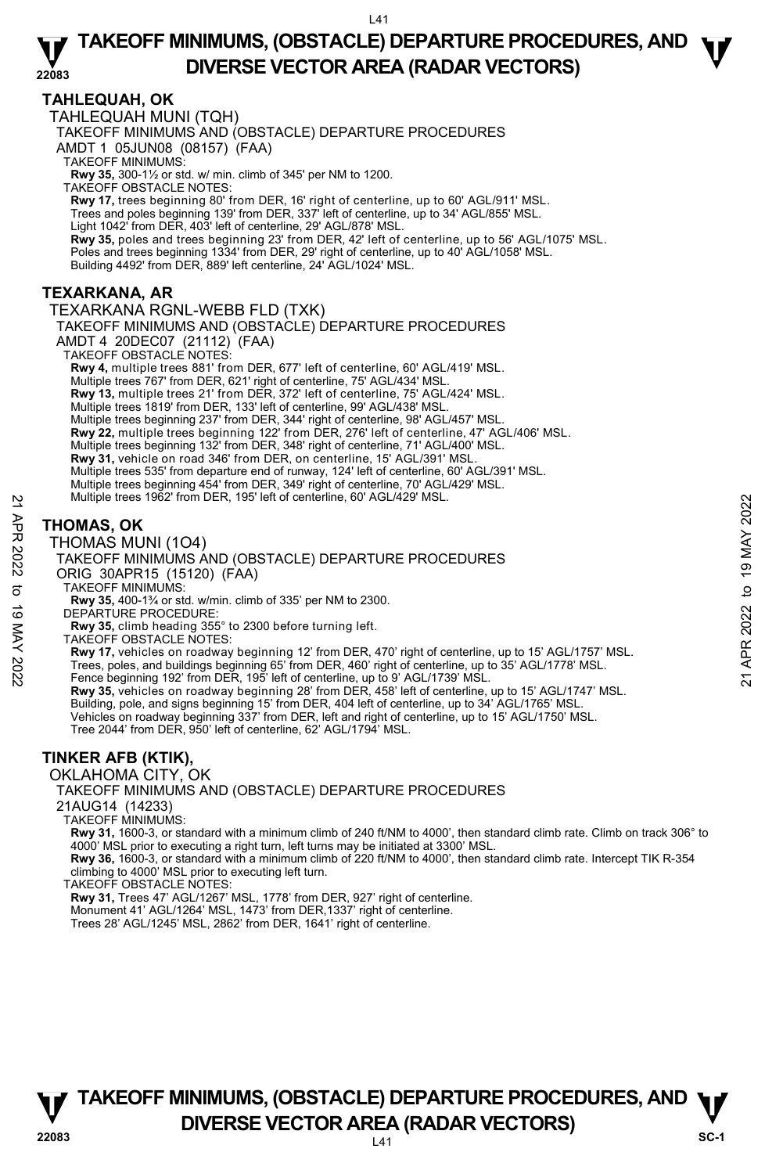# **TAHLEQUAH, OK**

TAHLEQUAH MUNI (TQH)

TAKEOFF MINIMUMS AND (OBSTACLE) DEPARTURE PROCEDURES

AMDT 1 05JUN08 (08157) (FAA)

TAKEOFF MINIMUMS:

**Rwy 35,** 300-1½ or std. w/ min. climb of 345' per NM to 1200. TAKEOFF OBSTACLE NOTES:

**Rwy 17,** trees beginning 80' from DER, 16' right of centerline, up to 60' AGL/911' MSL. Trees and poles beginning 139' from DER, 337' left of centerline, up to 34' AGL/855' MSL.

Light 1042' from DER, 403' left of centerline, 29' AGL/878' MSL.

**Rwy 35,** poles and trees beginning 23' from DER, 42' left of centerline, up to 56' AGL/1075' MSL. Poles and trees beginning 1334' from DER, 29' right of centerline, up to 40' AGL/1058' MSL.

Building 4492' from DER, 889' left centerline, 24' AGL/1024' MSL.

# **TEXARKANA, AR**

TEXARKANA RGNL-WEBB FLD (TXK) TAKEOFF MINIMUMS AND (OBSTACLE) DEPARTURE PROCEDURES AMDT 4 20DEC07 (21112) (FAA) TAKEOFF OBSTACLE NOTES: **Rwy 4,** multiple trees 881' from DER, 677' left of centerline, 60' AGL/419' MSL. Multiple trees 767' from DER, 621' right of centerline, 75' AGL/434' MSL. **Rwy 13,** multiple trees 21' from DER, 372' left of centerline, 75' AGL/424' MSL. Multiple trees 1819' from DER, 133' left of centerline, 99' AGL/438' MSL. Multiple trees beginning 237' from DER, 344' right of centerline, 98' AGL/457' MSL. **Rwy 22,** multiple trees beginning 122' from DER, 276' left of centerline, 47' AGL/406' MSL. Multiple trees beginning 132' from DER, 348' right of centerline, 71' AGL/400' MSL. **Rwy 31,** vehicle on road 346' from DER, on centerline, 15' AGL/391' MSL. Multiple trees 535' from departure end of runway, 124' left of centerline, 60' AGL/391' MSL. Multiple trees beginning 454' from DER, 349' right of centerline, 70' AGL/429' MSL. Multiple trees 1962' from DER, 195' left of centerline, 60' AGL/429' MSL.

# **THOMAS, OK**

THOMAS MUNI (1O4)



TAKEOFF MINIMUMS:

**Rwy 35,** 400-1¾ or std. w/min. climb of 335' per NM to 2300.

- DEPARTURE PROCEDURE:
	- **Rwy 35,** climb heading 355° to 2300 before turning left.
- TAKEOFF OBSTACLE NOTES:

**Rwy 17,** vehicles on roadway beginning 12' from DER, 470' right of centerline, up to 15' AGL/1757' MSL.

Rwy 35, vehicles on roadway beginning 28' from DER, 458' left of centerline, up to 15' AGL/1747' MSL.

Building, pole, and signs beginning 15' from DER, 404 left of centerline, up to 34' AGL/1765' MSL.<br>Vehicles on roadway beginning 337' from DER, left and right of centerline, up to 15' AGL/1750' MSL.

Tree 2044' from DER, 950' left of centerline, 62' AGL/1794' MSL.

# **TINKER AFB (KTIK),**

OKLAHOMA CITY, OK

TAKEOFF MINIMUMS AND (OBSTACLE) DEPARTURE PROCEDURES

21AUG14 (14233)

TAKEOFF MINIMUMS:

**Rwy 31,** 1600-3, or standard with a minimum climb of 240 ft/NM to 4000', then standard climb rate. Climb on track 306° to 4000' MSL prior to executing a right turn, left turns may be initiated at 3300' MSL.

**Rwy 36,** 1600-3, or standard with a minimum climb of 220 ft/NM to 4000', then standard climb rate. Intercept TIK R-354 climbing to 4000' MSL prior to executing left turn.

TAKEOFF OBSTACLE NOTES:

**Rwy 31,** Trees 47' AGL/1267' MSL, 1778' from DER, 927' right of centerline.

Monument 41' AGL/1264' MSL, 1473' from DER,1337' right of centerline.

Trees 28' AGL/1245' MSL, 2862' from DER, 1641' right of centerline.

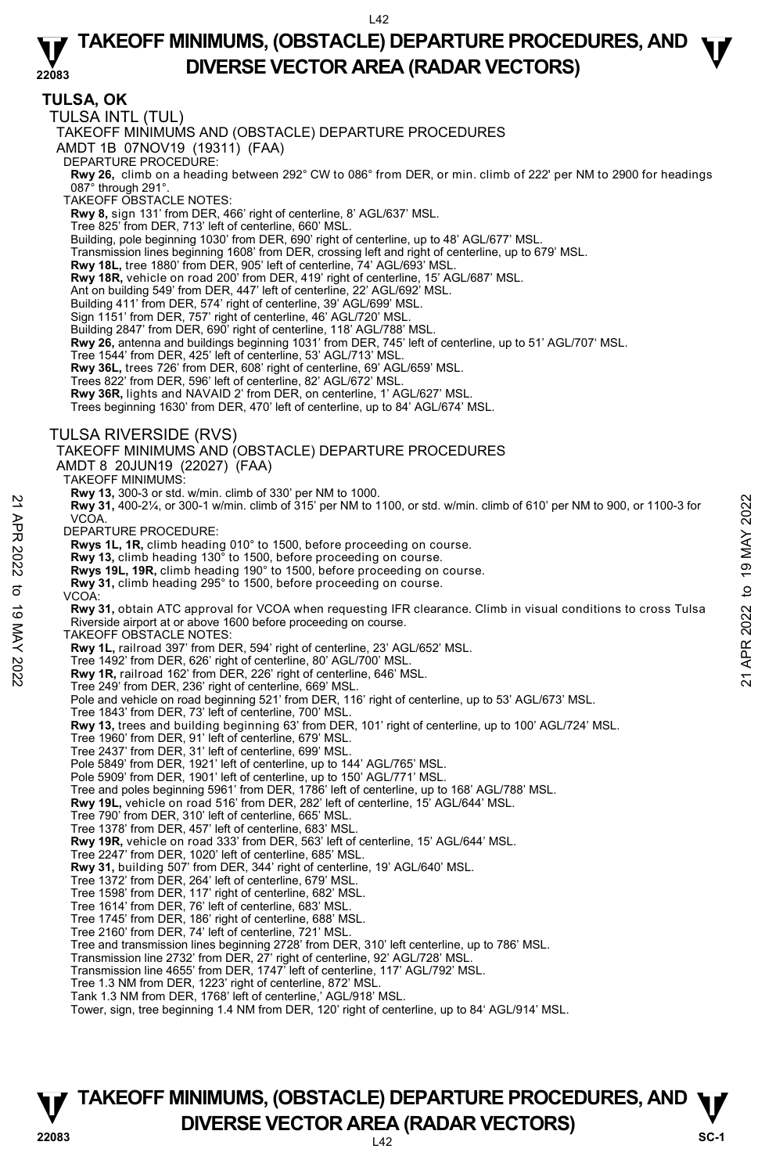**TULSA, OK**  TULSA INTL (TUL) TAKEOFF MINIMUMS AND (OBSTACLE) DEPARTURE PROCEDURES AMDT 1B 07NOV19 (19311) (FAA) DEPARTURE PROCEDURE: **Rwy 26,** climb on a heading between 292° CW to 086° from DER, or min. climb of 222' per NM to 2900 for headings<br>087° through 291°. TAKEOFF OBSTACLE NOTES: **Rwy 8,** sign 131' from DER, 466' right of centerline, 8' AGL/637' MSL. Tree 825' from DER, 713' left of centerline, 660' MSL. Building, pole beginning 1030' from DER, 690' right of centerline, up to 48' AGL/677' MSL. Transmission lines beginning 1608' from DER, crossing left and right of centerline, up to 679' MSL. **Rwy 18L,** tree 1880' from DER, 905' left of centerline, 74' AGL/693' MSL. **Rwy 18R,** vehicle on road 200' from DER, 419' right of centerline, 15' AGL/687' MSL. Ant on building 549' from DER, 447' left of centerline, 22' AGL/692' MSL. Building 411' from DER, 574' right of centerline, 39' AGL/699' MSL. Sign 1151' from DER, 757' right of centerline, 46' AGL/720' MSL. Building 2847' from DER, 690' right of centerline, 118' AGL/788' MSL. **Rwy 26,** antenna and buildings beginning 1031' from DER, 745' left of centerline, up to 51' AGL/707' MSL. Tree 1544' from DER, 425' left of centerline, 53' AGL/713' MSL. **Rwy 36L,** trees 726' from DER, 608' right of centerline, 69' AGL/659' MSL. Trees 822' from DER, 596' left of centerline, 82' AGL/672' MSL. **Rwy 36R,** lights and NAVAID 2' from DER, on centerline, 1' AGL/627' MSL. Trees beginning 1630' from DER, 470' left of centerline, up to 84' AGL/674' MSL. TULSA RIVERSIDE (RVS) TAKEOFF MINIMUMS AND (OBSTACLE) DEPARTURE PROCEDURES AMDT 8 20JUN19 (22027) (FAA) TAKEOFF MINIMUMS: **Rwy 13,** 300-3 or std. w/min. climb of 330' per NM to 1000.<br>**Rwy 31,** 400-2¼, or 300-1 w/min. climb of 315' per NM to 1100, or std. w/min. climb of 610' per NM to 900, or 1100-3 for **VCOA** DEPARTURE PROCEDURE: **Rwys 1L, 1R,** climb heading 010° to 1500, before proceeding on course. **Rwy 13,** climb heading 130° to 1500, before proceeding on course. **Rwys 19L, 19R,** climb heading 190° to 1500, before proceeding on course. **Rwy 31,** climb heading 295° to 1500, before proceeding on course. VCOA: **Rwy 31,** obtain ATC approval for VCOA when requesting IFR clearance. Climb in visual conditions to cross Tulsa Riverside airport at or above 1600 before proceeding on course. TAKEOFF OBSTACLE NOTES: **Rwy 1L,** railroad 397' from DER, 594' right of centerline, 23' AGL/652' MSL. Tree 1492' from DER, 626' right of centerline, 80' AGL/700' MSL. **Rwy 1R,** railroad 162' from DER, 226' right of centerline, 646' MSL. Tree 249' from DER, 236' right of centerline, 669' MSL. Pole and vehicle on road beginning 521' from DER, 116' right of centerline, up to 53' AGL/673' MSL. Tree 1843' from DER, 73' left of centerline, 700' MSL. **Rwy 13,** trees and building beginning 63' from DER, 101' right of centerline, up to 100' AGL/724' MSL. Tree 1960' from DER, 91' left of centerline, 679' MSL. Tree 2437' from DER, 31' left of centerline, 699' MSL. Pole 5849' from DER, 1921' left of centerline, up to 144' AGL/765' MSL. Pole 5909' from DER, 1901' left of centerline, up to 150' AGL/771' MSL. Tree and poles beginning 5961' from DER, 1786' left of centerline, up to 168' AGL/788' MSL. **Rwy 19L,** vehicle on road 516' from DER, 282' left of centerline, 15' AGL/644' MSL. Tree 790' from DER, 310' left of centerline, 665' MSL. Tree 1378' from DER, 457' left of centerline, 683' MSL. **Rwy 19R,** vehicle on road 333' from DER, 563' left of centerline, 15' AGL/644' MSL. Tree 2247' from DER, 1020' left of centerline, 685' MSL. **Rwy 31,** building 507' from DER, 344' right of centerline, 19' AGL/640' MSL. Tree 1372' from DER, 264' left of centerline, 679' MSL. Tree 1598' from DER, 117' right of centerline, 682' MSL. Tree 1614' from DER, 76' left of centerline, 683' MSL. Tree 1745' from DER, 186' right of centerline, 688' MSL. Tree 2160' from DER, 74' left of centerline, 721' MSL. Tree and transmission lines beginning 2728' from DER, 310' left centerline, up to 786' MSL. Transmission line 2732' from DER, 27' right of centerline, 92' AGL/728' MSL. Transmission line 4655' from DER, 1747' left of centerline, 117' AGL/792' MSL. Tree 1.3 NM from DER, 1223' right of centerline, 872' MSL. Tank 1.3 NM from DER, 1768' left of centerline,' AGL/918' MSL. Tower, sign, tree beginning 1.4 NM from DER, 120' right of centerline, up to 84' AGL/914' MSL. 22<br>
22 ARW 34, 400-2%, or 300-1 w/min. climb of 315' per NM to 1100, or std. w/min. climb of 610' per NM to 900, or 1100-3 for<br>
22 VCOA.<br>
22 DEPARTURE PROCEDURE:<br>
22 RW 14, R, climb heading 130° to 1500, before proceeding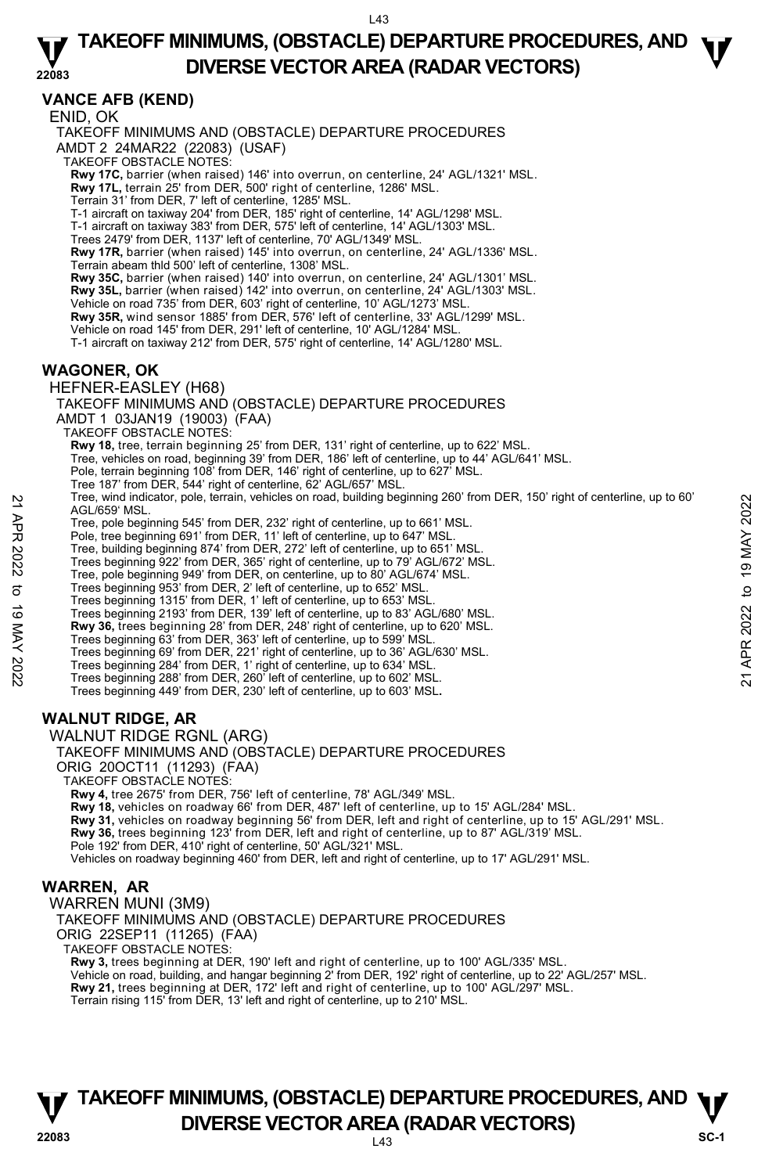#### **22083 TAKEOFF MINIMUMS, (OBSTACLE) DEPARTURE PROCEDURES, AND**  $\Psi$ **DIVERSE VECTOR AREA (RADAR VECTORS)**

# **VANCE AFB (KEND)**

ENID, OK TAKEOFF MINIMUMS AND (OBSTACLE) DEPARTURE PROCEDURES AMDT 2 24MAR22 (22083) (USAF) TAKEOFF OBSTACLE NOTES: **Rwy 17C,** barrier (when raised) 146' into overrun, on centerline, 24' AGL/1321' MSL.<br>**Rwy 17L,** terrain 25' from DER, 500' right of centerline, 1286' MSL. Terrain 31' from DER, 7' left of centerline, 1285' MSL. T-1 aircraft on taxiway 204' from DER, 185' right of centerline, 14' AGL/1298' MSL. T-1 aircraft on taxiway 383' from DER, 575' left of centerline, 14' AGL/1303' MSL. Trees 2479' from DER, 1137' left of centerline, 70' AGL/1349' MSL. **Rwy 17R,** barrier (when raised) 145' into overrun, on centerline, 24' AGL/1336' MSL. Terrain abeam thld 500' left of centerline, 1308' MSL. **Rwy 35C,** barrier (when raised) 140' into overrun, on centerline, 24' AGL/1301' MSL. **Rwy 35L,** barrier (when raised) 142' into overrun, on centerline, 24' AGL/1303' MSL. Vehicle on road 735' from DER, 603' right of centerline, 10' AGL/1273' MSL. **Rwy 35R,** wind sensor 1885' from DER, 576' left of centerline, 33' AGL/1299' MSL. Vehicle on road 145' from DER, 291' left of centerline, 10' AGL/1284' MSL. T-1 aircraft on taxiway 212' from DER, 575' right of centerline, 14' AGL/1280' MSL. **WAGONER, OK**  HEFNER-EASLEY (H68) TAKEOFF MINIMUMS AND (OBSTACLE) DEPARTURE PROCEDURES AMDT 1 03JAN19 (19003) (FAA) TAKEOFF OBSTACLE NOTES: **Rwy 18,** tree, terrain beginning 25' from DER, 131' right of centerline, up to 622' MSL.<br>Tree, vehicles on road, beginning 39' from DER, 186' left of centerline, up to 44' AGL/641' MSL. Pole, terrain beginning 108' from DER, 146' right of centerline, up to 627' MSL. Tree 187' from DER, 544' right of centerline, 62' AGL/657' MSL.

Tree, wind indicator, pole, terrain, vehicles on road, building beginning 260' from DER, 150' right of centerline, up to 60' AGL/659' MSL. 22 Free, wind indicator, pole, terrain, venicles on road, building beginning 260' from DER, 150' right of centerline, up to 861' MSL.<br>
22 Tree, pole beginning 645' from DER, 1232' right of centerline, up to 661' MSL.<br>
22

Tree, pole beginning 545' from DER, 232' right of centerline, up to 661' MSL. Pole, tree beginning 691' from DER, 11' left of centerline, up to 647' MSL.

Tree, building beginning 874' from DER, 272' left of centerline, up to 651' MSL.

Trees beginning 922' from DER, 365' right of centerline, up to 79' AGL/672' MSL.

Tree, pole beginning 949' from DER, on centerline, up to 80' AGL/674' MSL. Trees beginning 953' from DER, 2' left of centerline, up to 652' MSL.

Trees beginning 1315' from DER, 1' left of centerline, up to 653' MSL.

Trees beginning 2193' from DER, 139' left of centerline, up to 83' AGL/680' MSL. **Rwy 36,** trees beginning 28' from DER, 248' right of centerline, up to 620' MSL.

Trees beginning 63' from DER, 363' left of centerline, up to 599' MSL.

Trees beginning 69' from DER, 221' right of centerline, up to 36' AGL/630' MSL.

Trees beginning 284' from DER, 1' right of centerline, up to 634' MSL. Trees beginning 288' from DER, 260' left of centerline, up to 602' MSL.

Trees beginning 449' from DER, 230' left of centerline, up to 603' MSL**.** 

# **WALNUT RIDGE, AR**

WALNUT RIDGE RGNL (ARG)

TAKEOFF MINIMUMS AND (OBSTACLE) DEPARTURE PROCEDURES

ORIG 20OCT11 (11293) (FAA)

TAKEOFF OBSTACLE NOTES:

**Rwy 4,** tree 2675' from DER, 756' left of centerline, 78' AGL/349' MSL.

**Rwy 18,** vehicles on roadway 66' from DER, 487' left of centerline, up to 15' AGL/284' MSL.

Rwy 31, vehicles on roadway beginning 56' from DER, left and right of centerline, up to 15' AGL/291' MSL.

**Rwy 36,** trees beginning 123' from DER, left and right of centerline, up to 87' AGL/319' MSL. Pole 192' from DER, 410' right of centerline, 50' AGL/321' MSL.

Vehicles on roadway beginning 460' from DER, left and right of centerline, up to 17' AGL/291' MSL.

# **WARREN, AR**

WARREN MUNI (3M9)

TAKEOFF MINIMUMS AND (OBSTACLE) DEPARTURE PROCEDURES

ORIG 22SEP11 (11265) (FAA)

TAKEOFF OBSTACLE NOTES:

**Rwy 3,** trees beginning at DER, 190' left and right of centerline, up to 100' AGL/335' MSL.

Vehicle on road, building, and hangar beginning 2' from DER, 192' right of centerline, up to 22' AGL/257' MSL.<br>**Rwy 21,** trees beginning at DER, 172' left and right of centerline, up to 100' AGL/297' MSL.

Terrain rising 115' from DER, 13' left and right of centerline, up to 210' MSL.